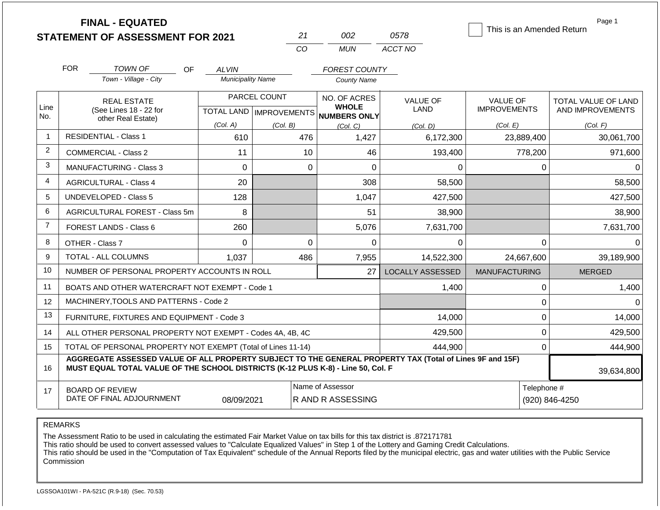|                | <b>FINAL - EQUATED</b>                                                                                                                                                                       |                          |                           |                                     |                         | This is an Amended Return | Page 1              |
|----------------|----------------------------------------------------------------------------------------------------------------------------------------------------------------------------------------------|--------------------------|---------------------------|-------------------------------------|-------------------------|---------------------------|---------------------|
|                | <b>STATEMENT OF ASSESSMENT FOR 2021</b>                                                                                                                                                      |                          | 21<br>CO                  | 002                                 | 0578<br>ACCT NO         |                           |                     |
|                |                                                                                                                                                                                              |                          |                           | <b>MUN</b>                          |                         |                           |                     |
|                | <b>FOR</b><br>TOWN OF<br>OF.                                                                                                                                                                 | AL VIN                   |                           | <b>FOREST COUNTY</b>                |                         |                           |                     |
|                | Town - Village - City                                                                                                                                                                        | <b>Municipality Name</b> |                           | <b>County Name</b>                  |                         |                           |                     |
|                | <b>REAL ESTATE</b>                                                                                                                                                                           |                          | PARCEL COUNT              | NO. OF ACRES                        | <b>VALUE OF</b>         | <b>VALUE OF</b>           | TOTAL VALUE OF LAND |
| Line<br>No.    | (See Lines 18 - 22 for<br>other Real Estate)                                                                                                                                                 |                          | TOTAL LAND   IMPROVEMENTS | <b>WHOLE</b><br><b>NUMBERS ONLY</b> | <b>LAND</b>             | <b>IMPROVEMENTS</b>       | AND IMPROVEMENTS    |
|                |                                                                                                                                                                                              | (Col. A)                 | (Col. B)                  | (Col, C)                            | (Col, D)                | (Col. E)                  | (Col. F)            |
| $\mathbf{1}$   | <b>RESIDENTIAL - Class 1</b>                                                                                                                                                                 | 610                      | 476                       | 1,427                               | 6,172,300               | 23,889,400                | 30,061,700          |
| $\overline{2}$ | <b>COMMERCIAL - Class 2</b>                                                                                                                                                                  | 11                       | 10                        | 46                                  | 193,400                 | 778,200                   | 971,600             |
| 3              | <b>MANUFACTURING - Class 3</b>                                                                                                                                                               | $\Omega$                 | $\Omega$                  | $\overline{0}$                      | $\Omega$                | $\Omega$                  | $\Omega$            |
| 4              | <b>AGRICULTURAL - Class 4</b>                                                                                                                                                                | 20                       |                           | 308                                 | 58,500                  |                           | 58,500              |
| 5              | <b>UNDEVELOPED - Class 5</b>                                                                                                                                                                 | 128                      |                           | 1,047                               | 427,500                 |                           | 427,500             |
| 6              | AGRICULTURAL FOREST - Class 5m                                                                                                                                                               | 8                        |                           | 51                                  | 38,900                  |                           | 38,900              |
| $\overline{7}$ | <b>FOREST LANDS - Class 6</b>                                                                                                                                                                | 260                      |                           | 5,076                               | 7,631,700               |                           | 7,631,700           |
| 8              | OTHER - Class 7                                                                                                                                                                              | $\Omega$                 | $\Omega$                  | $\Omega$                            | $\Omega$                | $\Omega$                  | $\Omega$            |
| 9              | <b>TOTAL - ALL COLUMNS</b>                                                                                                                                                                   | 1,037                    | 486                       | 7,955                               | 14,522,300              | 24,667,600                | 39,189,900          |
| 10             | NUMBER OF PERSONAL PROPERTY ACCOUNTS IN ROLL                                                                                                                                                 |                          |                           | 27                                  | <b>LOCALLY ASSESSED</b> | <b>MANUFACTURING</b>      | <b>MERGED</b>       |
| 11             | BOATS AND OTHER WATERCRAFT NOT EXEMPT - Code 1                                                                                                                                               |                          |                           |                                     | 1,400                   | $\mathbf 0$               | 1,400               |
| 12             | MACHINERY, TOOLS AND PATTERNS - Code 2                                                                                                                                                       |                          |                           |                                     |                         | $\mathbf 0$               | $\Omega$            |
| 13             | FURNITURE, FIXTURES AND EQUIPMENT - Code 3                                                                                                                                                   |                          |                           |                                     | 14,000                  | $\mathbf 0$               | 14,000              |
| 14             | ALL OTHER PERSONAL PROPERTY NOT EXEMPT - Codes 4A, 4B, 4C                                                                                                                                    |                          |                           |                                     | 429,500                 | $\mathbf 0$               | 429,500             |
| 15             | TOTAL OF PERSONAL PROPERTY NOT EXEMPT (Total of Lines 11-14)                                                                                                                                 |                          |                           |                                     | 444,900                 | $\mathbf 0$               | 444,900             |
| 16             | AGGREGATE ASSESSED VALUE OF ALL PROPERTY SUBJECT TO THE GENERAL PROPERTY TAX (Total of Lines 9F and 15F)<br>MUST EQUAL TOTAL VALUE OF THE SCHOOL DISTRICTS (K-12 PLUS K-8) - Line 50, Col. F |                          |                           |                                     |                         |                           | 39,634,800          |
| 17             | <b>BOARD OF REVIEW</b><br>DATE OF FINAL ADJOURNMENT                                                                                                                                          | 08/09/2021               |                           | Telephone #                         | (920) 846-4250          |                           |                     |

The Assessment Ratio to be used in calculating the estimated Fair Market Value on tax bills for this tax district is .872171781

This ratio should be used to convert assessed values to "Calculate Equalized Values" in Step 1 of the Lottery and Gaming Credit Calculations.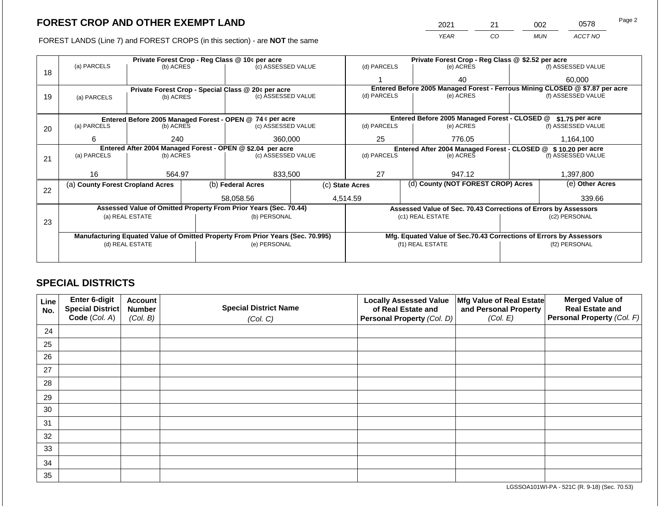2021 21 002 0578

FOREST LANDS (Line 7) and FOREST CROPS (in this section) - are **NOT** the same *YEAR CO MUN ACCT NO*

|    |                                                            |                 |  | Private Forest Crop - Reg Class @ 10¢ per acre                                 |  |                                                                              |  | Private Forest Crop - Reg Class @ \$2.52 per acre                  |                 |                    |  |
|----|------------------------------------------------------------|-----------------|--|--------------------------------------------------------------------------------|--|------------------------------------------------------------------------------|--|--------------------------------------------------------------------|-----------------|--------------------|--|
| 18 | (a) PARCELS                                                | (b) ACRES       |  | (c) ASSESSED VALUE                                                             |  | (d) PARCELS                                                                  |  | (e) ACRES                                                          |                 | (f) ASSESSED VALUE |  |
|    |                                                            |                 |  |                                                                                |  |                                                                              |  | 40                                                                 |                 | 60,000             |  |
|    |                                                            |                 |  | Private Forest Crop - Special Class @ 20¢ per acre                             |  | Entered Before 2005 Managed Forest - Ferrous Mining CLOSED @ \$7.87 per acre |  |                                                                    |                 |                    |  |
| 19 | (a) PARCELS                                                | (b) ACRES       |  | (c) ASSESSED VALUE                                                             |  | (d) PARCELS                                                                  |  | (e) ACRES                                                          |                 | (f) ASSESSED VALUE |  |
|    |                                                            |                 |  |                                                                                |  |                                                                              |  |                                                                    |                 |                    |  |
|    |                                                            |                 |  | Entered Before 2005 Managed Forest - OPEN @ 74 ¢ per acre                      |  |                                                                              |  | Entered Before 2005 Managed Forest - CLOSED @                      |                 | \$1.75 per acre    |  |
| 20 | (a) PARCELS                                                | (b) ACRES       |  | (c) ASSESSED VALUE                                                             |  | (d) PARCELS                                                                  |  | (e) ACRES                                                          |                 | (f) ASSESSED VALUE |  |
|    |                                                            |                 |  |                                                                                |  |                                                                              |  |                                                                    |                 |                    |  |
|    | 6                                                          | 240             |  | 360,000                                                                        |  | 25<br>776.05                                                                 |  | 1,164,100                                                          |                 |                    |  |
|    | Entered After 2004 Managed Forest - OPEN @ \$2.04 per acre |                 |  |                                                                                |  |                                                                              |  | Entered After 2004 Managed Forest - CLOSED @ \$10.20 per acre      |                 |                    |  |
| 21 | (a) PARCELS                                                | (b) ACRES       |  | (c) ASSESSED VALUE                                                             |  | (d) PARCELS                                                                  |  | (e) ACRES                                                          |                 | (f) ASSESSED VALUE |  |
|    |                                                            |                 |  |                                                                                |  |                                                                              |  |                                                                    |                 |                    |  |
|    | 16                                                         | 564.97          |  | 833,500                                                                        |  | 27                                                                           |  | 947.12                                                             |                 | 1,397,800          |  |
| 22 | (a) County Forest Cropland Acres                           |                 |  | (b) Federal Acres                                                              |  | (d) County (NOT FOREST CROP) Acres<br>(c) State Acres                        |  |                                                                    | (e) Other Acres |                    |  |
|    |                                                            |                 |  | 58.058.56                                                                      |  | 4,514.59                                                                     |  |                                                                    |                 | 339.66             |  |
|    |                                                            |                 |  | Assessed Value of Omitted Property From Prior Years (Sec. 70.44)               |  |                                                                              |  | Assessed Value of Sec. 70.43 Corrections of Errors by Assessors    |                 |                    |  |
|    |                                                            | (a) REAL ESTATE |  | (b) PERSONAL                                                                   |  |                                                                              |  | (c1) REAL ESTATE                                                   |                 | (c2) PERSONAL      |  |
| 23 |                                                            |                 |  |                                                                                |  |                                                                              |  |                                                                    |                 |                    |  |
|    |                                                            |                 |  | Manufacturing Equated Value of Omitted Property From Prior Years (Sec. 70.995) |  |                                                                              |  | Mfg. Equated Value of Sec.70.43 Corrections of Errors by Assessors |                 |                    |  |
|    |                                                            | (d) REAL ESTATE |  | (e) PERSONAL                                                                   |  |                                                                              |  | (f1) REAL ESTATE                                                   | (f2) PERSONAL   |                    |  |
|    |                                                            |                 |  |                                                                                |  |                                                                              |  |                                                                    |                 |                    |  |
|    |                                                            |                 |  |                                                                                |  |                                                                              |  |                                                                    |                 |                    |  |

# **SPECIAL DISTRICTS**

| Line<br>No. | Enter 6-digit<br>Special District | <b>Account</b><br><b>Number</b> | <b>Special District Name</b> | <b>Locally Assessed Value</b><br>of Real Estate and | Mfg Value of Real Estate<br>and Personal Property | <b>Merged Value of</b><br><b>Real Estate and</b> |
|-------------|-----------------------------------|---------------------------------|------------------------------|-----------------------------------------------------|---------------------------------------------------|--------------------------------------------------|
|             | Code (Col. A)                     | (Col. B)                        | (Col. C)                     | Personal Property (Col. D)                          | (Col. E)                                          | Personal Property (Col. F)                       |
| 24          |                                   |                                 |                              |                                                     |                                                   |                                                  |
| 25          |                                   |                                 |                              |                                                     |                                                   |                                                  |
| 26          |                                   |                                 |                              |                                                     |                                                   |                                                  |
| 27          |                                   |                                 |                              |                                                     |                                                   |                                                  |
| 28          |                                   |                                 |                              |                                                     |                                                   |                                                  |
| 29          |                                   |                                 |                              |                                                     |                                                   |                                                  |
| 30          |                                   |                                 |                              |                                                     |                                                   |                                                  |
| 31          |                                   |                                 |                              |                                                     |                                                   |                                                  |
| 32          |                                   |                                 |                              |                                                     |                                                   |                                                  |
| 33          |                                   |                                 |                              |                                                     |                                                   |                                                  |
| 34          |                                   |                                 |                              |                                                     |                                                   |                                                  |
| 35          |                                   |                                 |                              |                                                     |                                                   |                                                  |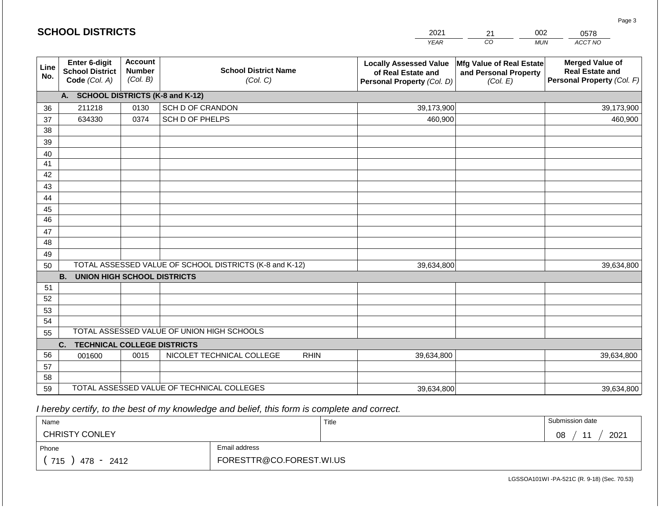|             | <b>SCHOOL DISTRICTS</b>                                         |                                             |                                                         |             | 2021                                                                              | 21                                                            | 002<br>0578                                                                    |
|-------------|-----------------------------------------------------------------|---------------------------------------------|---------------------------------------------------------|-------------|-----------------------------------------------------------------------------------|---------------------------------------------------------------|--------------------------------------------------------------------------------|
|             |                                                                 |                                             |                                                         |             | <b>YEAR</b>                                                                       | CO                                                            | <b>MUN</b><br>ACCT NO                                                          |
| Line<br>No. | <b>Enter 6-digit</b><br><b>School District</b><br>Code (Col. A) | <b>Account</b><br><b>Number</b><br>(Col. B) | <b>School District Name</b><br>(Col. C)                 |             | <b>Locally Assessed Value</b><br>of Real Estate and<br>Personal Property (Col. D) | Mfg Value of Real Estate<br>and Personal Property<br>(Col. E) | <b>Merged Value of</b><br><b>Real Estate and</b><br>Personal Property (Col. F) |
|             | A. SCHOOL DISTRICTS (K-8 and K-12)                              |                                             |                                                         |             |                                                                                   |                                                               |                                                                                |
| 36          | 211218                                                          | 0130                                        | SCH D OF CRANDON                                        |             | 39,173,900                                                                        |                                                               | 39,173,900                                                                     |
| 37          | 634330                                                          | 0374                                        | SCH D OF PHELPS                                         |             | 460,900                                                                           |                                                               | 460,900                                                                        |
| 38          |                                                                 |                                             |                                                         |             |                                                                                   |                                                               |                                                                                |
| 39          |                                                                 |                                             |                                                         |             |                                                                                   |                                                               |                                                                                |
| 40          |                                                                 |                                             |                                                         |             |                                                                                   |                                                               |                                                                                |
| 41          |                                                                 |                                             |                                                         |             |                                                                                   |                                                               |                                                                                |
| 42          |                                                                 |                                             |                                                         |             |                                                                                   |                                                               |                                                                                |
| 43          |                                                                 |                                             |                                                         |             |                                                                                   |                                                               |                                                                                |
| 44          |                                                                 |                                             |                                                         |             |                                                                                   |                                                               |                                                                                |
| 45<br>46    |                                                                 |                                             |                                                         |             |                                                                                   |                                                               |                                                                                |
|             |                                                                 |                                             |                                                         |             |                                                                                   |                                                               |                                                                                |
| 47<br>48    |                                                                 |                                             |                                                         |             |                                                                                   |                                                               |                                                                                |
| 49          |                                                                 |                                             |                                                         |             |                                                                                   |                                                               |                                                                                |
| 50          |                                                                 |                                             | TOTAL ASSESSED VALUE OF SCHOOL DISTRICTS (K-8 and K-12) |             | 39,634,800                                                                        |                                                               | 39,634,800                                                                     |
|             | <b>B.</b><br><b>UNION HIGH SCHOOL DISTRICTS</b>                 |                                             |                                                         |             |                                                                                   |                                                               |                                                                                |
| 51          |                                                                 |                                             |                                                         |             |                                                                                   |                                                               |                                                                                |
| 52          |                                                                 |                                             |                                                         |             |                                                                                   |                                                               |                                                                                |
| 53          |                                                                 |                                             |                                                         |             |                                                                                   |                                                               |                                                                                |
| 54          |                                                                 |                                             |                                                         |             |                                                                                   |                                                               |                                                                                |
| 55          |                                                                 |                                             | TOTAL ASSESSED VALUE OF UNION HIGH SCHOOLS              |             |                                                                                   |                                                               |                                                                                |
|             | C.<br><b>TECHNICAL COLLEGE DISTRICTS</b>                        |                                             |                                                         |             |                                                                                   |                                                               |                                                                                |
| 56          | 001600                                                          | 0015                                        | NICOLET TECHNICAL COLLEGE                               | <b>RHIN</b> | 39,634,800                                                                        |                                                               | 39,634,800                                                                     |
| 57          |                                                                 |                                             |                                                         |             |                                                                                   |                                                               |                                                                                |
| 58          |                                                                 |                                             |                                                         |             |                                                                                   |                                                               |                                                                                |
| 59          |                                                                 |                                             | TOTAL ASSESSED VALUE OF TECHNICAL COLLEGES              |             | 39,634,800                                                                        |                                                               | 39,634,800                                                                     |

2021

 *I hereby certify, to the best of my knowledge and belief, this form is complete and correct.*

**SCHOOL DISTRICTS**

| Name                  |                          | Title | Submission date |
|-----------------------|--------------------------|-------|-----------------|
| <b>CHRISTY CONLEY</b> |                          |       | 2021<br>08      |
| Phone                 | Email address            |       |                 |
| 715<br>478 -<br>2412  | FORESTTR@CO.FOREST.WI.US |       |                 |

Page 3

002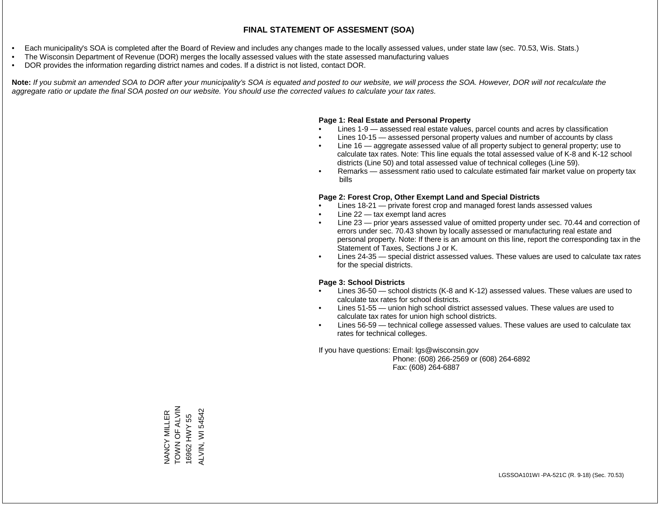- Each municipality's SOA is completed after the Board of Review and includes any changes made to the locally assessed values, under state law (sec. 70.53, Wis. Stats.)
- The Wisconsin Department of Revenue (DOR) merges the locally assessed values with the state assessed manufacturing values
- DOR provides the information regarding district names and codes. If a district is not listed, contact DOR.

Note: If you submit an amended SOA to DOR after your municipality's SOA is equated and posted to our website, we will process the SOA. However, DOR will not recalculate the *aggregate ratio or update the final SOA posted on our website. You should use the corrected values to calculate your tax rates.*

#### **Page 1: Real Estate and Personal Property**

- Lines 1-9 assessed real estate values, parcel counts and acres by classification
- Lines 10-15 assessed personal property values and number of accounts by class
- Line 16 aggregate assessed value of all property subject to general property; use to calculate tax rates. Note: This line equals the total assessed value of K-8 and K-12 school districts (Line 50) and total assessed value of technical colleges (Line 59).
- Remarks assessment ratio used to calculate estimated fair market value on property tax bills

#### **Page 2: Forest Crop, Other Exempt Land and Special Districts**

- Lines 18-21 private forest crop and managed forest lands assessed values
- Line  $22 -$  tax exempt land acres
- Line 23 prior years assessed value of omitted property under sec. 70.44 and correction of errors under sec. 70.43 shown by locally assessed or manufacturing real estate and personal property. Note: If there is an amount on this line, report the corresponding tax in the Statement of Taxes, Sections J or K.
- Lines 24-35 special district assessed values. These values are used to calculate tax rates for the special districts.

#### **Page 3: School Districts**

- Lines 36-50 school districts (K-8 and K-12) assessed values. These values are used to calculate tax rates for school districts.
- Lines 51-55 union high school district assessed values. These values are used to calculate tax rates for union high school districts.
- Lines 56-59 technical college assessed values. These values are used to calculate tax rates for technical colleges.

If you have questions: Email: lgs@wisconsin.gov

 Phone: (608) 266-2569 or (608) 264-6892 Fax: (608) 264-6887

NANCY MILLER<br>TOWN OF ALVIN TOWN OF ALVIN **ALVIN, WI 54542** ALVIN, WI 5454216962 HWY 55 16962 HWY 55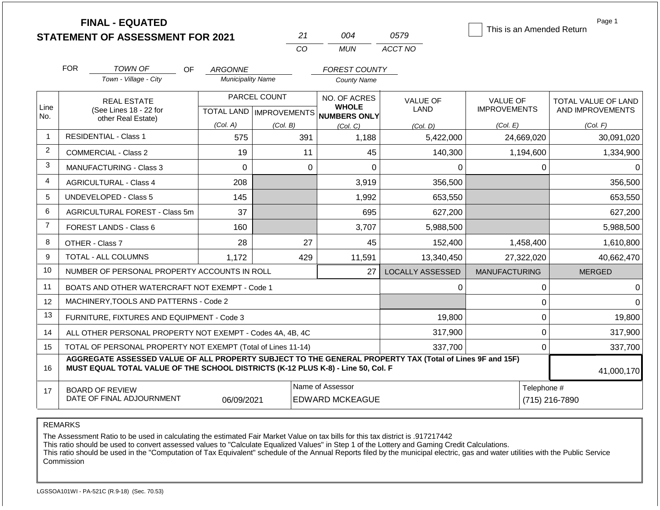|                | <b>FINAL - EQUATED</b><br><b>STATEMENT OF ASSESSMENT FOR 2021</b>                                                                                                                            |                          | 21                                         | 004                                                 | 0579                           | This is an Amended Return              | Page 1                                         |
|----------------|----------------------------------------------------------------------------------------------------------------------------------------------------------------------------------------------|--------------------------|--------------------------------------------|-----------------------------------------------------|--------------------------------|----------------------------------------|------------------------------------------------|
|                |                                                                                                                                                                                              |                          | CO                                         | <b>MUN</b>                                          | ACCT NO                        |                                        |                                                |
|                | <b>FOR</b><br><b>TOWN OF</b><br>OF                                                                                                                                                           | <b>ARGONNE</b>           |                                            | <b>FOREST COUNTY</b>                                |                                |                                        |                                                |
|                | Town - Village - City                                                                                                                                                                        | <b>Municipality Name</b> |                                            | <b>County Name</b>                                  |                                |                                        |                                                |
| Line           | <b>REAL ESTATE</b><br>(See Lines 18 - 22 for                                                                                                                                                 |                          | PARCEL COUNT<br>TOTAL LAND   IMPROVEMENTS  | NO. OF ACRES<br><b>WHOLE</b><br><b>NUMBERS ONLY</b> | <b>VALUE OF</b><br><b>LAND</b> | <b>VALUE OF</b><br><b>IMPROVEMENTS</b> | <b>TOTAL VALUE OF LAND</b><br>AND IMPROVEMENTS |
| No.            | other Real Estate)                                                                                                                                                                           | (Col. A)                 | (Col. B)                                   | (Col, C)                                            | (Col. D)                       | (Col. E)                               | (Col. F)                                       |
| $\mathbf{1}$   | <b>RESIDENTIAL - Class 1</b>                                                                                                                                                                 | 575                      | 391                                        | 1,188                                               | 5,422,000                      | 24,669,020                             | 30,091,020                                     |
| 2              | <b>COMMERCIAL - Class 2</b>                                                                                                                                                                  | 19                       | 11                                         | 45                                                  | 140,300                        | 1,194,600                              | 1,334,900                                      |
| 3              | <b>MANUFACTURING - Class 3</b>                                                                                                                                                               | 0                        | $\mathbf 0$                                | 0                                                   | 0                              | 0                                      | 0                                              |
| 4              | <b>AGRICULTURAL - Class 4</b>                                                                                                                                                                | 208                      |                                            | 3,919                                               | 356,500                        |                                        | 356,500                                        |
| 5              | <b>UNDEVELOPED - Class 5</b>                                                                                                                                                                 | 145                      |                                            | 1,992                                               | 653,550                        |                                        | 653,550                                        |
| 6              | AGRICULTURAL FOREST - Class 5m                                                                                                                                                               | 37                       |                                            | 695                                                 | 627,200                        |                                        | 627,200                                        |
| $\overline{7}$ | FOREST LANDS - Class 6                                                                                                                                                                       | 160                      |                                            | 3,707                                               | 5,988,500                      |                                        | 5,988,500                                      |
| 8              | OTHER - Class 7                                                                                                                                                                              | 28                       | 27                                         | 45                                                  | 152,400                        | 1,458,400                              | 1,610,800                                      |
| 9              | <b>TOTAL - ALL COLUMNS</b>                                                                                                                                                                   | 1,172                    | 429                                        | 11,591                                              | 13,340,450                     | 27,322,020                             | 40,662,470                                     |
| 10             | NUMBER OF PERSONAL PROPERTY ACCOUNTS IN ROLL                                                                                                                                                 |                          |                                            | 27                                                  | <b>LOCALLY ASSESSED</b>        | <b>MANUFACTURING</b>                   | <b>MERGED</b>                                  |
| 11             | BOATS AND OTHER WATERCRAFT NOT EXEMPT - Code 1                                                                                                                                               |                          |                                            |                                                     | 0                              | 0                                      | 0                                              |
| 12             | MACHINERY, TOOLS AND PATTERNS - Code 2                                                                                                                                                       |                          |                                            |                                                     |                                | $\mathbf 0$                            | $\Omega$                                       |
| 13             | FURNITURE, FIXTURES AND EQUIPMENT - Code 3                                                                                                                                                   |                          |                                            |                                                     | 19,800                         | $\mathbf 0$                            | 19,800                                         |
| 14             | ALL OTHER PERSONAL PROPERTY NOT EXEMPT - Codes 4A, 4B, 4C                                                                                                                                    |                          |                                            |                                                     | 317,900                        | $\mathbf 0$                            | 317,900                                        |
| 15             | TOTAL OF PERSONAL PROPERTY NOT EXEMPT (Total of Lines 11-14)                                                                                                                                 |                          |                                            |                                                     | 337,700                        | $\mathbf 0$                            | 337,700                                        |
| 16             | AGGREGATE ASSESSED VALUE OF ALL PROPERTY SUBJECT TO THE GENERAL PROPERTY TAX (Total of Lines 9F and 15F)<br>MUST EQUAL TOTAL VALUE OF THE SCHOOL DISTRICTS (K-12 PLUS K-8) - Line 50, Col. F |                          |                                            |                                                     |                                |                                        | 41,000,170                                     |
| 17             | <b>BOARD OF REVIEW</b><br>DATE OF FINAL ADJOURNMENT                                                                                                                                          | 06/09/2021               | Name of Assessor<br><b>EDWARD MCKEAGUE</b> |                                                     | Telephone #                    | (715) 216-7890                         |                                                |

The Assessment Ratio to be used in calculating the estimated Fair Market Value on tax bills for this tax district is .917217442

This ratio should be used to convert assessed values to "Calculate Equalized Values" in Step 1 of the Lottery and Gaming Credit Calculations.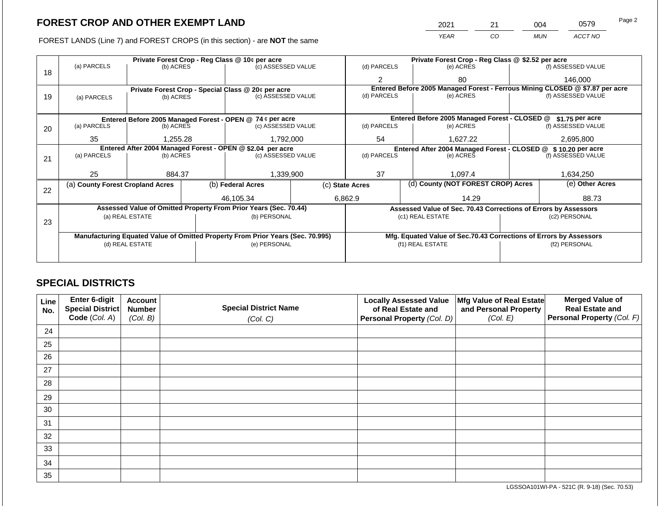FOREST LANDS (Line 7) and FOREST CROPS (in this section) - are NOT the same

| 2021 | 21 | 004        | 0579    | Page 2 |
|------|----|------------|---------|--------|
| YEAR | CO | <b>MUN</b> | ACCT NO |        |

|    |                                  |                 |  | Private Forest Crop - Reg Class @ 10¢ per acre                                 |  |                                                                              | Private Forest Crop - Reg Class @ \$2.52 per acre                  |  |                    |  |
|----|----------------------------------|-----------------|--|--------------------------------------------------------------------------------|--|------------------------------------------------------------------------------|--------------------------------------------------------------------|--|--------------------|--|
| 18 | (a) PARCELS                      | (b) ACRES       |  | (c) ASSESSED VALUE                                                             |  | (d) PARCELS                                                                  | (e) ACRES                                                          |  | (f) ASSESSED VALUE |  |
|    |                                  |                 |  |                                                                                |  | 2                                                                            | 80                                                                 |  | 146.000            |  |
|    |                                  |                 |  | Private Forest Crop - Special Class @ 20¢ per acre                             |  | Entered Before 2005 Managed Forest - Ferrous Mining CLOSED @ \$7.87 per acre |                                                                    |  |                    |  |
| 19 | (a) PARCELS                      | (b) ACRES       |  | (c) ASSESSED VALUE                                                             |  | (d) PARCELS                                                                  | (e) ACRES                                                          |  |                    |  |
|    |                                  |                 |  |                                                                                |  |                                                                              |                                                                    |  |                    |  |
|    |                                  |                 |  | Entered Before 2005 Managed Forest - OPEN @ 74 ¢ per acre                      |  |                                                                              | Entered Before 2005 Managed Forest - CLOSED @                      |  | \$1.75 per acre    |  |
| 20 | (a) PARCELS                      | (b) ACRES       |  | (c) ASSESSED VALUE                                                             |  | (d) PARCELS                                                                  | (e) ACRES                                                          |  | (f) ASSESSED VALUE |  |
|    | 35                               | 1,255.28        |  | 1,792,000                                                                      |  | 54                                                                           | 1,627.22                                                           |  | 2,695,800          |  |
|    |                                  |                 |  | Entered After 2004 Managed Forest - OPEN @ \$2.04 per acre                     |  | Entered After 2004 Managed Forest - CLOSED @<br>$$10.20$ per acre            |                                                                    |  |                    |  |
| 21 | (a) PARCELS                      | (b) ACRES       |  | (c) ASSESSED VALUE                                                             |  | (d) PARCELS                                                                  | (e) ACRES                                                          |  | (f) ASSESSED VALUE |  |
|    |                                  |                 |  |                                                                                |  |                                                                              |                                                                    |  |                    |  |
|    | 25                               | 884.37          |  | 1,339,900                                                                      |  | 37                                                                           | 1.097.4                                                            |  |                    |  |
| 22 | (a) County Forest Cropland Acres |                 |  | (b) Federal Acres                                                              |  | (d) County (NOT FOREST CROP) Acres<br>(c) State Acres                        |                                                                    |  | (e) Other Acres    |  |
|    |                                  |                 |  | 46,105.34                                                                      |  | 6,862.9<br>14.29                                                             |                                                                    |  | 88.73              |  |
|    |                                  |                 |  | Assessed Value of Omitted Property From Prior Years (Sec. 70.44)               |  |                                                                              | Assessed Value of Sec. 70.43 Corrections of Errors by Assessors    |  |                    |  |
|    |                                  | (a) REAL ESTATE |  | (b) PERSONAL                                                                   |  |                                                                              | (c1) REAL ESTATE                                                   |  | (c2) PERSONAL      |  |
| 23 |                                  |                 |  |                                                                                |  |                                                                              |                                                                    |  |                    |  |
|    |                                  |                 |  | Manufacturing Equated Value of Omitted Property From Prior Years (Sec. 70.995) |  |                                                                              | Mfg. Equated Value of Sec.70.43 Corrections of Errors by Assessors |  |                    |  |
|    |                                  | (d) REAL ESTATE |  | (e) PERSONAL                                                                   |  |                                                                              | (f1) REAL ESTATE                                                   |  | (f2) PERSONAL      |  |
|    |                                  |                 |  |                                                                                |  |                                                                              |                                                                    |  |                    |  |
|    |                                  |                 |  |                                                                                |  |                                                                              |                                                                    |  |                    |  |

# **SPECIAL DISTRICTS**

| Line<br>No. | Enter 6-digit<br>Special District<br>Code (Col. A) | <b>Account</b><br><b>Number</b><br>(Col. B) | <b>Special District Name</b><br>(Col. C) | <b>Locally Assessed Value</b><br>of Real Estate and<br>Personal Property (Col. D) | Mfg Value of Real Estate<br>and Personal Property<br>(Col. E) | <b>Merged Value of</b><br><b>Real Estate and</b><br>Personal Property (Col. F) |
|-------------|----------------------------------------------------|---------------------------------------------|------------------------------------------|-----------------------------------------------------------------------------------|---------------------------------------------------------------|--------------------------------------------------------------------------------|
| 24          |                                                    |                                             |                                          |                                                                                   |                                                               |                                                                                |
| 25          |                                                    |                                             |                                          |                                                                                   |                                                               |                                                                                |
| 26          |                                                    |                                             |                                          |                                                                                   |                                                               |                                                                                |
| 27          |                                                    |                                             |                                          |                                                                                   |                                                               |                                                                                |
| 28          |                                                    |                                             |                                          |                                                                                   |                                                               |                                                                                |
| 29          |                                                    |                                             |                                          |                                                                                   |                                                               |                                                                                |
| 30          |                                                    |                                             |                                          |                                                                                   |                                                               |                                                                                |
| 31          |                                                    |                                             |                                          |                                                                                   |                                                               |                                                                                |
| 32          |                                                    |                                             |                                          |                                                                                   |                                                               |                                                                                |
| 33          |                                                    |                                             |                                          |                                                                                   |                                                               |                                                                                |
| 34          |                                                    |                                             |                                          |                                                                                   |                                                               |                                                                                |
| 35          |                                                    |                                             |                                          |                                                                                   |                                                               |                                                                                |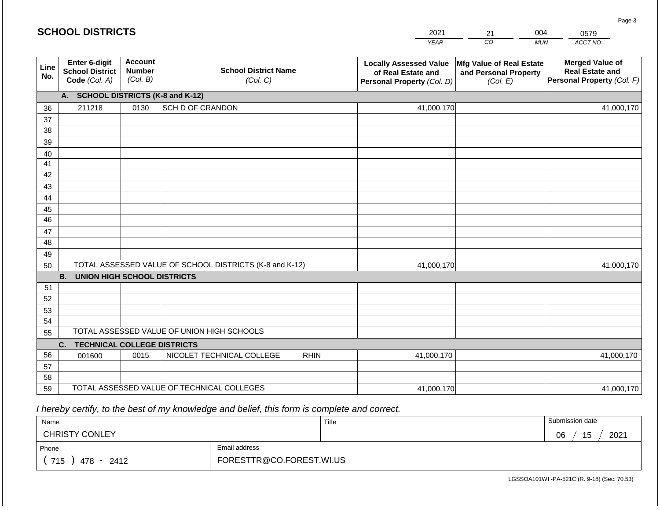|             | <b>SCHOOL DISTRICTS</b>                                  |                                             |                                                         |             | 2021                                                                              | 21                                                            | 004        | 0579                                                                           |
|-------------|----------------------------------------------------------|---------------------------------------------|---------------------------------------------------------|-------------|-----------------------------------------------------------------------------------|---------------------------------------------------------------|------------|--------------------------------------------------------------------------------|
|             |                                                          |                                             |                                                         |             | <b>YEAR</b>                                                                       | CO                                                            | <b>MUN</b> | ACCT NO                                                                        |
| Line<br>No. | Enter 6-digit<br><b>School District</b><br>Code (Col. A) | <b>Account</b><br><b>Number</b><br>(Col. B) | <b>School District Name</b><br>(Col. C)                 |             | <b>Locally Assessed Value</b><br>of Real Estate and<br>Personal Property (Col. D) | Mfg Value of Real Estate<br>and Personal Property<br>(Col. E) |            | <b>Merged Value of</b><br><b>Real Estate and</b><br>Personal Property (Col. F) |
|             | A. SCHOOL DISTRICTS (K-8 and K-12)                       |                                             |                                                         |             |                                                                                   |                                                               |            |                                                                                |
| 36          | 211218                                                   | 0130                                        | SCH D OF CRANDON                                        |             | 41,000,170                                                                        |                                                               |            | 41,000,170                                                                     |
| 37          |                                                          |                                             |                                                         |             |                                                                                   |                                                               |            |                                                                                |
| 38          |                                                          |                                             |                                                         |             |                                                                                   |                                                               |            |                                                                                |
| 39          |                                                          |                                             |                                                         |             |                                                                                   |                                                               |            |                                                                                |
| 40<br>41    |                                                          |                                             |                                                         |             |                                                                                   |                                                               |            |                                                                                |
| 42          |                                                          |                                             |                                                         |             |                                                                                   |                                                               |            |                                                                                |
| 43          |                                                          |                                             |                                                         |             |                                                                                   |                                                               |            |                                                                                |
| 44          |                                                          |                                             |                                                         |             |                                                                                   |                                                               |            |                                                                                |
| 45          |                                                          |                                             |                                                         |             |                                                                                   |                                                               |            |                                                                                |
| 46          |                                                          |                                             |                                                         |             |                                                                                   |                                                               |            |                                                                                |
| 47          |                                                          |                                             |                                                         |             |                                                                                   |                                                               |            |                                                                                |
| 48          |                                                          |                                             |                                                         |             |                                                                                   |                                                               |            |                                                                                |
| 49<br>50    |                                                          |                                             | TOTAL ASSESSED VALUE OF SCHOOL DISTRICTS (K-8 and K-12) |             | 41,000,170                                                                        |                                                               |            | 41,000,170                                                                     |
|             | <b>B. UNION HIGH SCHOOL DISTRICTS</b>                    |                                             |                                                         |             |                                                                                   |                                                               |            |                                                                                |
| 51          |                                                          |                                             |                                                         |             |                                                                                   |                                                               |            |                                                                                |
| 52          |                                                          |                                             |                                                         |             |                                                                                   |                                                               |            |                                                                                |
| 53          |                                                          |                                             |                                                         |             |                                                                                   |                                                               |            |                                                                                |
| 54          |                                                          |                                             |                                                         |             |                                                                                   |                                                               |            |                                                                                |
| 55          |                                                          |                                             | TOTAL ASSESSED VALUE OF UNION HIGH SCHOOLS              |             |                                                                                   |                                                               |            |                                                                                |
|             | C.<br><b>TECHNICAL COLLEGE DISTRICTS</b>                 |                                             |                                                         |             |                                                                                   |                                                               |            |                                                                                |
| 56          | 001600                                                   | 0015                                        | NICOLET TECHNICAL COLLEGE                               | <b>RHIN</b> | 41,000,170                                                                        |                                                               |            | 41,000,170                                                                     |
| 57<br>58    |                                                          |                                             |                                                         |             |                                                                                   |                                                               |            |                                                                                |
| 59          |                                                          |                                             | TOTAL ASSESSED VALUE OF TECHNICAL COLLEGES              |             | 41,000,170                                                                        |                                                               |            | 41,000,170                                                                     |

 *I hereby certify, to the best of my knowledge and belief, this form is complete and correct.*

| Name                  |                          | Title | Submission date  |
|-----------------------|--------------------------|-------|------------------|
| <b>CHRISTY CONLEY</b> |                          |       | 2021<br>15<br>06 |
| Phone                 | Email address            |       |                  |
| 715<br>478 - 2412     | FORESTTR@CO.FOREST.WI.US |       |                  |

Page 3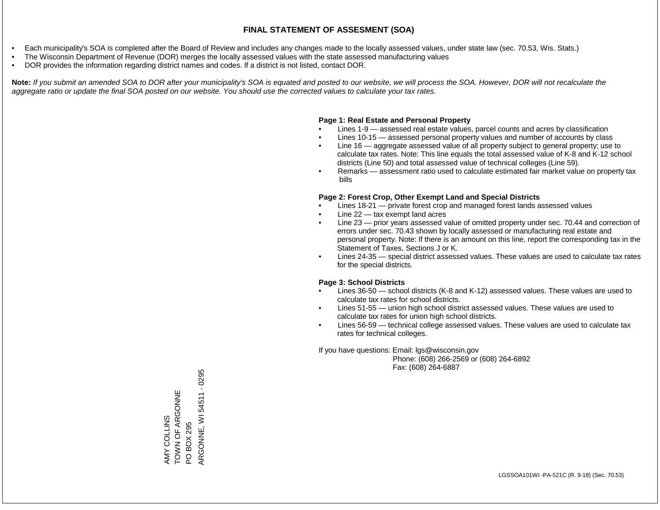- Each municipality's SOA is completed after the Board of Review and includes any changes made to the locally assessed values, under state law (sec. 70.53, Wis. Stats.)
- The Wisconsin Department of Revenue (DOR) merges the locally assessed values with the state assessed manufacturing values
- DOR provides the information regarding district names and codes. If a district is not listed, contact DOR.

Note: If you submit an amended SOA to DOR after your municipality's SOA is equated and posted to our website, we will process the SOA. However, DOR will not recalculate the *aggregate ratio or update the final SOA posted on our website. You should use the corrected values to calculate your tax rates.*

### **Page 1: Real Estate and Personal Property**

- Lines 1-9 assessed real estate values, parcel counts and acres by classification
- Lines 10-15 assessed personal property values and number of accounts by class
- Line 16 aggregate assessed value of all property subject to general property; use to calculate tax rates. Note: This line equals the total assessed value of K-8 and K-12 school districts (Line 50) and total assessed value of technical colleges (Line 59).
- Remarks assessment ratio used to calculate estimated fair market value on property tax bills

### **Page 2: Forest Crop, Other Exempt Land and Special Districts**

- Lines 18-21 private forest crop and managed forest lands assessed values
- Line  $22 -$  tax exempt land acres
- Line 23 prior years assessed value of omitted property under sec. 70.44 and correction of errors under sec. 70.43 shown by locally assessed or manufacturing real estate and personal property. Note: If there is an amount on this line, report the corresponding tax in the Statement of Taxes, Sections J or K.
- Lines 24-35 special district assessed values. These values are used to calculate tax rates for the special districts.

### **Page 3: School Districts**

- Lines 36-50 school districts (K-8 and K-12) assessed values. These values are used to calculate tax rates for school districts.
- Lines 51-55 union high school district assessed values. These values are used to calculate tax rates for union high school districts.
- Lines 56-59 technical college assessed values. These values are used to calculate tax rates for technical colleges.

If you have questions: Email: lgs@wisconsin.gov

 Phone: (608) 266-2569 or (608) 264-6892 Fax: (608) 264-6887

AMY COLLINS<br>TOWN OF AR(<br>PO BOX 295 TOWN OF ARGONNE ARGONNE, WI 54511 - 0295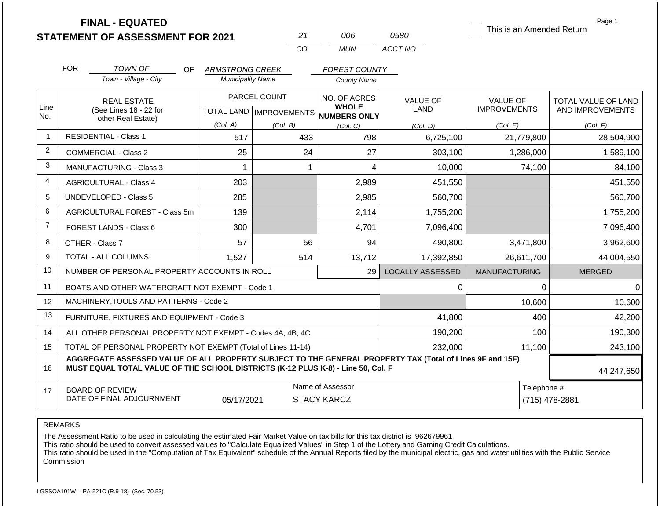|                |                                                                                                                                                                                              | <b>FINAL - EQUATED</b><br><b>STATEMENT OF ASSESSMENT FOR 2021</b> |                          |              | 21                                     | 006                                                  | 0580                    | This is an Amended Return | Page 1              |  |
|----------------|----------------------------------------------------------------------------------------------------------------------------------------------------------------------------------------------|-------------------------------------------------------------------|--------------------------|--------------|----------------------------------------|------------------------------------------------------|-------------------------|---------------------------|---------------------|--|
|                |                                                                                                                                                                                              |                                                                   |                          |              | CO                                     | <b>MUN</b>                                           | ACCT NO                 |                           |                     |  |
|                | <b>FOR</b>                                                                                                                                                                                   | TOWN OF<br>OF.                                                    | ARMSTRONG CREEK          |              |                                        | <b>FOREST COUNTY</b>                                 |                         |                           |                     |  |
|                |                                                                                                                                                                                              | Town - Village - City                                             | <b>Municipality Name</b> |              |                                        | <b>County Name</b>                                   |                         |                           |                     |  |
|                |                                                                                                                                                                                              | <b>REAL ESTATE</b>                                                |                          | PARCEL COUNT |                                        | NO. OF ACRES                                         | <b>VALUE OF</b>         | <b>VALUE OF</b>           | TOTAL VALUE OF LAND |  |
| Line<br>No.    |                                                                                                                                                                                              | (See Lines 18 - 22 for<br>other Real Estate)                      |                          |              |                                        | <b>WHOLE</b><br>TOTAL LAND IMPROVEMENTS NUMBERS ONLY | LAND                    | <b>IMPROVEMENTS</b>       | AND IMPROVEMENTS    |  |
|                |                                                                                                                                                                                              |                                                                   | (Col. A)                 | (Col. B)     |                                        | (Col. C)                                             | (Col, D)                | (Col. E)                  | (Col. F)            |  |
| $\mathbf{1}$   |                                                                                                                                                                                              | <b>RESIDENTIAL - Class 1</b>                                      | 517                      |              | 433                                    | 798                                                  | 6,725,100               | 21,779,800                | 28,504,900          |  |
| $\overline{2}$ |                                                                                                                                                                                              | <b>COMMERCIAL - Class 2</b>                                       | 25                       |              | 24                                     | 27                                                   | 303,100                 | 1,286,000                 | 1,589,100           |  |
| 3              |                                                                                                                                                                                              | <b>MANUFACTURING - Class 3</b>                                    | 1                        |              | 1                                      | $\overline{4}$                                       | 10,000                  | 74,100                    | 84,100              |  |
| $\overline{4}$ |                                                                                                                                                                                              | <b>AGRICULTURAL - Class 4</b>                                     | 203                      |              |                                        | 2,989                                                | 451,550                 |                           | 451,550             |  |
| 5              |                                                                                                                                                                                              | UNDEVELOPED - Class 5                                             | 285                      |              |                                        | 2,985                                                | 560,700                 |                           | 560,700             |  |
| 6              |                                                                                                                                                                                              | <b>AGRICULTURAL FOREST - Class 5m</b>                             | 139                      |              |                                        | 2,114                                                | 1,755,200               |                           | 1,755,200           |  |
| $\overline{7}$ |                                                                                                                                                                                              | <b>FOREST LANDS - Class 6</b>                                     | 300                      |              |                                        | 4,701                                                | 7,096,400               |                           | 7,096,400           |  |
| 8              |                                                                                                                                                                                              | OTHER - Class 7                                                   | 57                       |              | 56                                     | 94                                                   | 490,800                 | 3,471,800                 | 3,962,600           |  |
| 9              |                                                                                                                                                                                              | <b>TOTAL - ALL COLUMNS</b>                                        | 1,527                    |              | 514                                    | 13,712                                               | 17,392,850              | 26,611,700                | 44,004,550          |  |
| 10             |                                                                                                                                                                                              | NUMBER OF PERSONAL PROPERTY ACCOUNTS IN ROLL                      |                          |              |                                        | 29                                                   | <b>LOCALLY ASSESSED</b> | <b>MANUFACTURING</b>      | <b>MERGED</b>       |  |
| 11             |                                                                                                                                                                                              | BOATS AND OTHER WATERCRAFT NOT EXEMPT - Code 1                    |                          |              |                                        |                                                      | 0                       | 0                         | $\Omega$            |  |
| 12             |                                                                                                                                                                                              | MACHINERY, TOOLS AND PATTERNS - Code 2                            |                          |              |                                        |                                                      |                         | 10,600                    | 10,600              |  |
| 13             |                                                                                                                                                                                              | FURNITURE, FIXTURES AND EQUIPMENT - Code 3                        |                          |              |                                        |                                                      | 41,800                  | 400                       | 42,200              |  |
| 14             |                                                                                                                                                                                              | ALL OTHER PERSONAL PROPERTY NOT EXEMPT - Codes 4A, 4B, 4C         |                          |              |                                        |                                                      | 190,200                 | 100                       | 190,300             |  |
| 15             |                                                                                                                                                                                              | TOTAL OF PERSONAL PROPERTY NOT EXEMPT (Total of Lines 11-14)      |                          |              |                                        |                                                      | 232,000                 | 11,100                    | 243,100             |  |
| 16             | AGGREGATE ASSESSED VALUE OF ALL PROPERTY SUBJECT TO THE GENERAL PROPERTY TAX (Total of Lines 9F and 15F)<br>MUST EQUAL TOTAL VALUE OF THE SCHOOL DISTRICTS (K-12 PLUS K-8) - Line 50, Col. F |                                                                   |                          |              |                                        |                                                      |                         |                           |                     |  |
| 17             |                                                                                                                                                                                              | <b>BOARD OF REVIEW</b><br>DATE OF FINAL ADJOURNMENT               | 05/17/2021               |              | Name of Assessor<br><b>STACY KARCZ</b> |                                                      | Telephone #             | (715) 478-2881            |                     |  |

The Assessment Ratio to be used in calculating the estimated Fair Market Value on tax bills for this tax district is .962679961

This ratio should be used to convert assessed values to "Calculate Equalized Values" in Step 1 of the Lottery and Gaming Credit Calculations.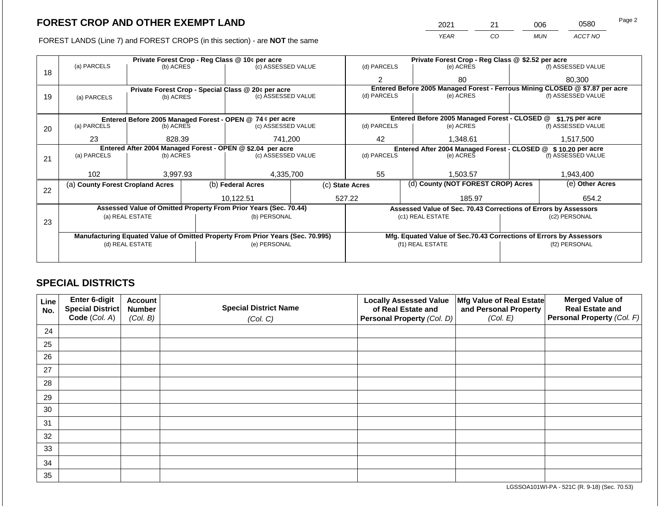FOREST LANDS (Line 7) and FOREST CROPS (in this section) - are NOT the same

|    |                                                            |                         |  | Private Forest Crop - Reg Class @ 10¢ per acre                                 |    | Private Forest Crop - Reg Class @ \$2.52 per acre                |          |                                                                    |                 |                                                                              |
|----|------------------------------------------------------------|-------------------------|--|--------------------------------------------------------------------------------|----|------------------------------------------------------------------|----------|--------------------------------------------------------------------|-----------------|------------------------------------------------------------------------------|
|    | (a) PARCELS                                                | (b) ACRES               |  | (c) ASSESSED VALUE                                                             |    | (d) PARCELS                                                      |          | (e) ACRES                                                          |                 | (f) ASSESSED VALUE                                                           |
| 18 |                                                            |                         |  |                                                                                |    | 2                                                                |          | 80                                                                 |                 | 80,300                                                                       |
|    |                                                            |                         |  | Private Forest Crop - Special Class @ 20¢ per acre                             |    |                                                                  |          |                                                                    |                 | Entered Before 2005 Managed Forest - Ferrous Mining CLOSED @ \$7.87 per acre |
| 19 | (a) PARCELS                                                | (b) ACRES               |  | (c) ASSESSED VALUE                                                             |    | (d) PARCELS                                                      |          | (e) ACRES                                                          |                 | (f) ASSESSED VALUE                                                           |
|    |                                                            |                         |  |                                                                                |    |                                                                  |          |                                                                    |                 |                                                                              |
|    |                                                            |                         |  | Entered Before 2005 Managed Forest - OPEN @ 74 ¢ per acre                      |    | Entered Before 2005 Managed Forest - CLOSED @<br>\$1.75 per acre |          |                                                                    |                 |                                                                              |
| 20 | (a) PARCELS                                                | (b) ACRES               |  | (c) ASSESSED VALUE                                                             |    | (d) PARCELS                                                      |          | (e) ACRES                                                          |                 | (f) ASSESSED VALUE                                                           |
|    |                                                            |                         |  |                                                                                |    |                                                                  |          |                                                                    |                 |                                                                              |
|    |                                                            | 741,200<br>23<br>828.39 |  |                                                                                | 42 |                                                                  | 1,348.61 |                                                                    | 1,517,500       |                                                                              |
|    | Entered After 2004 Managed Forest - OPEN @ \$2.04 per acre |                         |  |                                                                                |    |                                                                  |          | Entered After 2004 Managed Forest - CLOSED @                       |                 | \$10,20 per acre                                                             |
| 21 | (a) PARCELS                                                | (b) ACRES               |  | (c) ASSESSED VALUE                                                             |    | (d) PARCELS                                                      |          | (e) ACRES                                                          |                 | (f) ASSESSED VALUE                                                           |
|    |                                                            |                         |  |                                                                                |    |                                                                  |          |                                                                    |                 |                                                                              |
|    | 102                                                        | 3,997.93                |  | 4,335,700                                                                      |    | 55                                                               |          | 1,503.57                                                           |                 | 1,943,400                                                                    |
| 22 | (a) County Forest Cropland Acres                           |                         |  | (b) Federal Acres                                                              |    | (c) State Acres                                                  |          | (d) County (NOT FOREST CROP) Acres                                 | (e) Other Acres |                                                                              |
|    |                                                            |                         |  | 10.122.51                                                                      |    | 527.22                                                           |          | 185.97                                                             |                 | 654.2                                                                        |
|    |                                                            |                         |  | Assessed Value of Omitted Property From Prior Years (Sec. 70.44)               |    |                                                                  |          | Assessed Value of Sec. 70.43 Corrections of Errors by Assessors    |                 |                                                                              |
|    |                                                            | (a) REAL ESTATE         |  | (b) PERSONAL                                                                   |    |                                                                  |          | (c1) REAL ESTATE                                                   |                 | (c2) PERSONAL                                                                |
| 23 |                                                            |                         |  |                                                                                |    |                                                                  |          |                                                                    |                 |                                                                              |
|    |                                                            |                         |  | Manufacturing Equated Value of Omitted Property From Prior Years (Sec. 70.995) |    |                                                                  |          | Mfg. Equated Value of Sec.70.43 Corrections of Errors by Assessors |                 |                                                                              |
|    |                                                            | (d) REAL ESTATE         |  | (e) PERSONAL                                                                   |    | (f1) REAL ESTATE                                                 |          |                                                                    | (f2) PERSONAL   |                                                                              |
|    |                                                            |                         |  |                                                                                |    |                                                                  |          |                                                                    |                 |                                                                              |
|    |                                                            |                         |  |                                                                                |    |                                                                  |          |                                                                    |                 |                                                                              |

# **SPECIAL DISTRICTS**

| Line<br>No. | Enter 6-digit<br>Special District<br>Code (Col. A) | <b>Account</b><br><b>Number</b><br>(Col. B) | <b>Special District Name</b><br>(Col. C) | <b>Locally Assessed Value</b><br>of Real Estate and<br>Personal Property (Col. D) | Mfg Value of Real Estate<br>and Personal Property<br>(Col. E) | <b>Merged Value of</b><br><b>Real Estate and</b><br>Personal Property (Col. F) |
|-------------|----------------------------------------------------|---------------------------------------------|------------------------------------------|-----------------------------------------------------------------------------------|---------------------------------------------------------------|--------------------------------------------------------------------------------|
| 24          |                                                    |                                             |                                          |                                                                                   |                                                               |                                                                                |
| 25          |                                                    |                                             |                                          |                                                                                   |                                                               |                                                                                |
| 26          |                                                    |                                             |                                          |                                                                                   |                                                               |                                                                                |
| 27          |                                                    |                                             |                                          |                                                                                   |                                                               |                                                                                |
| 28          |                                                    |                                             |                                          |                                                                                   |                                                               |                                                                                |
| 29          |                                                    |                                             |                                          |                                                                                   |                                                               |                                                                                |
| 30          |                                                    |                                             |                                          |                                                                                   |                                                               |                                                                                |
| 31          |                                                    |                                             |                                          |                                                                                   |                                                               |                                                                                |
| 32          |                                                    |                                             |                                          |                                                                                   |                                                               |                                                                                |
| 33          |                                                    |                                             |                                          |                                                                                   |                                                               |                                                                                |
| 34          |                                                    |                                             |                                          |                                                                                   |                                                               |                                                                                |
| 35          |                                                    |                                             |                                          |                                                                                   |                                                               |                                                                                |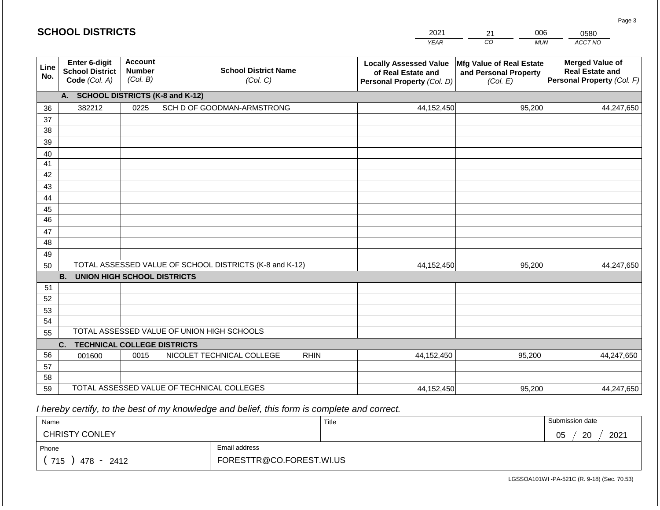|             |                                                          |                                             |                                                         | <b>YEAR</b>                                                                       | $\overline{co}$<br><b>MUN</b>                                 | ACCT NO                                                                        |
|-------------|----------------------------------------------------------|---------------------------------------------|---------------------------------------------------------|-----------------------------------------------------------------------------------|---------------------------------------------------------------|--------------------------------------------------------------------------------|
| Line<br>No. | Enter 6-digit<br><b>School District</b><br>Code (Col. A) | <b>Account</b><br><b>Number</b><br>(Col. B) | <b>School District Name</b><br>(Col. C)                 | <b>Locally Assessed Value</b><br>of Real Estate and<br>Personal Property (Col. D) | Mfg Value of Real Estate<br>and Personal Property<br>(Col. E) | <b>Merged Value of</b><br><b>Real Estate and</b><br>Personal Property (Col. F) |
|             | A.                                                       |                                             | <b>SCHOOL DISTRICTS (K-8 and K-12)</b>                  |                                                                                   |                                                               |                                                                                |
| 36          | 382212                                                   | 0225                                        | SCH D OF GOODMAN-ARMSTRONG                              | 44, 152, 450                                                                      | 95,200                                                        | 44,247,650                                                                     |
| 37          |                                                          |                                             |                                                         |                                                                                   |                                                               |                                                                                |
| 38          |                                                          |                                             |                                                         |                                                                                   |                                                               |                                                                                |
| 39          |                                                          |                                             |                                                         |                                                                                   |                                                               |                                                                                |
| 40          |                                                          |                                             |                                                         |                                                                                   |                                                               |                                                                                |
| 41          |                                                          |                                             |                                                         |                                                                                   |                                                               |                                                                                |
| 42          |                                                          |                                             |                                                         |                                                                                   |                                                               |                                                                                |
| 43          |                                                          |                                             |                                                         |                                                                                   |                                                               |                                                                                |
| 44          |                                                          |                                             |                                                         |                                                                                   |                                                               |                                                                                |
| 45          |                                                          |                                             |                                                         |                                                                                   |                                                               |                                                                                |
| 46          |                                                          |                                             |                                                         |                                                                                   |                                                               |                                                                                |
| 47          |                                                          |                                             |                                                         |                                                                                   |                                                               |                                                                                |
| 48          |                                                          |                                             |                                                         |                                                                                   |                                                               |                                                                                |
| 49          |                                                          |                                             |                                                         |                                                                                   |                                                               |                                                                                |
| 50          |                                                          |                                             | TOTAL ASSESSED VALUE OF SCHOOL DISTRICTS (K-8 and K-12) | 44, 152, 450                                                                      | 95,200                                                        | 44,247,650                                                                     |
|             | <b>B.</b><br><b>UNION HIGH SCHOOL DISTRICTS</b>          |                                             |                                                         |                                                                                   |                                                               |                                                                                |
| 51          |                                                          |                                             |                                                         |                                                                                   |                                                               |                                                                                |
| 52          |                                                          |                                             |                                                         |                                                                                   |                                                               |                                                                                |
| 53<br>54    |                                                          |                                             |                                                         |                                                                                   |                                                               |                                                                                |
| 55          |                                                          |                                             | TOTAL ASSESSED VALUE OF UNION HIGH SCHOOLS              |                                                                                   |                                                               |                                                                                |
|             | <b>TECHNICAL COLLEGE DISTRICTS</b><br>C.                 |                                             |                                                         |                                                                                   |                                                               |                                                                                |
| 56          | 001600                                                   | 0015                                        | NICOLET TECHNICAL COLLEGE<br><b>RHIN</b>                | 44, 152, 450                                                                      | 95,200                                                        | 44,247,650                                                                     |
| 57          |                                                          |                                             |                                                         |                                                                                   |                                                               |                                                                                |
| 58          |                                                          |                                             |                                                         |                                                                                   |                                                               |                                                                                |

2021

44,152,450

21

006

 *I hereby certify, to the best of my knowledge and belief, this form is complete and correct.*

59 TOTAL ASSESSED VALUE OF TECHNICAL COLLEGES

**SCHOOL DISTRICTS**

| Name                  |                          | Title | Submission date       |
|-----------------------|--------------------------|-------|-----------------------|
| <b>CHRISTY CONLEY</b> |                          |       | 2021<br>20<br>∩ҕ<br>◡ |
| Phone                 | Email address            |       |                       |
| 715<br>478 -<br>2412  | FORESTTR@CO.FOREST.WI.US |       |                       |

95,200 44,247,650

Page 3

0580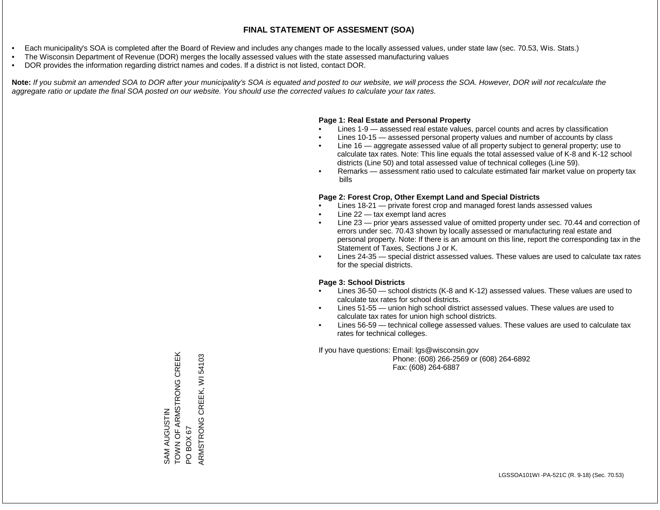- Each municipality's SOA is completed after the Board of Review and includes any changes made to the locally assessed values, under state law (sec. 70.53, Wis. Stats.)
- The Wisconsin Department of Revenue (DOR) merges the locally assessed values with the state assessed manufacturing values
- DOR provides the information regarding district names and codes. If a district is not listed, contact DOR.

Note: If you submit an amended SOA to DOR after your municipality's SOA is equated and posted to our website, we will process the SOA. However, DOR will not recalculate the *aggregate ratio or update the final SOA posted on our website. You should use the corrected values to calculate your tax rates.*

#### **Page 1: Real Estate and Personal Property**

- Lines 1-9 assessed real estate values, parcel counts and acres by classification
- Lines 10-15 assessed personal property values and number of accounts by class
- Line 16 aggregate assessed value of all property subject to general property; use to calculate tax rates. Note: This line equals the total assessed value of K-8 and K-12 school districts (Line 50) and total assessed value of technical colleges (Line 59).
- Remarks assessment ratio used to calculate estimated fair market value on property tax bills

#### **Page 2: Forest Crop, Other Exempt Land and Special Districts**

- Lines 18-21 private forest crop and managed forest lands assessed values
- Line  $22 -$  tax exempt land acres
- Line 23 prior years assessed value of omitted property under sec. 70.44 and correction of errors under sec. 70.43 shown by locally assessed or manufacturing real estate and personal property. Note: If there is an amount on this line, report the corresponding tax in the Statement of Taxes, Sections J or K.
- Lines 24-35 special district assessed values. These values are used to calculate tax rates for the special districts.

#### **Page 3: School Districts**

- Lines 36-50 school districts (K-8 and K-12) assessed values. These values are used to calculate tax rates for school districts.
- Lines 51-55 union high school district assessed values. These values are used to calculate tax rates for union high school districts.
- Lines 56-59 technical college assessed values. These values are used to calculate tax rates for technical colleges.

If you have questions: Email: lgs@wisconsin.gov

 Phone: (608) 266-2569 or (608) 264-6892 Fax: (608) 264-6887

SAM AUGUSTIN TOWN OF ARMSTRONG CREEK SAM AUGUSTIN<br>TOWN OF ARMSTRONG CREEK<br>PO BOX 67<br>ARMSTRONG CREEK, WI 54103 ARMSTRONG CREEK, WI 54103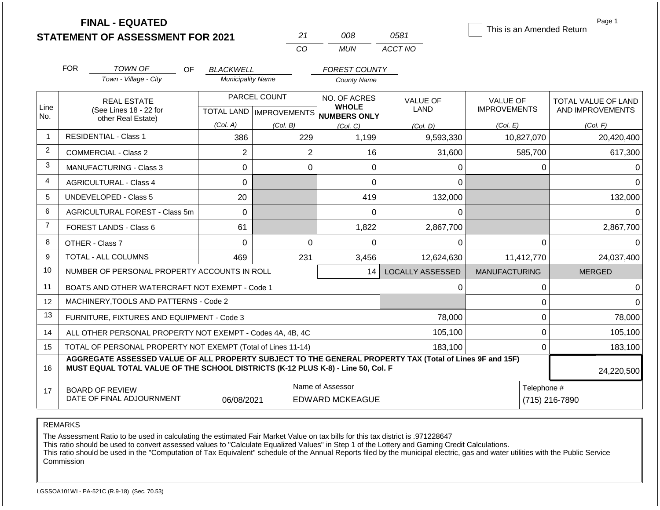|                |                                                     | <b>FINAL - EQUATED</b><br><b>STATEMENT OF ASSESSMENT FOR 2021</b>                                                                                                                            |                          | 21                                        | 008                                                 | 0581                    | This is an Amended Return              | Page 1                                         |
|----------------|-----------------------------------------------------|----------------------------------------------------------------------------------------------------------------------------------------------------------------------------------------------|--------------------------|-------------------------------------------|-----------------------------------------------------|-------------------------|----------------------------------------|------------------------------------------------|
|                |                                                     |                                                                                                                                                                                              |                          | CO                                        | MUN                                                 | ACCT NO                 |                                        |                                                |
|                | <b>FOR</b>                                          | TOWN OF<br>OF.                                                                                                                                                                               | BLACKWELL                |                                           | <b>FOREST COUNTY</b>                                |                         |                                        |                                                |
|                |                                                     | Town - Village - City                                                                                                                                                                        | <b>Municipality Name</b> |                                           | <b>County Name</b>                                  |                         |                                        |                                                |
| Line<br>No.    |                                                     | <b>REAL ESTATE</b><br>(See Lines 18 - 22 for                                                                                                                                                 |                          | PARCEL COUNT<br>TOTAL LAND   IMPROVEMENTS | NO. OF ACRES<br><b>WHOLE</b><br><b>NUMBERS ONLY</b> | <b>VALUE OF</b><br>LAND | <b>VALUE OF</b><br><b>IMPROVEMENTS</b> | <b>TOTAL VALUE OF LAND</b><br>AND IMPROVEMENTS |
|                |                                                     | other Real Estate)                                                                                                                                                                           | (Col. A)                 | (Col. B)                                  | (Col. C)                                            | (Col. D)                | (Col. E)                               | (Col. F)                                       |
| $\mathbf 1$    |                                                     | <b>RESIDENTIAL - Class 1</b>                                                                                                                                                                 | 386                      | 229                                       | 1,199                                               | 9,593,330               | 10,827,070                             | 20,420,400                                     |
| $\overline{2}$ |                                                     | <b>COMMERCIAL - Class 2</b>                                                                                                                                                                  | $\overline{2}$           |                                           | $\overline{2}$<br>16                                | 31.600                  | 585,700                                | 617,300                                        |
| 3              |                                                     | <b>MANUFACTURING - Class 3</b>                                                                                                                                                               | $\Omega$                 |                                           | $\Omega$<br>0                                       | 0                       | $\Omega$                               | $\Omega$                                       |
| 4              |                                                     | <b>AGRICULTURAL - Class 4</b>                                                                                                                                                                | $\overline{0}$           |                                           | $\overline{0}$                                      | 0                       |                                        | $\Omega$                                       |
| 5              |                                                     | <b>UNDEVELOPED - Class 5</b>                                                                                                                                                                 | 20                       |                                           | 419                                                 | 132,000                 |                                        | 132,000                                        |
| 6              |                                                     | AGRICULTURAL FOREST - Class 5m                                                                                                                                                               | $\mathbf 0$              |                                           | 0                                                   | 0                       |                                        | $\Omega$                                       |
| $\overline{7}$ |                                                     | <b>FOREST LANDS - Class 6</b>                                                                                                                                                                | 61                       |                                           | 1,822                                               | 2,867,700               |                                        | 2,867,700                                      |
| 8              |                                                     | OTHER - Class 7                                                                                                                                                                              | $\Omega$                 |                                           | $\mathbf 0$<br>0                                    | $\Omega$                | $\Omega$                               | $\Omega$                                       |
| 9              |                                                     | <b>TOTAL - ALL COLUMNS</b>                                                                                                                                                                   | 469                      | 231                                       | 3,456                                               | 12,624,630              | 11,412,770                             | 24,037,400                                     |
| 10             |                                                     | NUMBER OF PERSONAL PROPERTY ACCOUNTS IN ROLL                                                                                                                                                 |                          |                                           | 14                                                  | <b>LOCALLY ASSESSED</b> | <b>MANUFACTURING</b>                   | <b>MERGED</b>                                  |
| 11             |                                                     | BOATS AND OTHER WATERCRAFT NOT EXEMPT - Code 1                                                                                                                                               |                          |                                           |                                                     | 0                       | 0                                      | $\Omega$                                       |
| 12             |                                                     | MACHINERY, TOOLS AND PATTERNS - Code 2                                                                                                                                                       |                          |                                           |                                                     |                         | $\mathbf 0$                            | $\Omega$                                       |
| 13             |                                                     | FURNITURE, FIXTURES AND EQUIPMENT - Code 3                                                                                                                                                   |                          |                                           |                                                     | 78,000                  | $\mathbf 0$                            | 78,000                                         |
| 14             |                                                     | ALL OTHER PERSONAL PROPERTY NOT EXEMPT - Codes 4A, 4B, 4C                                                                                                                                    |                          |                                           |                                                     | 105,100                 | $\mathbf 0$                            | 105,100                                        |
| 15             |                                                     | TOTAL OF PERSONAL PROPERTY NOT EXEMPT (Total of Lines 11-14)                                                                                                                                 |                          |                                           |                                                     | 183,100                 | $\mathbf 0$                            | 183,100                                        |
| 16             |                                                     | AGGREGATE ASSESSED VALUE OF ALL PROPERTY SUBJECT TO THE GENERAL PROPERTY TAX (Total of Lines 9F and 15F)<br>MUST EQUAL TOTAL VALUE OF THE SCHOOL DISTRICTS (K-12 PLUS K-8) - Line 50, Col. F |                          |                                           |                                                     |                         |                                        | 24,220,500                                     |
| 17             | <b>BOARD OF REVIEW</b><br>DATE OF FINAL ADJOURNMENT | Telephone #                                                                                                                                                                                  | (715) 216-7890           |                                           |                                                     |                         |                                        |                                                |

The Assessment Ratio to be used in calculating the estimated Fair Market Value on tax bills for this tax district is .971228647

This ratio should be used to convert assessed values to "Calculate Equalized Values" in Step 1 of the Lottery and Gaming Credit Calculations.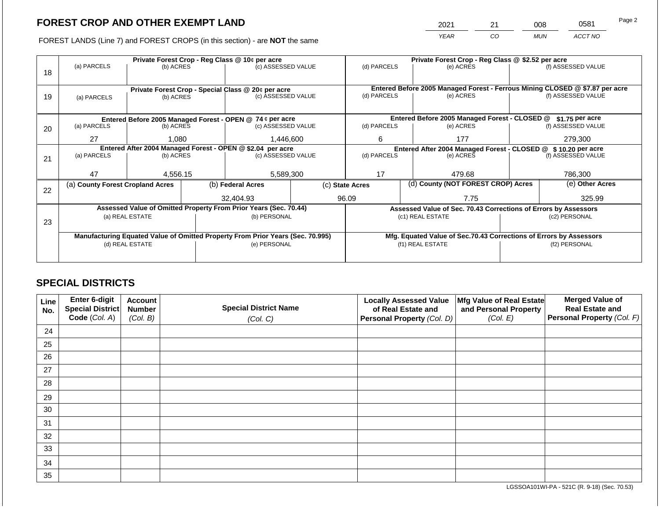2021 21 008 0581

FOREST LANDS (Line 7) and FOREST CROPS (in this section) - are **NOT** the same *YEAR CO MUN ACCT NO*

|    |                                                            |                 |  | Private Forest Crop - Reg Class @ 10¢ per acre                                 |  | Private Forest Crop - Reg Class @ \$2.52 per acre                |                                                               |                                                                    |                                                                                                    |                    |  |
|----|------------------------------------------------------------|-----------------|--|--------------------------------------------------------------------------------|--|------------------------------------------------------------------|---------------------------------------------------------------|--------------------------------------------------------------------|----------------------------------------------------------------------------------------------------|--------------------|--|
|    | (a) PARCELS                                                | (b) ACRES       |  | (c) ASSESSED VALUE                                                             |  | (d) PARCELS                                                      |                                                               | (e) ACRES                                                          |                                                                                                    | (f) ASSESSED VALUE |  |
| 18 |                                                            |                 |  |                                                                                |  |                                                                  |                                                               |                                                                    |                                                                                                    |                    |  |
|    |                                                            |                 |  |                                                                                |  |                                                                  |                                                               |                                                                    |                                                                                                    |                    |  |
|    |                                                            |                 |  | Private Forest Crop - Special Class @ 20¢ per acre                             |  | (d) PARCELS                                                      |                                                               | (e) ACRES                                                          | Entered Before 2005 Managed Forest - Ferrous Mining CLOSED @ \$7.87 per acre<br>(f) ASSESSED VALUE |                    |  |
| 19 | (a) PARCELS                                                | (b) ACRES       |  | (c) ASSESSED VALUE                                                             |  |                                                                  |                                                               |                                                                    |                                                                                                    |                    |  |
|    |                                                            |                 |  |                                                                                |  |                                                                  |                                                               |                                                                    |                                                                                                    |                    |  |
|    |                                                            |                 |  | Entered Before 2005 Managed Forest - OPEN @ 74 ¢ per acre                      |  | Entered Before 2005 Managed Forest - CLOSED @<br>\$1.75 per acre |                                                               |                                                                    |                                                                                                    |                    |  |
| 20 | (a) PARCELS                                                | (b) ACRES       |  | (c) ASSESSED VALUE                                                             |  | (d) PARCELS                                                      |                                                               | (e) ACRES                                                          |                                                                                                    | (f) ASSESSED VALUE |  |
|    |                                                            |                 |  |                                                                                |  |                                                                  |                                                               |                                                                    |                                                                                                    |                    |  |
|    | 27                                                         | 1,080           |  | 1,446,600                                                                      |  | 6<br>177                                                         |                                                               | 279,300                                                            |                                                                                                    |                    |  |
|    | Entered After 2004 Managed Forest - OPEN @ \$2.04 per acre |                 |  |                                                                                |  |                                                                  | Entered After 2004 Managed Forest - CLOSED @ \$10.20 per acre |                                                                    |                                                                                                    |                    |  |
| 21 | (a) PARCELS                                                | (b) ACRES       |  | (c) ASSESSED VALUE                                                             |  | (d) PARCELS                                                      |                                                               | (e) ACRES                                                          |                                                                                                    | (f) ASSESSED VALUE |  |
|    |                                                            |                 |  |                                                                                |  |                                                                  |                                                               |                                                                    |                                                                                                    |                    |  |
|    | 47                                                         | 4,556.15        |  | 5,589,300                                                                      |  | 17                                                               |                                                               | 479.68                                                             |                                                                                                    | 786,300            |  |
|    | (a) County Forest Cropland Acres                           |                 |  | (b) Federal Acres                                                              |  | (c) State Acres                                                  |                                                               | (d) County (NOT FOREST CROP) Acres                                 |                                                                                                    | (e) Other Acres    |  |
| 22 |                                                            |                 |  |                                                                                |  |                                                                  |                                                               |                                                                    |                                                                                                    |                    |  |
|    |                                                            |                 |  | 32,404.93                                                                      |  | 96.09                                                            |                                                               | 7.75                                                               |                                                                                                    | 325.99             |  |
|    |                                                            |                 |  | Assessed Value of Omitted Property From Prior Years (Sec. 70.44)               |  |                                                                  |                                                               | Assessed Value of Sec. 70.43 Corrections of Errors by Assessors    |                                                                                                    |                    |  |
|    |                                                            | (a) REAL ESTATE |  | (b) PERSONAL                                                                   |  |                                                                  |                                                               | (c1) REAL ESTATE                                                   |                                                                                                    | (c2) PERSONAL      |  |
| 23 |                                                            |                 |  |                                                                                |  |                                                                  |                                                               |                                                                    |                                                                                                    |                    |  |
|    |                                                            |                 |  | Manufacturing Equated Value of Omitted Property From Prior Years (Sec. 70.995) |  |                                                                  |                                                               | Mfg. Equated Value of Sec.70.43 Corrections of Errors by Assessors |                                                                                                    |                    |  |
|    |                                                            | (d) REAL ESTATE |  | (e) PERSONAL                                                                   |  |                                                                  |                                                               | (f1) REAL ESTATE                                                   | (f2) PERSONAL                                                                                      |                    |  |
|    |                                                            |                 |  |                                                                                |  |                                                                  |                                                               |                                                                    |                                                                                                    |                    |  |
|    |                                                            |                 |  |                                                                                |  |                                                                  |                                                               |                                                                    |                                                                                                    |                    |  |

# **SPECIAL DISTRICTS**

| Line<br>No. | Enter 6-digit<br>Special District<br>Code (Col. A) | <b>Account</b><br><b>Number</b><br>(Col. B) | <b>Special District Name</b><br>(Col. C) | <b>Locally Assessed Value</b><br>of Real Estate and<br><b>Personal Property (Col. D)</b> | Mfg Value of Real Estate<br>and Personal Property<br>(Col. E) | <b>Merged Value of</b><br><b>Real Estate and</b><br>Personal Property (Col. F) |
|-------------|----------------------------------------------------|---------------------------------------------|------------------------------------------|------------------------------------------------------------------------------------------|---------------------------------------------------------------|--------------------------------------------------------------------------------|
| 24          |                                                    |                                             |                                          |                                                                                          |                                                               |                                                                                |
| 25          |                                                    |                                             |                                          |                                                                                          |                                                               |                                                                                |
| 26          |                                                    |                                             |                                          |                                                                                          |                                                               |                                                                                |
| 27          |                                                    |                                             |                                          |                                                                                          |                                                               |                                                                                |
| 28          |                                                    |                                             |                                          |                                                                                          |                                                               |                                                                                |
| 29          |                                                    |                                             |                                          |                                                                                          |                                                               |                                                                                |
| 30          |                                                    |                                             |                                          |                                                                                          |                                                               |                                                                                |
| 31          |                                                    |                                             |                                          |                                                                                          |                                                               |                                                                                |
| 32          |                                                    |                                             |                                          |                                                                                          |                                                               |                                                                                |
| 33          |                                                    |                                             |                                          |                                                                                          |                                                               |                                                                                |
| 34          |                                                    |                                             |                                          |                                                                                          |                                                               |                                                                                |
| 35          |                                                    |                                             |                                          |                                                                                          |                                                               |                                                                                |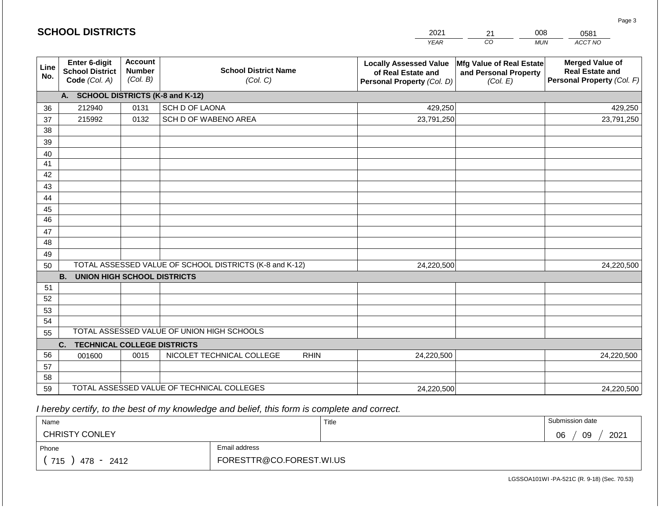| <b>SCHOOL DISTRICTS</b> |                                                                 |                                             |                                                         |             | 2021                                                                              | 21                                                            | 008        | 0581                                                                           |
|-------------------------|-----------------------------------------------------------------|---------------------------------------------|---------------------------------------------------------|-------------|-----------------------------------------------------------------------------------|---------------------------------------------------------------|------------|--------------------------------------------------------------------------------|
|                         |                                                                 |                                             |                                                         |             | <b>YEAR</b>                                                                       | CO                                                            | <b>MUN</b> | ACCT NO                                                                        |
| Line<br>No.             | <b>Enter 6-digit</b><br><b>School District</b><br>Code (Col. A) | <b>Account</b><br><b>Number</b><br>(Col. B) | <b>School District Name</b><br>(Col. C)                 |             | <b>Locally Assessed Value</b><br>of Real Estate and<br>Personal Property (Col. D) | Mfg Value of Real Estate<br>and Personal Property<br>(Col. E) |            | <b>Merged Value of</b><br><b>Real Estate and</b><br>Personal Property (Col. F) |
|                         | A. SCHOOL DISTRICTS (K-8 and K-12)                              |                                             |                                                         |             |                                                                                   |                                                               |            |                                                                                |
| 36                      | 212940                                                          | 0131                                        | SCH D OF LAONA                                          |             | 429,250                                                                           |                                                               |            | 429,250                                                                        |
| 37                      | 215992                                                          | 0132                                        | SCH D OF WABENO AREA                                    |             | 23,791,250                                                                        |                                                               |            | 23,791,250                                                                     |
| 38                      |                                                                 |                                             |                                                         |             |                                                                                   |                                                               |            |                                                                                |
| 39                      |                                                                 |                                             |                                                         |             |                                                                                   |                                                               |            |                                                                                |
| 40                      |                                                                 |                                             |                                                         |             |                                                                                   |                                                               |            |                                                                                |
| 41                      |                                                                 |                                             |                                                         |             |                                                                                   |                                                               |            |                                                                                |
| 42                      |                                                                 |                                             |                                                         |             |                                                                                   |                                                               |            |                                                                                |
| 43                      |                                                                 |                                             |                                                         |             |                                                                                   |                                                               |            |                                                                                |
| 44                      |                                                                 |                                             |                                                         |             |                                                                                   |                                                               |            |                                                                                |
| 45<br>46                |                                                                 |                                             |                                                         |             |                                                                                   |                                                               |            |                                                                                |
|                         |                                                                 |                                             |                                                         |             |                                                                                   |                                                               |            |                                                                                |
| 47<br>48                |                                                                 |                                             |                                                         |             |                                                                                   |                                                               |            |                                                                                |
| 49                      |                                                                 |                                             |                                                         |             |                                                                                   |                                                               |            |                                                                                |
| 50                      |                                                                 |                                             | TOTAL ASSESSED VALUE OF SCHOOL DISTRICTS (K-8 and K-12) |             | 24,220,500                                                                        |                                                               |            | 24,220,500                                                                     |
|                         | <b>B. UNION HIGH SCHOOL DISTRICTS</b>                           |                                             |                                                         |             |                                                                                   |                                                               |            |                                                                                |
| 51                      |                                                                 |                                             |                                                         |             |                                                                                   |                                                               |            |                                                                                |
| 52                      |                                                                 |                                             |                                                         |             |                                                                                   |                                                               |            |                                                                                |
| 53                      |                                                                 |                                             |                                                         |             |                                                                                   |                                                               |            |                                                                                |
| 54                      |                                                                 |                                             |                                                         |             |                                                                                   |                                                               |            |                                                                                |
| 55                      |                                                                 |                                             | TOTAL ASSESSED VALUE OF UNION HIGH SCHOOLS              |             |                                                                                   |                                                               |            |                                                                                |
|                         | C.<br><b>TECHNICAL COLLEGE DISTRICTS</b>                        |                                             |                                                         |             |                                                                                   |                                                               |            |                                                                                |
| 56                      | 001600                                                          | 0015                                        | NICOLET TECHNICAL COLLEGE                               | <b>RHIN</b> | 24,220,500                                                                        |                                                               |            | 24,220,500                                                                     |
| 57                      |                                                                 |                                             |                                                         |             |                                                                                   |                                                               |            |                                                                                |
| 58                      |                                                                 |                                             |                                                         |             |                                                                                   |                                                               |            |                                                                                |
| 59                      |                                                                 |                                             | TOTAL ASSESSED VALUE OF TECHNICAL COLLEGES              |             | 24,220,500                                                                        |                                                               |            | 24,220,500                                                                     |

 *I hereby certify, to the best of my knowledge and belief, this form is complete and correct.*

**SCHOOL DISTRICTS**

| Name                  |                          | Title | Submission date  |
|-----------------------|--------------------------|-------|------------------|
| <b>CHRISTY CONLEY</b> |                          |       | 2021<br>09<br>06 |
| Phone                 | Email address            |       |                  |
| 715<br>478 -<br>2412  | FORESTTR@CO.FOREST.WI.US |       |                  |

Page 3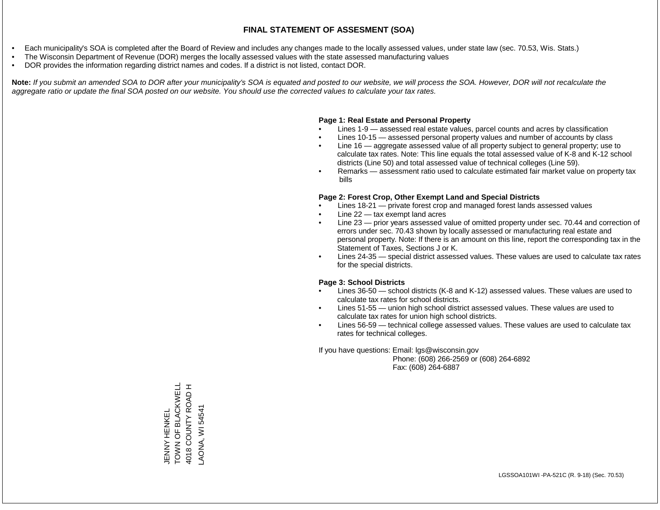- Each municipality's SOA is completed after the Board of Review and includes any changes made to the locally assessed values, under state law (sec. 70.53, Wis. Stats.)
- The Wisconsin Department of Revenue (DOR) merges the locally assessed values with the state assessed manufacturing values
- DOR provides the information regarding district names and codes. If a district is not listed, contact DOR.

Note: If you submit an amended SOA to DOR after your municipality's SOA is equated and posted to our website, we will process the SOA. However, DOR will not recalculate the *aggregate ratio or update the final SOA posted on our website. You should use the corrected values to calculate your tax rates.*

#### **Page 1: Real Estate and Personal Property**

- Lines 1-9 assessed real estate values, parcel counts and acres by classification
- Lines 10-15 assessed personal property values and number of accounts by class
- Line 16 aggregate assessed value of all property subject to general property; use to calculate tax rates. Note: This line equals the total assessed value of K-8 and K-12 school districts (Line 50) and total assessed value of technical colleges (Line 59).
- Remarks assessment ratio used to calculate estimated fair market value on property tax bills

#### **Page 2: Forest Crop, Other Exempt Land and Special Districts**

- Lines 18-21 private forest crop and managed forest lands assessed values
- Line  $22 -$  tax exempt land acres
- Line 23 prior years assessed value of omitted property under sec. 70.44 and correction of errors under sec. 70.43 shown by locally assessed or manufacturing real estate and personal property. Note: If there is an amount on this line, report the corresponding tax in the Statement of Taxes, Sections J or K.
- Lines 24-35 special district assessed values. These values are used to calculate tax rates for the special districts.

#### **Page 3: School Districts**

- Lines 36-50 school districts (K-8 and K-12) assessed values. These values are used to calculate tax rates for school districts.
- Lines 51-55 union high school district assessed values. These values are used to calculate tax rates for union high school districts.
- Lines 56-59 technical college assessed values. These values are used to calculate tax rates for technical colleges.

If you have questions: Email: lgs@wisconsin.gov

 Phone: (608) 266-2569 or (608) 264-6892 Fax: (608) 264-6887

TOWN OF BLACKWELL JENNY HENKEL<br>TOWN OF BLACKWELL 4018 COUNTY ROAD H 4018 COUNTY ROAD H **AONA, WI 54541** LAONA, WI 54541JENNY HENKEL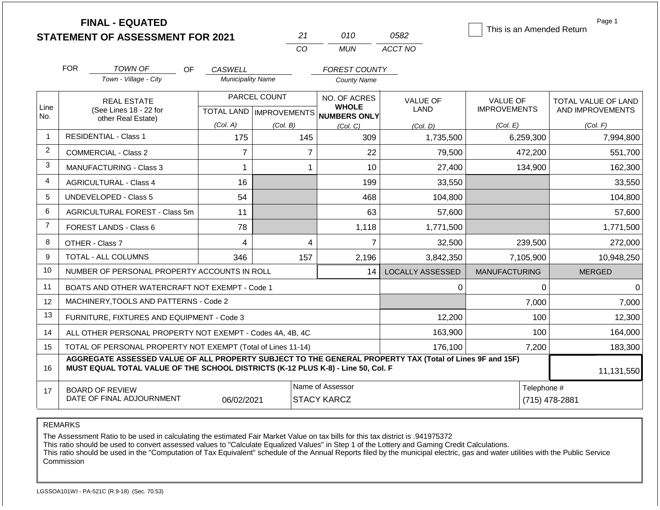|                | <b>FINAL - EQUATED</b>                                                                                                                                                                       |                          | 21             | 010                                                      | 0582                    | This is an Amended Return | Page 1              |
|----------------|----------------------------------------------------------------------------------------------------------------------------------------------------------------------------------------------|--------------------------|----------------|----------------------------------------------------------|-------------------------|---------------------------|---------------------|
|                | <b>STATEMENT OF ASSESSMENT FOR 2021</b>                                                                                                                                                      |                          | CO             | <b>MUN</b>                                               | ACCT NO                 |                           |                     |
|                |                                                                                                                                                                                              |                          |                |                                                          |                         |                           |                     |
|                | <b>FOR</b><br>TOWN OF                                                                                                                                                                        | OF<br><b>CASWELL</b>     |                | <b>FOREST COUNTY</b>                                     |                         |                           |                     |
|                | Town - Village - City                                                                                                                                                                        | <b>Municipality Name</b> |                | <b>County Name</b>                                       |                         |                           |                     |
|                | <b>REAL ESTATE</b>                                                                                                                                                                           |                          | PARCEL COUNT   | NO. OF ACRES                                             | <b>VALUE OF</b>         | <b>VALUE OF</b>           | TOTAL VALUE OF LAND |
| Line<br>No.    | (See Lines 18 - 22 for<br>other Real Estate)                                                                                                                                                 |                          |                | <b>WHOLE</b><br>TOTAL LAND   IMPROVEMENTS   NUMBERS ONLY | LAND                    | <b>IMPROVEMENTS</b>       | AND IMPROVEMENTS    |
|                |                                                                                                                                                                                              | (Col. A)                 | (Col. B)       | (Col, C)                                                 | (Col. D)                | (Col. E)                  | (Col. F)            |
| $\overline{1}$ | <b>RESIDENTIAL - Class 1</b>                                                                                                                                                                 | 175                      | 145            | 309                                                      | 1,735,500               | 6,259,300                 | 7,994,800           |
| 2              | <b>COMMERCIAL - Class 2</b>                                                                                                                                                                  | $\overline{7}$           | $\overline{7}$ | 22                                                       | 79,500                  | 472,200                   | 551,700             |
| 3              | <b>MANUFACTURING - Class 3</b>                                                                                                                                                               | 1                        | 1              | 10                                                       | 27,400                  | 134,900                   | 162,300             |
| $\overline{4}$ | <b>AGRICULTURAL - Class 4</b>                                                                                                                                                                | 16                       |                | 199                                                      | 33,550                  |                           | 33,550              |
| 5              | <b>UNDEVELOPED - Class 5</b>                                                                                                                                                                 | 54                       |                | 468                                                      | 104,800                 |                           | 104,800             |
| 6              | <b>AGRICULTURAL FOREST - Class 5m</b>                                                                                                                                                        | 11                       |                | 63                                                       | 57,600                  |                           | 57,600              |
| $\overline{7}$ | FOREST LANDS - Class 6                                                                                                                                                                       | 78                       |                | 1,118                                                    | 1,771,500               |                           | 1,771,500           |
| 8              | OTHER - Class 7                                                                                                                                                                              | 4                        | $\overline{4}$ | $\overline{7}$                                           | 32,500                  | 239,500                   | 272,000             |
| 9              | TOTAL - ALL COLUMNS                                                                                                                                                                          | 346                      | 157            | 2,196                                                    | 3,842,350               | 7,105,900                 | 10,948,250          |
| 10             | NUMBER OF PERSONAL PROPERTY ACCOUNTS IN ROLL                                                                                                                                                 |                          |                | 14                                                       | <b>LOCALLY ASSESSED</b> | <b>MANUFACTURING</b>      | <b>MERGED</b>       |
| 11             | BOATS AND OTHER WATERCRAFT NOT EXEMPT - Code 1                                                                                                                                               |                          |                |                                                          | $\Omega$                | 0                         | $\Omega$            |
| 12             | MACHINERY, TOOLS AND PATTERNS - Code 2                                                                                                                                                       |                          |                |                                                          |                         | 7,000                     | 7,000               |
| 13             | FURNITURE, FIXTURES AND EQUIPMENT - Code 3                                                                                                                                                   |                          |                |                                                          | 12,200                  | 100                       | 12,300              |
| 14             | ALL OTHER PERSONAL PROPERTY NOT EXEMPT - Codes 4A, 4B, 4C                                                                                                                                    |                          |                |                                                          | 163,900                 | 100                       | 164,000             |
| 15             | TOTAL OF PERSONAL PROPERTY NOT EXEMPT (Total of Lines 11-14)                                                                                                                                 |                          |                |                                                          | 176,100                 | 7,200                     | 183,300             |
| 16             | AGGREGATE ASSESSED VALUE OF ALL PROPERTY SUBJECT TO THE GENERAL PROPERTY TAX (Total of Lines 9F and 15F)<br>MUST EQUAL TOTAL VALUE OF THE SCHOOL DISTRICTS (K-12 PLUS K-8) - Line 50, Col. F |                          |                |                                                          |                         |                           | 11,131,550          |
| 17             | <b>BOARD OF REVIEW</b><br>DATE OF FINAL ADJOURNMENT                                                                                                                                          | Telephone #              | (715) 478-2881 |                                                          |                         |                           |                     |

The Assessment Ratio to be used in calculating the estimated Fair Market Value on tax bills for this tax district is .941975372

This ratio should be used to convert assessed values to "Calculate Equalized Values" in Step 1 of the Lottery and Gaming Credit Calculations.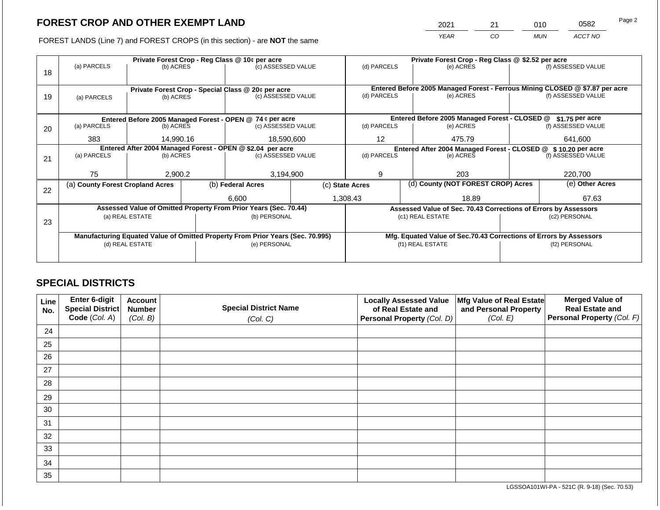2021 21 010 0582

FOREST LANDS (Line 7) and FOREST CROPS (in this section) - are **NOT** the same *YEAR CO MUN ACCT NO*

|    |                                                            |                 | Private Forest Crop - Reg Class @ 10¢ per acre |                                                                                | Private Forest Crop - Reg Class @ \$2.52 per acre |                                                                  |           |                                                                              |                    |                    |
|----|------------------------------------------------------------|-----------------|------------------------------------------------|--------------------------------------------------------------------------------|---------------------------------------------------|------------------------------------------------------------------|-----------|------------------------------------------------------------------------------|--------------------|--------------------|
| 18 | (a) PARCELS                                                | (b) ACRES       |                                                | (c) ASSESSED VALUE                                                             |                                                   | (d) PARCELS                                                      |           | (e) ACRES                                                                    |                    | (f) ASSESSED VALUE |
|    |                                                            |                 |                                                |                                                                                |                                                   |                                                                  |           |                                                                              |                    |                    |
|    |                                                            |                 |                                                | Private Forest Crop - Special Class @ 20¢ per acre                             |                                                   |                                                                  |           | Entered Before 2005 Managed Forest - Ferrous Mining CLOSED @ \$7.87 per acre |                    |                    |
| 19 | (a) PARCELS                                                | (b) ACRES       |                                                | (c) ASSESSED VALUE                                                             |                                                   | (d) PARCELS                                                      |           | (e) ACRES                                                                    |                    | (f) ASSESSED VALUE |
|    |                                                            |                 |                                                |                                                                                |                                                   |                                                                  |           |                                                                              |                    |                    |
|    |                                                            |                 |                                                | Entered Before 2005 Managed Forest - OPEN @ 74 ¢ per acre                      |                                                   | Entered Before 2005 Managed Forest - CLOSED @<br>\$1.75 per acre |           |                                                                              |                    |                    |
| 20 | (a) PARCELS<br>(b) ACRES                                   |                 | (c) ASSESSED VALUE                             |                                                                                | (d) PARCELS                                       |                                                                  | (e) ACRES |                                                                              | (f) ASSESSED VALUE |                    |
|    | 18,590,600<br>383<br>14,990.16                             |                 |                                                | $12 \overline{ }$<br>475.79                                                    |                                                   | 641,600                                                          |           |                                                                              |                    |                    |
|    | Entered After 2004 Managed Forest - OPEN @ \$2.04 per acre |                 |                                                |                                                                                |                                                   |                                                                  |           | Entered After 2004 Managed Forest - CLOSED @ \$ 10.20 per acre               |                    |                    |
| 21 | (a) PARCELS                                                | (b) ACRES       |                                                | (c) ASSESSED VALUE                                                             |                                                   | (d) PARCELS                                                      |           | (e) ACRES                                                                    |                    | (f) ASSESSED VALUE |
|    |                                                            |                 |                                                |                                                                                |                                                   |                                                                  |           |                                                                              |                    |                    |
|    | 75                                                         | 2.900.2         |                                                | 3,194,900                                                                      |                                                   | 9                                                                |           | 203                                                                          |                    | 220,700            |
| 22 | (a) County Forest Cropland Acres                           |                 |                                                | (b) Federal Acres                                                              |                                                   | (c) State Acres                                                  |           | (d) County (NOT FOREST CROP) Acres                                           |                    | (e) Other Acres    |
|    |                                                            |                 |                                                | 6.600                                                                          |                                                   | 1,308.43                                                         |           | 18.89                                                                        |                    | 67.63              |
|    |                                                            |                 |                                                | Assessed Value of Omitted Property From Prior Years (Sec. 70.44)               |                                                   |                                                                  |           | Assessed Value of Sec. 70.43 Corrections of Errors by Assessors              |                    |                    |
|    |                                                            | (a) REAL ESTATE |                                                | (b) PERSONAL                                                                   |                                                   |                                                                  |           | (c1) REAL ESTATE                                                             |                    | (c2) PERSONAL      |
| 23 |                                                            |                 |                                                |                                                                                |                                                   |                                                                  |           |                                                                              |                    |                    |
|    |                                                            |                 |                                                |                                                                                |                                                   |                                                                  |           |                                                                              |                    |                    |
|    |                                                            |                 |                                                | Manufacturing Equated Value of Omitted Property From Prior Years (Sec. 70.995) |                                                   |                                                                  |           | Mfg. Equated Value of Sec.70.43 Corrections of Errors by Assessors           |                    |                    |
|    |                                                            | (d) REAL ESTATE |                                                | (e) PERSONAL                                                                   |                                                   |                                                                  |           | (f1) REAL ESTATE                                                             | (f2) PERSONAL      |                    |
|    |                                                            |                 |                                                |                                                                                |                                                   |                                                                  |           |                                                                              |                    |                    |

# **SPECIAL DISTRICTS**

| Line<br>No. | <b>Enter 6-digit</b><br>Special District | <b>Account</b><br><b>Number</b> | <b>Special District Name</b> | <b>Locally Assessed Value</b><br>of Real Estate and | Mfg Value of Real Estate<br>and Personal Property | <b>Merged Value of</b><br><b>Real Estate and</b> |
|-------------|------------------------------------------|---------------------------------|------------------------------|-----------------------------------------------------|---------------------------------------------------|--------------------------------------------------|
|             | Code (Col. A)                            | (Col. B)                        | (Col. C)                     | Personal Property (Col. D)                          | (Col. E)                                          | Personal Property (Col. F)                       |
| 24          |                                          |                                 |                              |                                                     |                                                   |                                                  |
| 25          |                                          |                                 |                              |                                                     |                                                   |                                                  |
| 26          |                                          |                                 |                              |                                                     |                                                   |                                                  |
| 27          |                                          |                                 |                              |                                                     |                                                   |                                                  |
| 28          |                                          |                                 |                              |                                                     |                                                   |                                                  |
| 29          |                                          |                                 |                              |                                                     |                                                   |                                                  |
| 30          |                                          |                                 |                              |                                                     |                                                   |                                                  |
| 31          |                                          |                                 |                              |                                                     |                                                   |                                                  |
| 32          |                                          |                                 |                              |                                                     |                                                   |                                                  |
| 33          |                                          |                                 |                              |                                                     |                                                   |                                                  |
| 34          |                                          |                                 |                              |                                                     |                                                   |                                                  |
| 35          |                                          |                                 |                              |                                                     |                                                   |                                                  |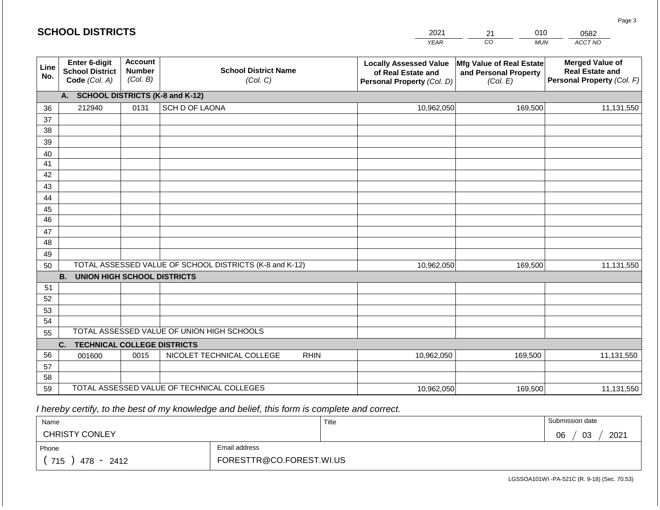|             | <b>SCHOOL DISTRICTS</b>                                  |                                             |                                                         |             | 2021                                                                              | 010<br>21                                                     | 0582                                                                           |
|-------------|----------------------------------------------------------|---------------------------------------------|---------------------------------------------------------|-------------|-----------------------------------------------------------------------------------|---------------------------------------------------------------|--------------------------------------------------------------------------------|
|             |                                                          |                                             |                                                         |             | <b>YEAR</b>                                                                       | CO <sub>.</sub><br><b>MUN</b>                                 | ACCT NO                                                                        |
| Line<br>No. | Enter 6-digit<br><b>School District</b><br>Code (Col. A) | <b>Account</b><br><b>Number</b><br>(Col. B) | <b>School District Name</b><br>(Col. C)                 |             | <b>Locally Assessed Value</b><br>of Real Estate and<br>Personal Property (Col. D) | Mfg Value of Real Estate<br>and Personal Property<br>(Col. E) | <b>Merged Value of</b><br><b>Real Estate and</b><br>Personal Property (Col. F) |
|             | A. SCHOOL DISTRICTS (K-8 and K-12)                       |                                             |                                                         |             |                                                                                   |                                                               |                                                                                |
| 36          | 212940                                                   | 0131                                        | SCH D OF LAONA                                          |             | 10,962,050                                                                        | 169,500                                                       | 11,131,550                                                                     |
| 37          |                                                          |                                             |                                                         |             |                                                                                   |                                                               |                                                                                |
| 38          |                                                          |                                             |                                                         |             |                                                                                   |                                                               |                                                                                |
| 39          |                                                          |                                             |                                                         |             |                                                                                   |                                                               |                                                                                |
| 40          |                                                          |                                             |                                                         |             |                                                                                   |                                                               |                                                                                |
| 41<br>42    |                                                          |                                             |                                                         |             |                                                                                   |                                                               |                                                                                |
| 43          |                                                          |                                             |                                                         |             |                                                                                   |                                                               |                                                                                |
| 44          |                                                          |                                             |                                                         |             |                                                                                   |                                                               |                                                                                |
| 45          |                                                          |                                             |                                                         |             |                                                                                   |                                                               |                                                                                |
| 46          |                                                          |                                             |                                                         |             |                                                                                   |                                                               |                                                                                |
| 47          |                                                          |                                             |                                                         |             |                                                                                   |                                                               |                                                                                |
| 48          |                                                          |                                             |                                                         |             |                                                                                   |                                                               |                                                                                |
| 49          |                                                          |                                             |                                                         |             |                                                                                   |                                                               |                                                                                |
| 50          |                                                          |                                             | TOTAL ASSESSED VALUE OF SCHOOL DISTRICTS (K-8 and K-12) |             | 10,962,050                                                                        | 169,500                                                       | 11,131,550                                                                     |
|             | <b>B.</b><br><b>UNION HIGH SCHOOL DISTRICTS</b>          |                                             |                                                         |             |                                                                                   |                                                               |                                                                                |
| 51          |                                                          |                                             |                                                         |             |                                                                                   |                                                               |                                                                                |
| 52          |                                                          |                                             |                                                         |             |                                                                                   |                                                               |                                                                                |
| 53<br>54    |                                                          |                                             |                                                         |             |                                                                                   |                                                               |                                                                                |
| 55          |                                                          |                                             | TOTAL ASSESSED VALUE OF UNION HIGH SCHOOLS              |             |                                                                                   |                                                               |                                                                                |
|             | <b>TECHNICAL COLLEGE DISTRICTS</b><br>C.                 |                                             |                                                         |             |                                                                                   |                                                               |                                                                                |
| 56          | 001600                                                   | 0015                                        | NICOLET TECHNICAL COLLEGE                               | <b>RHIN</b> | 10,962,050                                                                        | 169,500                                                       | 11,131,550                                                                     |
| 57          |                                                          |                                             |                                                         |             |                                                                                   |                                                               |                                                                                |
| 58          |                                                          |                                             |                                                         |             |                                                                                   |                                                               |                                                                                |
| 59          |                                                          |                                             | TOTAL ASSESSED VALUE OF TECHNICAL COLLEGES              |             | 10,962,050                                                                        | 169,500                                                       | 11,131,550                                                                     |

 *I hereby certify, to the best of my knowledge and belief, this form is complete and correct.*

| Name                  |                          | Title | Submission date  |
|-----------------------|--------------------------|-------|------------------|
| <b>CHRISTY CONLEY</b> |                          |       | 03<br>2021<br>06 |
| Phone                 | Email address            |       |                  |
| 715<br>2412<br>478 -  | FORESTTR@CO.FOREST.WI.US |       |                  |

LGSSOA101WI -PA-521C (R. 9-18) (Sec. 70.53)

Page 3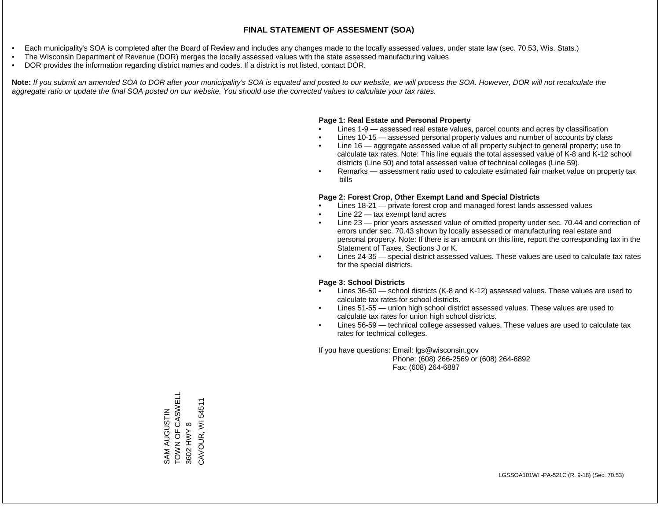- Each municipality's SOA is completed after the Board of Review and includes any changes made to the locally assessed values, under state law (sec. 70.53, Wis. Stats.)
- The Wisconsin Department of Revenue (DOR) merges the locally assessed values with the state assessed manufacturing values
- DOR provides the information regarding district names and codes. If a district is not listed, contact DOR.

Note: If you submit an amended SOA to DOR after your municipality's SOA is equated and posted to our website, we will process the SOA. However, DOR will not recalculate the *aggregate ratio or update the final SOA posted on our website. You should use the corrected values to calculate your tax rates.*

#### **Page 1: Real Estate and Personal Property**

- Lines 1-9 assessed real estate values, parcel counts and acres by classification
- Lines 10-15 assessed personal property values and number of accounts by class
- Line 16 aggregate assessed value of all property subject to general property; use to calculate tax rates. Note: This line equals the total assessed value of K-8 and K-12 school districts (Line 50) and total assessed value of technical colleges (Line 59).
- Remarks assessment ratio used to calculate estimated fair market value on property tax bills

#### **Page 2: Forest Crop, Other Exempt Land and Special Districts**

- Lines 18-21 private forest crop and managed forest lands assessed values
- Line  $22 -$  tax exempt land acres
- Line 23 prior years assessed value of omitted property under sec. 70.44 and correction of errors under sec. 70.43 shown by locally assessed or manufacturing real estate and personal property. Note: If there is an amount on this line, report the corresponding tax in the Statement of Taxes, Sections J or K.
- Lines 24-35 special district assessed values. These values are used to calculate tax rates for the special districts.

#### **Page 3: School Districts**

- Lines 36-50 school districts (K-8 and K-12) assessed values. These values are used to calculate tax rates for school districts.
- Lines 51-55 union high school district assessed values. These values are used to calculate tax rates for union high school districts.
- Lines 56-59 technical college assessed values. These values are used to calculate tax rates for technical colleges.

If you have questions: Email: lgs@wisconsin.gov

 Phone: (608) 266-2569 or (608) 264-6892 Fax: (608) 264-6887

SAM AUGUSTIN TOWN OF CASWELL SAM AUGUSTIN<br>TOWN OF CASWELL<br>3602 HWY 8<br>CAVOUR, WI 54511 CAVOUR, WI 54511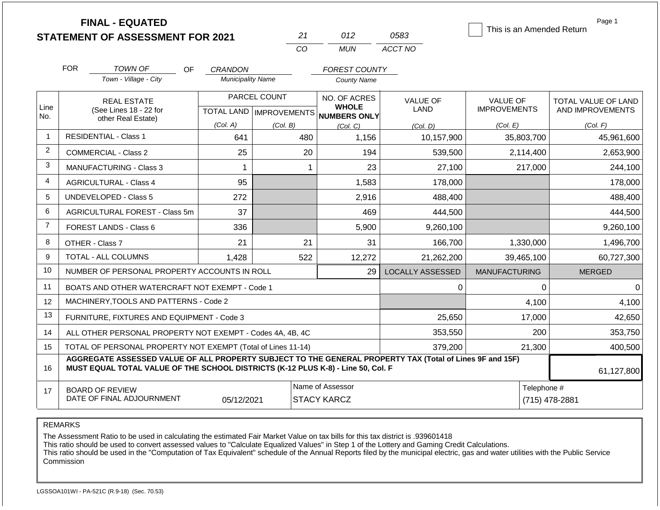|                |            | <b>FINAL - EQUATED</b><br><b>STATEMENT OF ASSESSMENT FOR 2021</b>                                                                                                                            |                          | 21                               | 012                                 | 0583                    | This is an Amended Return | Page 1              |  |
|----------------|------------|----------------------------------------------------------------------------------------------------------------------------------------------------------------------------------------------|--------------------------|----------------------------------|-------------------------------------|-------------------------|---------------------------|---------------------|--|
|                |            |                                                                                                                                                                                              |                          | CO                               | <b>MUN</b>                          | ACCT NO                 |                           |                     |  |
|                | <b>FOR</b> | <b>TOWN OF</b><br>OF                                                                                                                                                                         | <b>CRANDON</b>           |                                  | <b>FOREST COUNTY</b>                |                         |                           |                     |  |
|                |            | Town - Village - City                                                                                                                                                                        | <b>Municipality Name</b> |                                  | <b>County Name</b>                  |                         |                           |                     |  |
|                |            | <b>REAL ESTATE</b>                                                                                                                                                                           |                          | PARCEL COUNT                     | NO. OF ACRES                        | <b>VALUE OF</b>         | VALUE OF                  | TOTAL VALUE OF LAND |  |
| Line<br>No.    |            | (See Lines 18 - 22 for                                                                                                                                                                       |                          | <b>TOTAL LAND   IMPROVEMENTS</b> | <b>WHOLE</b><br><b>NUMBERS ONLY</b> | LAND                    | <b>IMPROVEMENTS</b>       | AND IMPROVEMENTS    |  |
|                |            | other Real Estate)                                                                                                                                                                           | (Col. A)                 | (Col. B)                         | (Col. C)                            | (Col, D)                | (Col. E)                  | (Col. F)            |  |
| $\mathbf 1$    |            | <b>RESIDENTIAL - Class 1</b>                                                                                                                                                                 | 641                      | 480                              | 1,156                               | 10,157,900              | 35,803,700                | 45,961,600          |  |
| 2              |            | <b>COMMERCIAL - Class 2</b>                                                                                                                                                                  | 25                       | 20                               | 194                                 | 539,500                 | 2,114,400                 | 2,653,900           |  |
| 3              |            | <b>MANUFACTURING - Class 3</b>                                                                                                                                                               |                          | 1                                | 23                                  | 27,100                  | 217,000                   | 244,100             |  |
| 4              |            | <b>AGRICULTURAL - Class 4</b>                                                                                                                                                                | 95                       |                                  | 1,583                               | 178,000                 |                           | 178,000             |  |
| 5              |            | <b>UNDEVELOPED - Class 5</b>                                                                                                                                                                 | 272                      |                                  | 2,916                               | 488,400                 |                           | 488,400             |  |
| 6              |            | AGRICULTURAL FOREST - Class 5m                                                                                                                                                               | 37                       |                                  | 469                                 | 444,500                 |                           | 444,500             |  |
| $\overline{7}$ |            | FOREST LANDS - Class 6                                                                                                                                                                       | 336                      |                                  | 5,900                               | 9,260,100               |                           | 9,260,100           |  |
| 8              |            | OTHER - Class 7                                                                                                                                                                              | 21                       | 21                               | 31                                  | 166,700                 | 1,330,000                 | 1,496,700           |  |
| 9              |            | <b>TOTAL - ALL COLUMNS</b>                                                                                                                                                                   | 1,428                    | 522                              | 12,272                              | 21,262,200              | 39,465,100                | 60,727,300          |  |
| 10             |            | NUMBER OF PERSONAL PROPERTY ACCOUNTS IN ROLL                                                                                                                                                 |                          |                                  | 29                                  | <b>LOCALLY ASSESSED</b> | <b>MANUFACTURING</b>      | <b>MERGED</b>       |  |
| 11             |            | BOATS AND OTHER WATERCRAFT NOT EXEMPT - Code 1                                                                                                                                               |                          |                                  |                                     | 0                       | $\Omega$                  | $\Omega$            |  |
| 12             |            | MACHINERY, TOOLS AND PATTERNS - Code 2                                                                                                                                                       |                          |                                  |                                     |                         | 4,100                     | 4,100               |  |
| 13             |            | FURNITURE, FIXTURES AND EQUIPMENT - Code 3                                                                                                                                                   |                          |                                  |                                     | 25,650                  | 17,000                    | 42,650              |  |
| 14             |            | ALL OTHER PERSONAL PROPERTY NOT EXEMPT - Codes 4A, 4B, 4C                                                                                                                                    |                          |                                  |                                     | 353,550                 | 200                       | 353,750             |  |
| 15             |            | TOTAL OF PERSONAL PROPERTY NOT EXEMPT (Total of Lines 11-14)                                                                                                                                 |                          |                                  |                                     | 379,200                 | 21,300                    | 400,500             |  |
| 16             |            | AGGREGATE ASSESSED VALUE OF ALL PROPERTY SUBJECT TO THE GENERAL PROPERTY TAX (Total of Lines 9F and 15F)<br>MUST EQUAL TOTAL VALUE OF THE SCHOOL DISTRICTS (K-12 PLUS K-8) - Line 50, Col. F |                          |                                  |                                     |                         |                           | 61,127,800          |  |
| 17             |            | <b>BOARD OF REVIEW</b>                                                                                                                                                                       |                          |                                  | Name of Assessor                    |                         | Telephone #               |                     |  |
|                |            | DATE OF FINAL ADJOURNMENT                                                                                                                                                                    | 05/12/2021               |                                  | <b>STACY KARCZ</b>                  |                         |                           | (715) 478-2881      |  |

The Assessment Ratio to be used in calculating the estimated Fair Market Value on tax bills for this tax district is .939601418

This ratio should be used to convert assessed values to "Calculate Equalized Values" in Step 1 of the Lottery and Gaming Credit Calculations.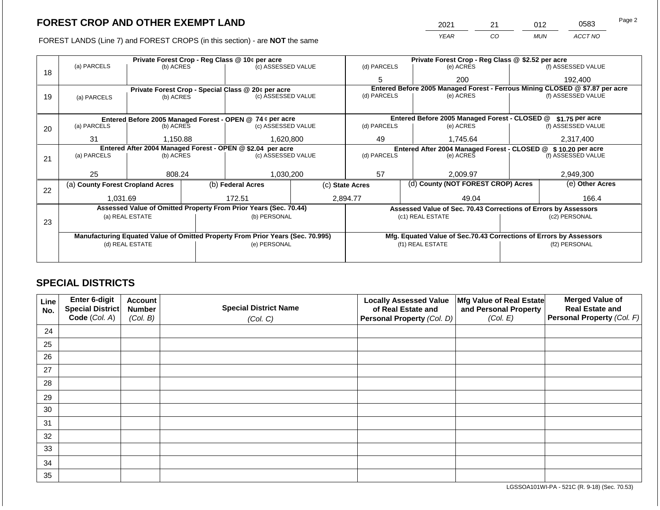FOREST LANDS (Line 7) and FOREST CROPS (in this section) - are NOT the same

| 2021 | つ1 | 012        | 0583    | Page 2 |
|------|----|------------|---------|--------|
| YFAR | CO | <b>MUN</b> | ACCT NO |        |

|    |                                                            |                 |  | Private Forest Crop - Reg Class @ 10¢ per acre                                 |  | Private Forest Crop - Reg Class @ \$2.52 per acre                            |                                                                    |  |                    |  |
|----|------------------------------------------------------------|-----------------|--|--------------------------------------------------------------------------------|--|------------------------------------------------------------------------------|--------------------------------------------------------------------|--|--------------------|--|
|    | (a) PARCELS                                                | (b) ACRES       |  | (c) ASSESSED VALUE                                                             |  | (d) PARCELS                                                                  | (e) ACRES                                                          |  | (f) ASSESSED VALUE |  |
| 18 |                                                            |                 |  |                                                                                |  | 5                                                                            | 200                                                                |  | 192,400            |  |
|    | Private Forest Crop - Special Class @ 20¢ per acre         |                 |  |                                                                                |  | Entered Before 2005 Managed Forest - Ferrous Mining CLOSED @ \$7.87 per acre |                                                                    |  |                    |  |
| 19 | (a) PARCELS                                                | (b) ACRES       |  | (c) ASSESSED VALUE                                                             |  | (d) PARCELS                                                                  | (e) ACRES                                                          |  | (f) ASSESSED VALUE |  |
|    |                                                            |                 |  |                                                                                |  |                                                                              |                                                                    |  |                    |  |
|    |                                                            |                 |  | Entered Before 2005 Managed Forest - OPEN @ 74 ¢ per acre                      |  |                                                                              | Entered Before 2005 Managed Forest - CLOSED @                      |  | \$1.75 per acre    |  |
| 20 | (a) PARCELS                                                | (b) ACRES       |  | (c) ASSESSED VALUE                                                             |  | (d) PARCELS                                                                  | (e) ACRES                                                          |  | (f) ASSESSED VALUE |  |
|    |                                                            |                 |  |                                                                                |  |                                                                              |                                                                    |  |                    |  |
|    | 31                                                         | 1,150.88        |  | 1,620,800                                                                      |  | 49<br>1,745.64                                                               |                                                                    |  | 2,317,400          |  |
|    | Entered After 2004 Managed Forest - OPEN @ \$2.04 per acre |                 |  |                                                                                |  |                                                                              | Entered After 2004 Managed Forest - CLOSED @ \$10.20 per acre      |  |                    |  |
| 21 | (a) PARCELS                                                | (b) ACRES       |  | (c) ASSESSED VALUE                                                             |  | (d) PARCELS                                                                  | (e) ACRES                                                          |  | (f) ASSESSED VALUE |  |
|    |                                                            |                 |  |                                                                                |  |                                                                              |                                                                    |  |                    |  |
|    | 25                                                         | 808.24          |  | 1,030,200                                                                      |  | 57                                                                           | 2,009.97                                                           |  |                    |  |
|    | (a) County Forest Cropland Acres                           |                 |  | (b) Federal Acres<br>(c) State Acres                                           |  | (d) County (NOT FOREST CROP) Acres                                           |                                                                    |  | (e) Other Acres    |  |
| 22 |                                                            |                 |  |                                                                                |  |                                                                              |                                                                    |  |                    |  |
|    | 1,031.69                                                   |                 |  | 172.51                                                                         |  | 2,894.77                                                                     | 49.04                                                              |  | 166.4              |  |
|    |                                                            |                 |  | Assessed Value of Omitted Property From Prior Years (Sec. 70.44)               |  |                                                                              | Assessed Value of Sec. 70.43 Corrections of Errors by Assessors    |  |                    |  |
|    |                                                            | (a) REAL ESTATE |  | (b) PERSONAL                                                                   |  |                                                                              | (c1) REAL ESTATE                                                   |  | (c2) PERSONAL      |  |
| 23 |                                                            |                 |  |                                                                                |  |                                                                              |                                                                    |  |                    |  |
|    |                                                            |                 |  | Manufacturing Equated Value of Omitted Property From Prior Years (Sec. 70.995) |  |                                                                              | Mfg. Equated Value of Sec.70.43 Corrections of Errors by Assessors |  |                    |  |
|    |                                                            | (d) REAL ESTATE |  | (e) PERSONAL                                                                   |  |                                                                              | (f1) REAL ESTATE                                                   |  | (f2) PERSONAL      |  |
|    |                                                            |                 |  |                                                                                |  |                                                                              |                                                                    |  |                    |  |
|    |                                                            |                 |  |                                                                                |  |                                                                              |                                                                    |  |                    |  |
|    |                                                            |                 |  |                                                                                |  |                                                                              |                                                                    |  |                    |  |

# **SPECIAL DISTRICTS**

| <b>Line</b><br>No. | Enter 6-digit<br>Special District | <b>Account</b><br><b>Number</b> | <b>Special District Name</b> | <b>Locally Assessed Value</b><br>of Real Estate and | Mfg Value of Real Estate<br>and Personal Property | <b>Merged Value of</b><br><b>Real Estate and</b> |
|--------------------|-----------------------------------|---------------------------------|------------------------------|-----------------------------------------------------|---------------------------------------------------|--------------------------------------------------|
|                    | Code (Col. A)                     | (Col. B)                        | (Col. C)                     | <b>Personal Property (Col. D)</b>                   | (Col. E)                                          | Personal Property (Col. F)                       |
| 24                 |                                   |                                 |                              |                                                     |                                                   |                                                  |
| 25                 |                                   |                                 |                              |                                                     |                                                   |                                                  |
| 26                 |                                   |                                 |                              |                                                     |                                                   |                                                  |
| 27                 |                                   |                                 |                              |                                                     |                                                   |                                                  |
| 28                 |                                   |                                 |                              |                                                     |                                                   |                                                  |
| 29                 |                                   |                                 |                              |                                                     |                                                   |                                                  |
| 30                 |                                   |                                 |                              |                                                     |                                                   |                                                  |
| 31                 |                                   |                                 |                              |                                                     |                                                   |                                                  |
| 32                 |                                   |                                 |                              |                                                     |                                                   |                                                  |
| 33                 |                                   |                                 |                              |                                                     |                                                   |                                                  |
| 34                 |                                   |                                 |                              |                                                     |                                                   |                                                  |
| 35                 |                                   |                                 |                              |                                                     |                                                   |                                                  |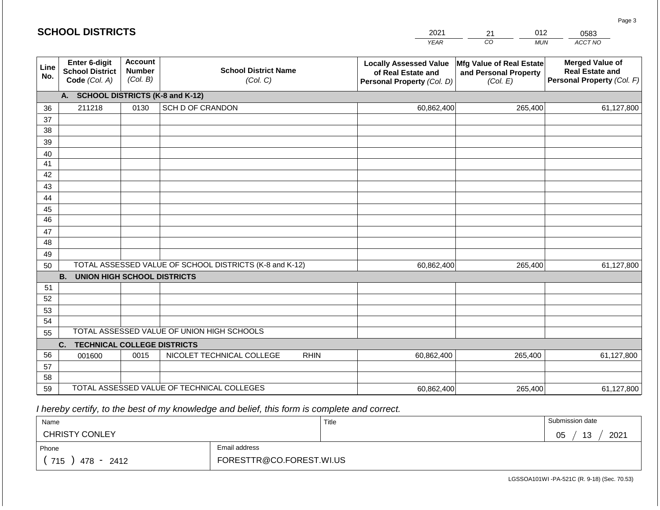|             | <b>SCHOOL DISTRICTS</b>                                         |                                             |                                                         |             | 2021                                                                              | 012<br>21                                                     | 0583                                                                           |
|-------------|-----------------------------------------------------------------|---------------------------------------------|---------------------------------------------------------|-------------|-----------------------------------------------------------------------------------|---------------------------------------------------------------|--------------------------------------------------------------------------------|
|             |                                                                 |                                             |                                                         |             | <b>YEAR</b>                                                                       | CO <sub>.</sub><br><b>MUN</b>                                 | ACCT NO                                                                        |
| Line<br>No. | <b>Enter 6-digit</b><br><b>School District</b><br>Code (Col. A) | <b>Account</b><br><b>Number</b><br>(Col. B) | <b>School District Name</b><br>(Col. C)                 |             | <b>Locally Assessed Value</b><br>of Real Estate and<br>Personal Property (Col. D) | Mfg Value of Real Estate<br>and Personal Property<br>(Col. E) | <b>Merged Value of</b><br><b>Real Estate and</b><br>Personal Property (Col. F) |
|             | A. SCHOOL DISTRICTS (K-8 and K-12)                              |                                             |                                                         |             |                                                                                   |                                                               |                                                                                |
| 36          | 211218                                                          | 0130                                        | SCH D OF CRANDON                                        |             | 60,862,400                                                                        | 265,400                                                       | 61,127,800                                                                     |
| 37          |                                                                 |                                             |                                                         |             |                                                                                   |                                                               |                                                                                |
| 38          |                                                                 |                                             |                                                         |             |                                                                                   |                                                               |                                                                                |
| 39          |                                                                 |                                             |                                                         |             |                                                                                   |                                                               |                                                                                |
| 40          |                                                                 |                                             |                                                         |             |                                                                                   |                                                               |                                                                                |
| 41<br>42    |                                                                 |                                             |                                                         |             |                                                                                   |                                                               |                                                                                |
| 43          |                                                                 |                                             |                                                         |             |                                                                                   |                                                               |                                                                                |
| 44          |                                                                 |                                             |                                                         |             |                                                                                   |                                                               |                                                                                |
| 45          |                                                                 |                                             |                                                         |             |                                                                                   |                                                               |                                                                                |
| 46          |                                                                 |                                             |                                                         |             |                                                                                   |                                                               |                                                                                |
| 47          |                                                                 |                                             |                                                         |             |                                                                                   |                                                               |                                                                                |
| 48          |                                                                 |                                             |                                                         |             |                                                                                   |                                                               |                                                                                |
| 49          |                                                                 |                                             |                                                         |             |                                                                                   |                                                               |                                                                                |
| 50          |                                                                 |                                             | TOTAL ASSESSED VALUE OF SCHOOL DISTRICTS (K-8 and K-12) |             | 60,862,400                                                                        | 265,400                                                       | 61,127,800                                                                     |
|             | <b>B. UNION HIGH SCHOOL DISTRICTS</b>                           |                                             |                                                         |             |                                                                                   |                                                               |                                                                                |
| 51          |                                                                 |                                             |                                                         |             |                                                                                   |                                                               |                                                                                |
| 52<br>53    |                                                                 |                                             |                                                         |             |                                                                                   |                                                               |                                                                                |
| 54          |                                                                 |                                             |                                                         |             |                                                                                   |                                                               |                                                                                |
| 55          |                                                                 |                                             | TOTAL ASSESSED VALUE OF UNION HIGH SCHOOLS              |             |                                                                                   |                                                               |                                                                                |
|             | C.<br><b>TECHNICAL COLLEGE DISTRICTS</b>                        |                                             |                                                         |             |                                                                                   |                                                               |                                                                                |
| 56          | 001600                                                          | 0015                                        | NICOLET TECHNICAL COLLEGE                               | <b>RHIN</b> | 60,862,400                                                                        | 265,400                                                       | 61,127,800                                                                     |
| 57          |                                                                 |                                             |                                                         |             |                                                                                   |                                                               |                                                                                |
| 58          |                                                                 |                                             |                                                         |             |                                                                                   |                                                               |                                                                                |
| 59          |                                                                 |                                             | TOTAL ASSESSED VALUE OF TECHNICAL COLLEGES              |             | 60,862,400                                                                        | 265,400                                                       | 61,127,800                                                                     |

 *I hereby certify, to the best of my knowledge and belief, this form is complete and correct.*

| Name                  |                          | Title | Submission date        |
|-----------------------|--------------------------|-------|------------------------|
| <b>CHRISTY CONLEY</b> |                          |       | 2021<br>13<br>∩ҕ<br>◡◡ |
| Phone                 | Email address            |       |                        |
| 715<br>478<br>2412    | FORESTTR@CO.FOREST.WI.US |       |                        |

LGSSOA101WI -PA-521C (R. 9-18) (Sec. 70.53)

Page 3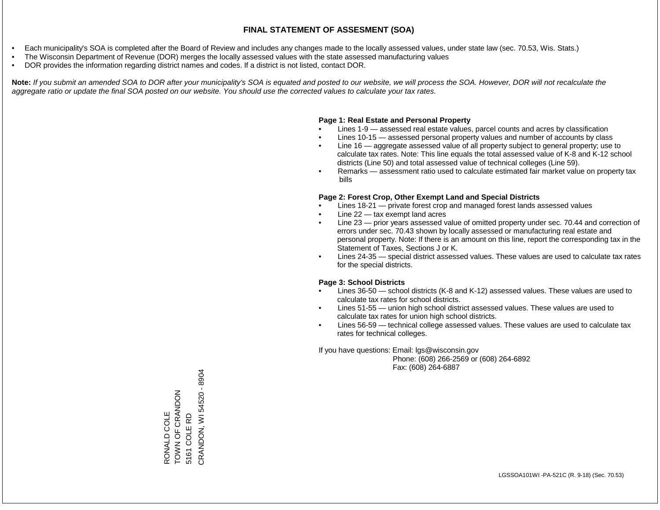- Each municipality's SOA is completed after the Board of Review and includes any changes made to the locally assessed values, under state law (sec. 70.53, Wis. Stats.)
- The Wisconsin Department of Revenue (DOR) merges the locally assessed values with the state assessed manufacturing values
- DOR provides the information regarding district names and codes. If a district is not listed, contact DOR.

Note: If you submit an amended SOA to DOR after your municipality's SOA is equated and posted to our website, we will process the SOA. However, DOR will not recalculate the *aggregate ratio or update the final SOA posted on our website. You should use the corrected values to calculate your tax rates.*

### **Page 1: Real Estate and Personal Property**

- Lines 1-9 assessed real estate values, parcel counts and acres by classification
- Lines 10-15 assessed personal property values and number of accounts by class
- Line 16 aggregate assessed value of all property subject to general property; use to calculate tax rates. Note: This line equals the total assessed value of K-8 and K-12 school districts (Line 50) and total assessed value of technical colleges (Line 59).
- Remarks assessment ratio used to calculate estimated fair market value on property tax bills

### **Page 2: Forest Crop, Other Exempt Land and Special Districts**

- Lines 18-21 private forest crop and managed forest lands assessed values
- Line  $22 -$  tax exempt land acres
- Line 23 prior years assessed value of omitted property under sec. 70.44 and correction of errors under sec. 70.43 shown by locally assessed or manufacturing real estate and personal property. Note: If there is an amount on this line, report the corresponding tax in the Statement of Taxes, Sections J or K.
- Lines 24-35 special district assessed values. These values are used to calculate tax rates for the special districts.

### **Page 3: School Districts**

- Lines 36-50 school districts (K-8 and K-12) assessed values. These values are used to calculate tax rates for school districts.
- Lines 51-55 union high school district assessed values. These values are used to calculate tax rates for union high school districts.
- Lines 56-59 technical college assessed values. These values are used to calculate tax rates for technical colleges.

If you have questions: Email: lgs@wisconsin.gov

 Phone: (608) 266-2569 or (608) 264-6892 Fax: (608) 264-6887

RONALD COLE<br>TOWN OF CRANDON **NODINACCOMODINACCIÓN CONTRACCIÓN EN LA CONDINACCIÓN EN LA CONDINACCIÓN EN LA CONDINACCIÓN EN LA CONDINACCIÓN E** 5161 COLE RD<br>CRANDON, WI 54520 - 8904 CRANDON, WI 54520 - 8904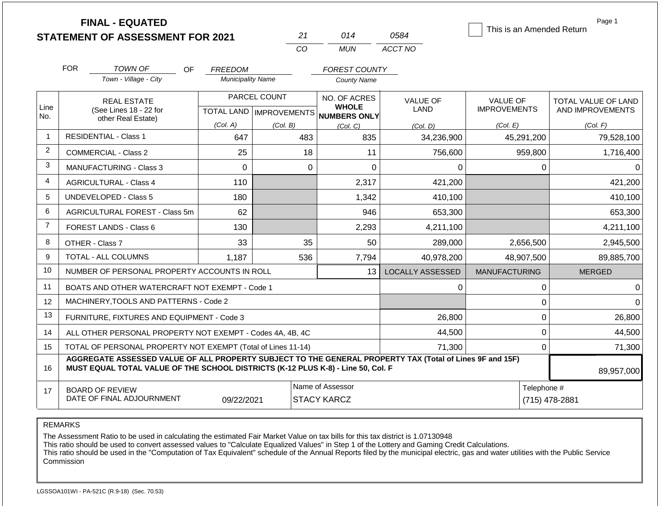|                |                                              | <b>FINAL - EQUATED</b><br><b>STATEMENT OF ASSESSMENT FOR 2021</b>                |                          | 21                                                  |                                                                                                          | 014                          | 0584                    | This is an Amended Return              |                               | Page 1                                  |
|----------------|----------------------------------------------|----------------------------------------------------------------------------------|--------------------------|-----------------------------------------------------|----------------------------------------------------------------------------------------------------------|------------------------------|-------------------------|----------------------------------------|-------------------------------|-----------------------------------------|
|                |                                              |                                                                                  |                          | CO                                                  |                                                                                                          | <b>MUN</b>                   | ACCT NO                 |                                        |                               |                                         |
|                | <b>FOR</b>                                   | <b>TOWN OF</b><br>OF.                                                            | <b>FREEDOM</b>           |                                                     |                                                                                                          | <b>FOREST COUNTY</b>         |                         |                                        |                               |                                         |
|                |                                              | Town - Village - City                                                            | <b>Municipality Name</b> |                                                     |                                                                                                          | <b>County Name</b>           |                         |                                        |                               |                                         |
| Line<br>No.    | <b>REAL ESTATE</b><br>(See Lines 18 - 22 for |                                                                                  |                          | PARCEL COUNT<br>TOTAL LAND MPROVEMENTS NUMBERS ONLY |                                                                                                          | NO. OF ACRES<br><b>WHOLE</b> | <b>VALUE OF</b><br>LAND | <b>VALUE OF</b><br><b>IMPROVEMENTS</b> |                               | TOTAL VALUE OF LAND<br>AND IMPROVEMENTS |
|                |                                              | other Real Estate)                                                               | (Col. A)                 | (Col. B)                                            |                                                                                                          | (Col, C)                     | (Col. D)                | (Col. E)                               |                               | (Col. F)                                |
| $\mathbf{1}$   |                                              | <b>RESIDENTIAL - Class 1</b>                                                     | 647                      |                                                     | 483                                                                                                      | 835                          | 34,236,900              | 45,291,200                             |                               | 79,528,100                              |
| $\overline{2}$ |                                              | <b>COMMERCIAL - Class 2</b>                                                      | 25                       |                                                     | 18                                                                                                       | 11                           | 756,600                 |                                        | 959,800                       | 1,716,400                               |
| 3              |                                              | <b>MANUFACTURING - Class 3</b>                                                   | $\mathbf 0$              |                                                     | $\mathbf 0$                                                                                              | 0                            | 0                       |                                        | 0                             | 0                                       |
| 4              |                                              | <b>AGRICULTURAL - Class 4</b>                                                    | 110                      |                                                     |                                                                                                          | 2,317                        | 421,200                 |                                        |                               | 421,200                                 |
| 5              |                                              | UNDEVELOPED - Class 5                                                            | 180                      |                                                     |                                                                                                          | 1,342                        | 410,100                 |                                        |                               | 410,100                                 |
| 6              |                                              | AGRICULTURAL FOREST - Class 5m                                                   | 62                       |                                                     |                                                                                                          | 946                          | 653,300                 |                                        |                               | 653,300                                 |
| $\overline{7}$ |                                              | FOREST LANDS - Class 6                                                           | 130                      |                                                     |                                                                                                          | 2,293                        | 4,211,100               |                                        |                               | 4,211,100                               |
| 8              |                                              | OTHER - Class 7                                                                  | 33                       |                                                     | 35                                                                                                       | 50                           | 289,000                 | 2,656,500                              |                               | 2,945,500                               |
| 9              |                                              | TOTAL - ALL COLUMNS                                                              | 1,187                    |                                                     | 536                                                                                                      | 7,794                        | 40,978,200              | 48,907,500                             |                               | 89,885,700                              |
| 10             |                                              | NUMBER OF PERSONAL PROPERTY ACCOUNTS IN ROLL                                     |                          |                                                     |                                                                                                          | 13                           | <b>LOCALLY ASSESSED</b> | <b>MANUFACTURING</b>                   |                               | <b>MERGED</b>                           |
| 11             |                                              | BOATS AND OTHER WATERCRAFT NOT EXEMPT - Code 1                                   |                          |                                                     |                                                                                                          |                              | 0                       |                                        | 0                             | ∩                                       |
| 12             |                                              | MACHINERY, TOOLS AND PATTERNS - Code 2                                           |                          |                                                     |                                                                                                          |                              |                         |                                        | 0                             |                                         |
| 13             |                                              | FURNITURE, FIXTURES AND EQUIPMENT - Code 3                                       |                          |                                                     |                                                                                                          |                              | 26,800                  |                                        | $\mathbf 0$                   | 26,800                                  |
| 14             |                                              | ALL OTHER PERSONAL PROPERTY NOT EXEMPT - Codes 4A, 4B, 4C                        |                          |                                                     |                                                                                                          |                              | 44,500                  |                                        | $\mathbf 0$                   | 44,500                                  |
| 15             |                                              | TOTAL OF PERSONAL PROPERTY NOT EXEMPT (Total of Lines 11-14)                     |                          |                                                     |                                                                                                          |                              | 71,300                  |                                        | $\mathbf 0$                   | 71,300                                  |
| 16             |                                              | MUST EQUAL TOTAL VALUE OF THE SCHOOL DISTRICTS (K-12 PLUS K-8) - Line 50, Col. F |                          |                                                     | AGGREGATE ASSESSED VALUE OF ALL PROPERTY SUBJECT TO THE GENERAL PROPERTY TAX (Total of Lines 9F and 15F) |                              |                         |                                        |                               | 89,957,000                              |
| 17             |                                              | <b>BOARD OF REVIEW</b><br>DATE OF FINAL ADJOURNMENT                              | 09/22/2021               |                                                     | Name of Assessor<br><b>STACY KARCZ</b>                                                                   |                              |                         |                                        | Telephone #<br>(715) 478-2881 |                                         |

The Assessment Ratio to be used in calculating the estimated Fair Market Value on tax bills for this tax district is 1.07130948

This ratio should be used to convert assessed values to "Calculate Equalized Values" in Step 1 of the Lottery and Gaming Credit Calculations.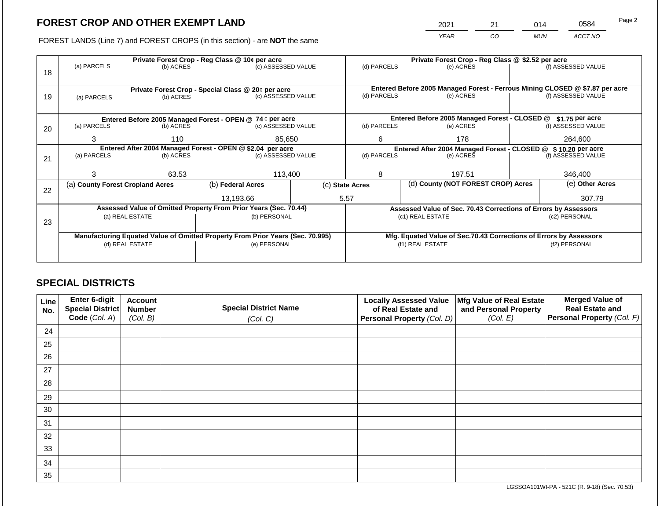2021 21 014 0584

FOREST LANDS (Line 7) and FOREST CROPS (in this section) - are **NOT** the same *YEAR CO MUN ACCT NO*

|    |                                                            |                 |  | Private Forest Crop - Reg Class @ 10¢ per acre                                 |                                                               | Private Forest Crop - Reg Class @ \$2.52 per acre     |  |                                                                                           |               |                    |
|----|------------------------------------------------------------|-----------------|--|--------------------------------------------------------------------------------|---------------------------------------------------------------|-------------------------------------------------------|--|-------------------------------------------------------------------------------------------|---------------|--------------------|
|    | (a) PARCELS                                                | (b) ACRES       |  | (c) ASSESSED VALUE                                                             |                                                               | (d) PARCELS                                           |  | (e) ACRES                                                                                 |               | (f) ASSESSED VALUE |
| 18 |                                                            |                 |  |                                                                                |                                                               |                                                       |  |                                                                                           |               |                    |
|    |                                                            |                 |  |                                                                                |                                                               |                                                       |  |                                                                                           |               |                    |
|    |                                                            |                 |  | Private Forest Crop - Special Class @ 20¢ per acre                             |                                                               | (d) PARCELS                                           |  | Entered Before 2005 Managed Forest - Ferrous Mining CLOSED @ \$7.87 per acre<br>(e) ACRES |               | (f) ASSESSED VALUE |
| 19 | (a) PARCELS<br>(b) ACRES                                   |                 |  | (c) ASSESSED VALUE                                                             |                                                               |                                                       |  |                                                                                           |               |                    |
|    |                                                            |                 |  |                                                                                |                                                               |                                                       |  |                                                                                           |               |                    |
|    |                                                            |                 |  | Entered Before 2005 Managed Forest - OPEN @ 74 ¢ per acre                      |                                                               |                                                       |  | Entered Before 2005 Managed Forest - CLOSED @                                             |               | \$1.75 per acre    |
| 20 | (a) PARCELS<br>(b) ACRES                                   |                 |  | (c) ASSESSED VALUE                                                             |                                                               | (d) PARCELS                                           |  | (e) ACRES                                                                                 |               | (f) ASSESSED VALUE |
|    |                                                            |                 |  |                                                                                |                                                               |                                                       |  |                                                                                           |               |                    |
|    | 3                                                          | 110             |  | 85,650                                                                         |                                                               | 6<br>178                                              |  |                                                                                           | 264,600       |                    |
|    | Entered After 2004 Managed Forest - OPEN @ \$2.04 per acre |                 |  |                                                                                | Entered After 2004 Managed Forest - CLOSED @ \$10.20 per acre |                                                       |  |                                                                                           |               |                    |
| 21 | (a) PARCELS                                                | (b) ACRES       |  | (c) ASSESSED VALUE                                                             |                                                               | (d) PARCELS                                           |  | (e) ACRES                                                                                 |               | (f) ASSESSED VALUE |
|    |                                                            |                 |  |                                                                                |                                                               |                                                       |  |                                                                                           |               |                    |
|    | 3                                                          | 63.53           |  | 113,400                                                                        |                                                               | 8                                                     |  | 197.51                                                                                    |               | 346,400            |
|    | (a) County Forest Cropland Acres                           |                 |  | (b) Federal Acres                                                              |                                                               | (d) County (NOT FOREST CROP) Acres<br>(c) State Acres |  |                                                                                           |               | (e) Other Acres    |
| 22 |                                                            |                 |  |                                                                                |                                                               |                                                       |  |                                                                                           |               |                    |
|    |                                                            |                 |  | 13,193.66                                                                      |                                                               | 5.57                                                  |  |                                                                                           |               | 307.79             |
|    |                                                            |                 |  | Assessed Value of Omitted Property From Prior Years (Sec. 70.44)               |                                                               |                                                       |  | Assessed Value of Sec. 70.43 Corrections of Errors by Assessors                           |               |                    |
|    |                                                            | (a) REAL ESTATE |  | (b) PERSONAL                                                                   |                                                               |                                                       |  | (c1) REAL ESTATE                                                                          |               | (c2) PERSONAL      |
| 23 |                                                            |                 |  |                                                                                |                                                               |                                                       |  |                                                                                           |               |                    |
|    |                                                            |                 |  | Manufacturing Equated Value of Omitted Property From Prior Years (Sec. 70.995) |                                                               |                                                       |  | Mfg. Equated Value of Sec.70.43 Corrections of Errors by Assessors                        |               |                    |
|    |                                                            | (d) REAL ESTATE |  | (e) PERSONAL                                                                   |                                                               |                                                       |  | (f1) REAL ESTATE                                                                          | (f2) PERSONAL |                    |
|    |                                                            |                 |  |                                                                                |                                                               |                                                       |  |                                                                                           |               |                    |
|    |                                                            |                 |  |                                                                                |                                                               |                                                       |  |                                                                                           |               |                    |

# **SPECIAL DISTRICTS**

| Line<br>No. | <b>Enter 6-digit</b><br>Special District | <b>Account</b><br><b>Number</b> | <b>Special District Name</b> | <b>Locally Assessed Value</b><br>of Real Estate and | Mfg Value of Real Estate<br>and Personal Property | <b>Merged Value of</b><br><b>Real Estate and</b> |
|-------------|------------------------------------------|---------------------------------|------------------------------|-----------------------------------------------------|---------------------------------------------------|--------------------------------------------------|
|             | Code (Col. A)                            | (Col. B)                        | (Col. C)                     | Personal Property (Col. D)                          | (Col. E)                                          | Personal Property (Col. F)                       |
| 24          |                                          |                                 |                              |                                                     |                                                   |                                                  |
| 25          |                                          |                                 |                              |                                                     |                                                   |                                                  |
| 26          |                                          |                                 |                              |                                                     |                                                   |                                                  |
| 27          |                                          |                                 |                              |                                                     |                                                   |                                                  |
| 28          |                                          |                                 |                              |                                                     |                                                   |                                                  |
| 29          |                                          |                                 |                              |                                                     |                                                   |                                                  |
| 30          |                                          |                                 |                              |                                                     |                                                   |                                                  |
| 31          |                                          |                                 |                              |                                                     |                                                   |                                                  |
| 32          |                                          |                                 |                              |                                                     |                                                   |                                                  |
| 33          |                                          |                                 |                              |                                                     |                                                   |                                                  |
| 34          |                                          |                                 |                              |                                                     |                                                   |                                                  |
| 35          |                                          |                                 |                              |                                                     |                                                   |                                                  |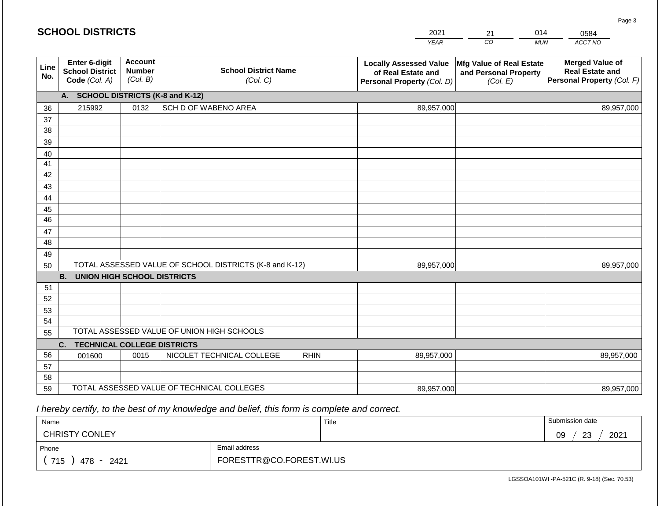|             | <b>SCHOOL DISTRICTS</b>                                  |                                             |                                                         | 2021        | 21                                                                                | 014                                                           | 0584       |                                                                                |
|-------------|----------------------------------------------------------|---------------------------------------------|---------------------------------------------------------|-------------|-----------------------------------------------------------------------------------|---------------------------------------------------------------|------------|--------------------------------------------------------------------------------|
|             |                                                          |                                             |                                                         |             | <b>YEAR</b>                                                                       | CO                                                            | <b>MUN</b> | ACCT NO                                                                        |
| Line<br>No. | Enter 6-digit<br><b>School District</b><br>Code (Col. A) | <b>Account</b><br><b>Number</b><br>(Col. B) | <b>School District Name</b><br>(Col. C)                 |             | <b>Locally Assessed Value</b><br>of Real Estate and<br>Personal Property (Col. D) | Mfg Value of Real Estate<br>and Personal Property<br>(Col. E) |            | <b>Merged Value of</b><br><b>Real Estate and</b><br>Personal Property (Col. F) |
|             | A. SCHOOL DISTRICTS (K-8 and K-12)                       |                                             |                                                         |             |                                                                                   |                                                               |            |                                                                                |
| 36          | 215992                                                   | 0132                                        | SCH D OF WABENO AREA                                    |             | 89,957,000                                                                        |                                                               |            | 89,957,000                                                                     |
| 37          |                                                          |                                             |                                                         |             |                                                                                   |                                                               |            |                                                                                |
| 38          |                                                          |                                             |                                                         |             |                                                                                   |                                                               |            |                                                                                |
| 39          |                                                          |                                             |                                                         |             |                                                                                   |                                                               |            |                                                                                |
| 40          |                                                          |                                             |                                                         |             |                                                                                   |                                                               |            |                                                                                |
| 41          |                                                          |                                             |                                                         |             |                                                                                   |                                                               |            |                                                                                |
| 42          |                                                          |                                             |                                                         |             |                                                                                   |                                                               |            |                                                                                |
| 43<br>44    |                                                          |                                             |                                                         |             |                                                                                   |                                                               |            |                                                                                |
| 45          |                                                          |                                             |                                                         |             |                                                                                   |                                                               |            |                                                                                |
| 46          |                                                          |                                             |                                                         |             |                                                                                   |                                                               |            |                                                                                |
| 47          |                                                          |                                             |                                                         |             |                                                                                   |                                                               |            |                                                                                |
| 48          |                                                          |                                             |                                                         |             |                                                                                   |                                                               |            |                                                                                |
| 49          |                                                          |                                             |                                                         |             |                                                                                   |                                                               |            |                                                                                |
| 50          |                                                          |                                             | TOTAL ASSESSED VALUE OF SCHOOL DISTRICTS (K-8 and K-12) |             | 89,957,000                                                                        |                                                               |            | 89,957,000                                                                     |
|             | <b>B. UNION HIGH SCHOOL DISTRICTS</b>                    |                                             |                                                         |             |                                                                                   |                                                               |            |                                                                                |
| 51          |                                                          |                                             |                                                         |             |                                                                                   |                                                               |            |                                                                                |
| 52          |                                                          |                                             |                                                         |             |                                                                                   |                                                               |            |                                                                                |
| 53          |                                                          |                                             |                                                         |             |                                                                                   |                                                               |            |                                                                                |
| 54          |                                                          |                                             |                                                         |             |                                                                                   |                                                               |            |                                                                                |
| 55          |                                                          |                                             | TOTAL ASSESSED VALUE OF UNION HIGH SCHOOLS              |             |                                                                                   |                                                               |            |                                                                                |
|             | C.<br><b>TECHNICAL COLLEGE DISTRICTS</b>                 |                                             |                                                         |             |                                                                                   |                                                               |            |                                                                                |
| 56          | 001600                                                   | 0015                                        | NICOLET TECHNICAL COLLEGE                               | <b>RHIN</b> | 89,957,000                                                                        |                                                               |            | 89,957,000                                                                     |
| 57          |                                                          |                                             |                                                         |             |                                                                                   |                                                               |            |                                                                                |
| 58<br>59    |                                                          |                                             | TOTAL ASSESSED VALUE OF TECHNICAL COLLEGES              |             |                                                                                   |                                                               |            |                                                                                |
|             |                                                          |                                             |                                                         |             | 89,957,000                                                                        |                                                               |            | 89,957,000                                                                     |

 *I hereby certify, to the best of my knowledge and belief, this form is complete and correct.*

| Name                                           |               | Title | Submission date  |  |  |
|------------------------------------------------|---------------|-------|------------------|--|--|
| <b>CHRISTY CONLEY</b>                          |               |       | 2021<br>23<br>09 |  |  |
| Phone                                          | Email address |       |                  |  |  |
| FORESTTR@CO.FOREST.WI.US<br>715<br>2421<br>478 |               |       |                  |  |  |

Page 3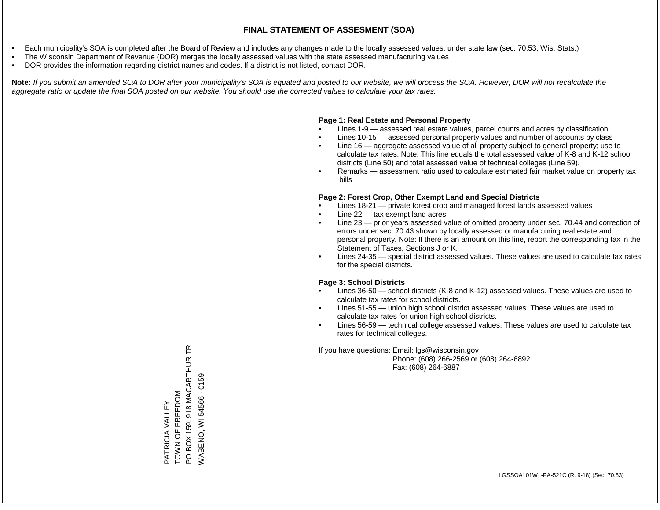- Each municipality's SOA is completed after the Board of Review and includes any changes made to the locally assessed values, under state law (sec. 70.53, Wis. Stats.)
- The Wisconsin Department of Revenue (DOR) merges the locally assessed values with the state assessed manufacturing values
- DOR provides the information regarding district names and codes. If a district is not listed, contact DOR.

Note: If you submit an amended SOA to DOR after your municipality's SOA is equated and posted to our website, we will process the SOA. However, DOR will not recalculate the *aggregate ratio or update the final SOA posted on our website. You should use the corrected values to calculate your tax rates.*

### **Page 1: Real Estate and Personal Property**

- Lines 1-9 assessed real estate values, parcel counts and acres by classification
- Lines 10-15 assessed personal property values and number of accounts by class
- Line 16 aggregate assessed value of all property subject to general property; use to calculate tax rates. Note: This line equals the total assessed value of K-8 and K-12 school districts (Line 50) and total assessed value of technical colleges (Line 59).
- Remarks assessment ratio used to calculate estimated fair market value on property tax bills

### **Page 2: Forest Crop, Other Exempt Land and Special Districts**

- Lines 18-21 private forest crop and managed forest lands assessed values
- Line  $22 -$  tax exempt land acres
- Line 23 prior years assessed value of omitted property under sec. 70.44 and correction of errors under sec. 70.43 shown by locally assessed or manufacturing real estate and personal property. Note: If there is an amount on this line, report the corresponding tax in the Statement of Taxes, Sections J or K.
- Lines 24-35 special district assessed values. These values are used to calculate tax rates for the special districts.

### **Page 3: School Districts**

- Lines 36-50 school districts (K-8 and K-12) assessed values. These values are used to calculate tax rates for school districts.
- Lines 51-55 union high school district assessed values. These values are used to calculate tax rates for union high school districts.
- Lines 56-59 technical college assessed values. These values are used to calculate tax rates for technical colleges.

If you have questions: Email: lgs@wisconsin.gov

 Phone: (608) 266-2569 or (608) 264-6892 Fax: (608) 264-6887

PO BOX 159, 918 MACARTHUR TR PO BOX 159, 918 MACARTHUR TR /VABENO, WI 54566 - 0159 WABENO, WI 54566 - 0159TOWN OF FREEDOM TOWN OF FREEDOM PATRICIA VALLEY PATRICIA VALLEY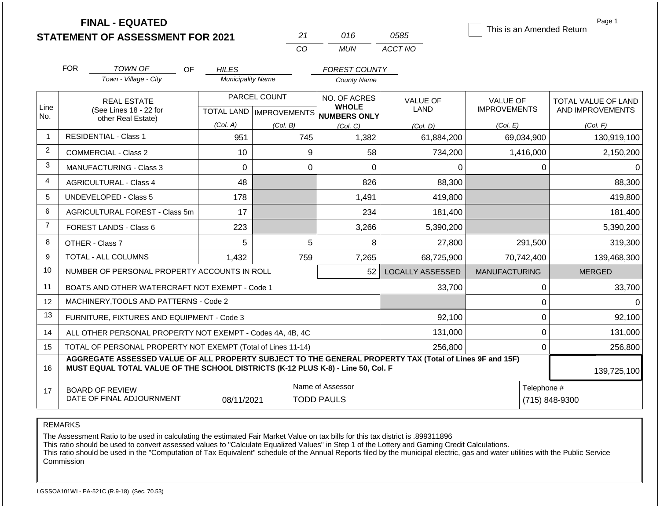|                |                                                                                                                                                                                                             | <b>FINAL - EQUATED</b>                                       |                          |                                  |                                       |                         | This is an Amended Return | Page 1                     |  |
|----------------|-------------------------------------------------------------------------------------------------------------------------------------------------------------------------------------------------------------|--------------------------------------------------------------|--------------------------|----------------------------------|---------------------------------------|-------------------------|---------------------------|----------------------------|--|
|                |                                                                                                                                                                                                             | <b>STATEMENT OF ASSESSMENT FOR 2021</b>                      |                          | 21<br>CO                         | 016<br><b>MUN</b>                     | 0585<br>ACCT NO         |                           |                            |  |
|                |                                                                                                                                                                                                             |                                                              |                          |                                  |                                       |                         |                           |                            |  |
|                | <b>FOR</b>                                                                                                                                                                                                  | <b>TOWN OF</b><br><b>OF</b>                                  | <b>HILES</b>             |                                  | <b>FOREST COUNTY</b>                  |                         |                           |                            |  |
|                |                                                                                                                                                                                                             | Town - Village - City                                        | <b>Municipality Name</b> |                                  | <b>County Name</b>                    |                         |                           |                            |  |
|                |                                                                                                                                                                                                             | <b>REAL ESTATE</b>                                           |                          | PARCEL COUNT                     | NO. OF ACRES                          | <b>VALUE OF</b>         | <b>VALUE OF</b>           | <b>TOTAL VALUE OF LAND</b> |  |
| Line<br>No.    |                                                                                                                                                                                                             | (See Lines 18 - 22 for<br>other Real Estate)                 |                          | <b>TOTAL LAND   IMPROVEMENTS</b> | <b>WHOLE</b><br>NUMBERS ONLY          | <b>LAND</b>             | <b>IMPROVEMENTS</b>       | AND IMPROVEMENTS           |  |
|                |                                                                                                                                                                                                             |                                                              | (Col. A)                 | (Col. B)                         | (Col, C)                              | (Col, D)                | (Col. E)                  | (Col. F)                   |  |
| $\mathbf 1$    | <b>RESIDENTIAL - Class 1</b>                                                                                                                                                                                |                                                              | 951                      | 745                              | 1,382                                 | 61,884,200              | 69,034,900                | 130,919,100                |  |
| 2              | <b>COMMERCIAL - Class 2</b>                                                                                                                                                                                 |                                                              | 10                       | 9                                | 58                                    | 734,200                 | 1,416,000                 | 2,150,200                  |  |
| 3              | <b>MANUFACTURING - Class 3</b>                                                                                                                                                                              |                                                              | $\Omega$                 | $\Omega$                         | $\Omega$                              | $\Omega$                | $\Omega$                  | $\Omega$                   |  |
| 4              | <b>AGRICULTURAL - Class 4</b>                                                                                                                                                                               |                                                              | 48                       |                                  | 826                                   | 88,300                  |                           | 88,300                     |  |
| 5              | <b>UNDEVELOPED - Class 5</b>                                                                                                                                                                                |                                                              | 178                      |                                  | 1,491                                 | 419,800                 |                           | 419,800                    |  |
| 6              |                                                                                                                                                                                                             | AGRICULTURAL FOREST - Class 5m                               | 17                       |                                  | 234                                   | 181,400                 |                           | 181,400                    |  |
| $\overline{7}$ | FOREST LANDS - Class 6                                                                                                                                                                                      |                                                              | 223                      |                                  | 3,266                                 | 5,390,200               |                           | 5,390,200                  |  |
| 8              | OTHER - Class 7                                                                                                                                                                                             |                                                              | 5                        | 5                                | 8                                     | 27,800                  | 291,500                   | 319,300                    |  |
| 9              | <b>TOTAL - ALL COLUMNS</b>                                                                                                                                                                                  |                                                              | 1,432                    | 759                              | 7,265                                 | 68,725,900              | 70,742,400                | 139,468,300                |  |
| 10             |                                                                                                                                                                                                             | NUMBER OF PERSONAL PROPERTY ACCOUNTS IN ROLL                 |                          |                                  | 52                                    | <b>LOCALLY ASSESSED</b> | <b>MANUFACTURING</b>      | <b>MERGED</b>              |  |
| 11             |                                                                                                                                                                                                             | BOATS AND OTHER WATERCRAFT NOT EXEMPT - Code 1               |                          |                                  |                                       | 33,700                  | 0                         | 33,700                     |  |
| 12             |                                                                                                                                                                                                             | MACHINERY, TOOLS AND PATTERNS - Code 2                       |                          |                                  |                                       |                         | $\mathbf 0$               | $\Omega$                   |  |
| 13             |                                                                                                                                                                                                             | FURNITURE, FIXTURES AND EQUIPMENT - Code 3                   |                          |                                  |                                       | 92,100                  | $\pmb{0}$                 | 92,100                     |  |
| 14             |                                                                                                                                                                                                             | ALL OTHER PERSONAL PROPERTY NOT EXEMPT - Codes 4A, 4B, 4C    |                          |                                  |                                       | 131,000                 | $\overline{0}$            | 131,000                    |  |
| 15             |                                                                                                                                                                                                             | TOTAL OF PERSONAL PROPERTY NOT EXEMPT (Total of Lines 11-14) |                          |                                  |                                       | 256,800                 | 0                         | 256,800                    |  |
| 16             | AGGREGATE ASSESSED VALUE OF ALL PROPERTY SUBJECT TO THE GENERAL PROPERTY TAX (Total of Lines 9F and 15F)<br>MUST EQUAL TOTAL VALUE OF THE SCHOOL DISTRICTS (K-12 PLUS K-8) - Line 50, Col. F<br>139,725,100 |                                                              |                          |                                  |                                       |                         |                           |                            |  |
| 17             | <b>BOARD OF REVIEW</b>                                                                                                                                                                                      | DATE OF FINAL ADJOURNMENT                                    | 08/11/2021               |                                  | Name of Assessor<br><b>TODD PAULS</b> |                         | Telephone #               | (715) 848-9300             |  |

The Assessment Ratio to be used in calculating the estimated Fair Market Value on tax bills for this tax district is .899311896

This ratio should be used to convert assessed values to "Calculate Equalized Values" in Step 1 of the Lottery and Gaming Credit Calculations.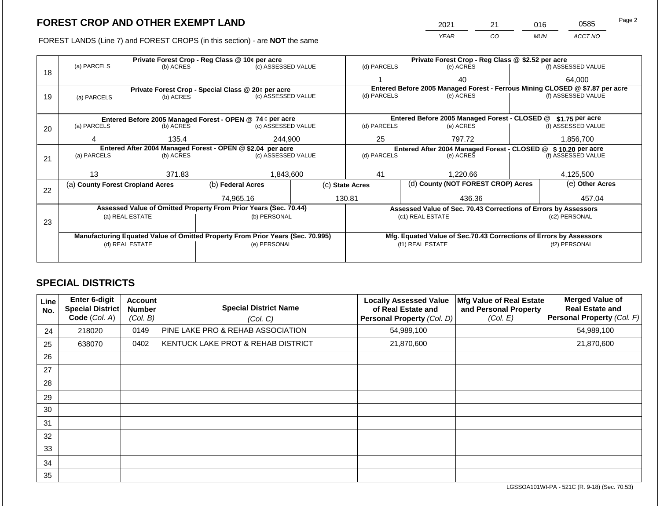2021 21 016 0585

FOREST LANDS (Line 7) and FOREST CROPS (in this section) - are **NOT** the same *YEAR CO MUN ACCT NO*

|    |                                                            | Private Forest Crop - Reg Class @ 10¢ per acre |  | Private Forest Crop - Reg Class @ \$2.52 per acre                              |                                              |                                                                              |                                               |                    |               |                                                                    |
|----|------------------------------------------------------------|------------------------------------------------|--|--------------------------------------------------------------------------------|----------------------------------------------|------------------------------------------------------------------------------|-----------------------------------------------|--------------------|---------------|--------------------------------------------------------------------|
|    | (a) PARCELS                                                | (b) ACRES                                      |  | (c) ASSESSED VALUE                                                             |                                              | (d) PARCELS                                                                  |                                               | (e) ACRES          |               | (f) ASSESSED VALUE                                                 |
| 18 |                                                            |                                                |  |                                                                                |                                              |                                                                              |                                               | 40                 |               | 64.000                                                             |
|    |                                                            |                                                |  | Private Forest Crop - Special Class @ 20¢ per acre                             |                                              | Entered Before 2005 Managed Forest - Ferrous Mining CLOSED @ \$7.87 per acre |                                               |                    |               |                                                                    |
| 19 | (a) PARCELS                                                | (b) ACRES                                      |  | (c) ASSESSED VALUE                                                             |                                              | (d) PARCELS                                                                  |                                               | (e) ACRES          |               | (f) ASSESSED VALUE                                                 |
|    |                                                            |                                                |  |                                                                                |                                              |                                                                              |                                               |                    |               |                                                                    |
|    | Entered Before 2005 Managed Forest - OPEN @ 74 ¢ per acre  |                                                |  |                                                                                |                                              |                                                                              | Entered Before 2005 Managed Forest - CLOSED @ |                    |               | \$1.75 per acre                                                    |
| 20 | (a) PARCELS                                                | (b) ACRES<br>(c) ASSESSED VALUE                |  | (d) PARCELS                                                                    |                                              | (e) ACRES                                                                    |                                               | (f) ASSESSED VALUE |               |                                                                    |
|    |                                                            |                                                |  |                                                                                |                                              |                                                                              |                                               |                    |               |                                                                    |
|    |                                                            | 244,900<br>135.4<br>4                          |  | 25<br>797.72                                                                   |                                              | 1,856,700                                                                    |                                               |                    |               |                                                                    |
|    | Entered After 2004 Managed Forest - OPEN @ \$2.04 per acre |                                                |  |                                                                                | Entered After 2004 Managed Forest - CLOSED @ |                                                                              |                                               | \$10.20 per acre   |               |                                                                    |
| 21 | (a) PARCELS                                                | (b) ACRES                                      |  |                                                                                | (c) ASSESSED VALUE                           |                                                                              | (d) PARCELS<br>(e) ACRES                      |                    |               | (f) ASSESSED VALUE                                                 |
|    |                                                            |                                                |  |                                                                                |                                              |                                                                              |                                               |                    |               |                                                                    |
|    | 13                                                         | 371.83                                         |  | 1,843,600                                                                      |                                              | 41                                                                           |                                               | 1.220.66           |               | 4,125,500                                                          |
| 22 | (a) County Forest Cropland Acres                           |                                                |  | (b) Federal Acres                                                              |                                              | (d) County (NOT FOREST CROP) Acres<br>(c) State Acres                        |                                               |                    |               | (e) Other Acres                                                    |
|    |                                                            |                                                |  | 74.965.16                                                                      |                                              | 130.81                                                                       |                                               | 436.36             |               | 457.04                                                             |
|    |                                                            |                                                |  | Assessed Value of Omitted Property From Prior Years (Sec. 70.44)               |                                              |                                                                              |                                               |                    |               | Assessed Value of Sec. 70.43 Corrections of Errors by Assessors    |
|    |                                                            | (a) REAL ESTATE                                |  | (b) PERSONAL                                                                   |                                              |                                                                              | (c1) REAL ESTATE                              |                    |               | (c2) PERSONAL                                                      |
| 23 |                                                            |                                                |  |                                                                                |                                              |                                                                              |                                               |                    |               |                                                                    |
|    |                                                            |                                                |  | Manufacturing Equated Value of Omitted Property From Prior Years (Sec. 70.995) |                                              |                                                                              |                                               |                    |               | Mfg. Equated Value of Sec.70.43 Corrections of Errors by Assessors |
|    |                                                            | (d) REAL ESTATE                                |  | (e) PERSONAL                                                                   |                                              | (f1) REAL ESTATE                                                             |                                               |                    | (f2) PERSONAL |                                                                    |
|    |                                                            |                                                |  |                                                                                |                                              |                                                                              |                                               |                    |               |                                                                    |
|    |                                                            |                                                |  |                                                                                |                                              |                                                                              |                                               |                    |               |                                                                    |

# **SPECIAL DISTRICTS**

| Line<br>No. | <b>Enter 6-digit</b><br>Special District<br>Code (Col. A) | <b>Account</b><br><b>Number</b><br>(Col. B) | <b>Special District Name</b><br>(Col. C) | <b>Locally Assessed Value</b><br>of Real Estate and<br>Personal Property (Col. D) | Mfg Value of Real Estate<br>and Personal Property<br>(Col. E) | <b>Merged Value of</b><br><b>Real Estate and</b><br>Personal Property (Col. F) |
|-------------|-----------------------------------------------------------|---------------------------------------------|------------------------------------------|-----------------------------------------------------------------------------------|---------------------------------------------------------------|--------------------------------------------------------------------------------|
| 24          | 218020                                                    | 0149                                        | PINE LAKE PRO & REHAB ASSOCIATION        | 54,989,100                                                                        |                                                               | 54,989,100                                                                     |
| 25          | 638070                                                    | 0402                                        | KENTUCK LAKE PROT & REHAB DISTRICT       | 21,870,600                                                                        |                                                               | 21,870,600                                                                     |
| 26          |                                                           |                                             |                                          |                                                                                   |                                                               |                                                                                |
| 27          |                                                           |                                             |                                          |                                                                                   |                                                               |                                                                                |
| 28          |                                                           |                                             |                                          |                                                                                   |                                                               |                                                                                |
| 29          |                                                           |                                             |                                          |                                                                                   |                                                               |                                                                                |
| 30          |                                                           |                                             |                                          |                                                                                   |                                                               |                                                                                |
| 31          |                                                           |                                             |                                          |                                                                                   |                                                               |                                                                                |
| 32          |                                                           |                                             |                                          |                                                                                   |                                                               |                                                                                |
| 33          |                                                           |                                             |                                          |                                                                                   |                                                               |                                                                                |
| 34          |                                                           |                                             |                                          |                                                                                   |                                                               |                                                                                |
| 35          |                                                           |                                             |                                          |                                                                                   |                                                               |                                                                                |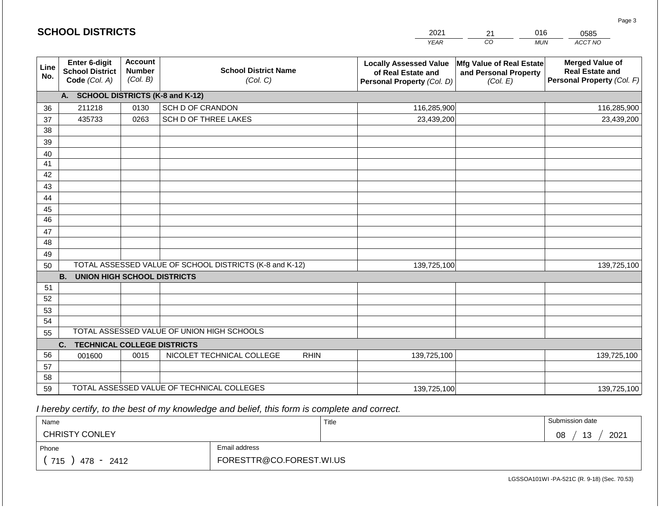|             | <b>SCHOOL DISTRICTS</b>                                         |                                             |                                                         |             | 2021                                                                              | 21                                                            | 016        | 0585                                                                           |
|-------------|-----------------------------------------------------------------|---------------------------------------------|---------------------------------------------------------|-------------|-----------------------------------------------------------------------------------|---------------------------------------------------------------|------------|--------------------------------------------------------------------------------|
|             |                                                                 |                                             |                                                         |             | <b>YEAR</b>                                                                       | $\overline{co}$                                               | <b>MUN</b> | ACCT NO                                                                        |
| Line<br>No. | <b>Enter 6-digit</b><br><b>School District</b><br>Code (Col. A) | <b>Account</b><br><b>Number</b><br>(Col. B) | <b>School District Name</b><br>(Col. C)                 |             | <b>Locally Assessed Value</b><br>of Real Estate and<br>Personal Property (Col. D) | Mfg Value of Real Estate<br>and Personal Property<br>(Col. E) |            | <b>Merged Value of</b><br><b>Real Estate and</b><br>Personal Property (Col. F) |
|             | A. SCHOOL DISTRICTS (K-8 and K-12)                              |                                             |                                                         |             |                                                                                   |                                                               |            |                                                                                |
| 36          | 211218                                                          | 0130                                        | SCH D OF CRANDON                                        |             | 116,285,900                                                                       |                                                               |            | 116,285,900                                                                    |
| 37          | 435733                                                          | 0263                                        | SCH D OF THREE LAKES                                    |             | 23,439,200                                                                        |                                                               |            | 23,439,200                                                                     |
| 38          |                                                                 |                                             |                                                         |             |                                                                                   |                                                               |            |                                                                                |
| 39          |                                                                 |                                             |                                                         |             |                                                                                   |                                                               |            |                                                                                |
| 40          |                                                                 |                                             |                                                         |             |                                                                                   |                                                               |            |                                                                                |
| 41<br>42    |                                                                 |                                             |                                                         |             |                                                                                   |                                                               |            |                                                                                |
| 43          |                                                                 |                                             |                                                         |             |                                                                                   |                                                               |            |                                                                                |
| 44          |                                                                 |                                             |                                                         |             |                                                                                   |                                                               |            |                                                                                |
| 45          |                                                                 |                                             |                                                         |             |                                                                                   |                                                               |            |                                                                                |
| 46          |                                                                 |                                             |                                                         |             |                                                                                   |                                                               |            |                                                                                |
| 47          |                                                                 |                                             |                                                         |             |                                                                                   |                                                               |            |                                                                                |
| 48          |                                                                 |                                             |                                                         |             |                                                                                   |                                                               |            |                                                                                |
| 49          |                                                                 |                                             |                                                         |             |                                                                                   |                                                               |            |                                                                                |
| 50          |                                                                 |                                             | TOTAL ASSESSED VALUE OF SCHOOL DISTRICTS (K-8 and K-12) |             | 139,725,100                                                                       |                                                               |            | 139,725,100                                                                    |
|             | <b>B. UNION HIGH SCHOOL DISTRICTS</b>                           |                                             |                                                         |             |                                                                                   |                                                               |            |                                                                                |
| 51          |                                                                 |                                             |                                                         |             |                                                                                   |                                                               |            |                                                                                |
| 52          |                                                                 |                                             |                                                         |             |                                                                                   |                                                               |            |                                                                                |
| 53<br>54    |                                                                 |                                             |                                                         |             |                                                                                   |                                                               |            |                                                                                |
| 55          |                                                                 |                                             | TOTAL ASSESSED VALUE OF UNION HIGH SCHOOLS              |             |                                                                                   |                                                               |            |                                                                                |
|             | <b>TECHNICAL COLLEGE DISTRICTS</b><br>C.                        |                                             |                                                         |             |                                                                                   |                                                               |            |                                                                                |
| 56          | 001600                                                          | 0015                                        | NICOLET TECHNICAL COLLEGE                               | <b>RHIN</b> | 139,725,100                                                                       |                                                               |            | 139,725,100                                                                    |
| 57          |                                                                 |                                             |                                                         |             |                                                                                   |                                                               |            |                                                                                |
| 58          |                                                                 |                                             |                                                         |             |                                                                                   |                                                               |            |                                                                                |
| 59          |                                                                 |                                             | TOTAL ASSESSED VALUE OF TECHNICAL COLLEGES              |             | 139,725,100                                                                       |                                                               |            | 139,725,100                                                                    |

2021

 *I hereby certify, to the best of my knowledge and belief, this form is complete and correct.*

**SCHOOL DISTRICTS**

| Name                  |                          | Title | Submission date  |
|-----------------------|--------------------------|-------|------------------|
| <b>CHRISTY CONLEY</b> |                          |       | 13<br>2021<br>08 |
| Phone                 | Email address            |       |                  |
| 715<br>478 - 2412     | FORESTTR@CO.FOREST.WI.US |       |                  |

016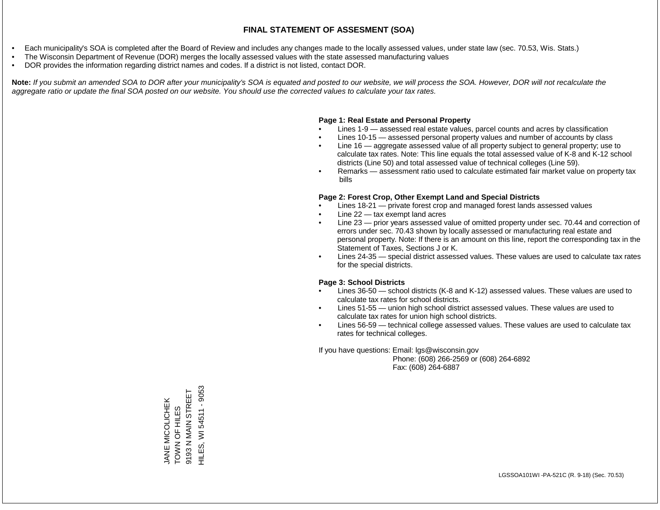- Each municipality's SOA is completed after the Board of Review and includes any changes made to the locally assessed values, under state law (sec. 70.53, Wis. Stats.)
- The Wisconsin Department of Revenue (DOR) merges the locally assessed values with the state assessed manufacturing values
- DOR provides the information regarding district names and codes. If a district is not listed, contact DOR.

Note: If you submit an amended SOA to DOR after your municipality's SOA is equated and posted to our website, we will process the SOA. However, DOR will not recalculate the *aggregate ratio or update the final SOA posted on our website. You should use the corrected values to calculate your tax rates.*

### **Page 1: Real Estate and Personal Property**

- Lines 1-9 assessed real estate values, parcel counts and acres by classification
- Lines 10-15 assessed personal property values and number of accounts by class
- Line 16 aggregate assessed value of all property subject to general property; use to calculate tax rates. Note: This line equals the total assessed value of K-8 and K-12 school districts (Line 50) and total assessed value of technical colleges (Line 59).
- Remarks assessment ratio used to calculate estimated fair market value on property tax bills

### **Page 2: Forest Crop, Other Exempt Land and Special Districts**

- Lines 18-21 private forest crop and managed forest lands assessed values
- Line  $22 -$  tax exempt land acres
- Line 23 prior years assessed value of omitted property under sec. 70.44 and correction of errors under sec. 70.43 shown by locally assessed or manufacturing real estate and personal property. Note: If there is an amount on this line, report the corresponding tax in the Statement of Taxes, Sections J or K.
- Lines 24-35 special district assessed values. These values are used to calculate tax rates for the special districts.

### **Page 3: School Districts**

- Lines 36-50 school districts (K-8 and K-12) assessed values. These values are used to calculate tax rates for school districts.
- Lines 51-55 union high school district assessed values. These values are used to calculate tax rates for union high school districts.
- Lines 56-59 technical college assessed values. These values are used to calculate tax rates for technical colleges.

If you have questions: Email: lgs@wisconsin.gov

 Phone: (608) 266-2569 or (608) 264-6892 Fax: (608) 264-6887

JANE MICOLICHEK<br>TOWN OF HILES<br>9193 N MAIN STREET ES, WI 54511 - 9053 HILES, WI 54511 - 90539193 N MAIN STREET JANE MICOLICHEK TOWN OF HILES 旱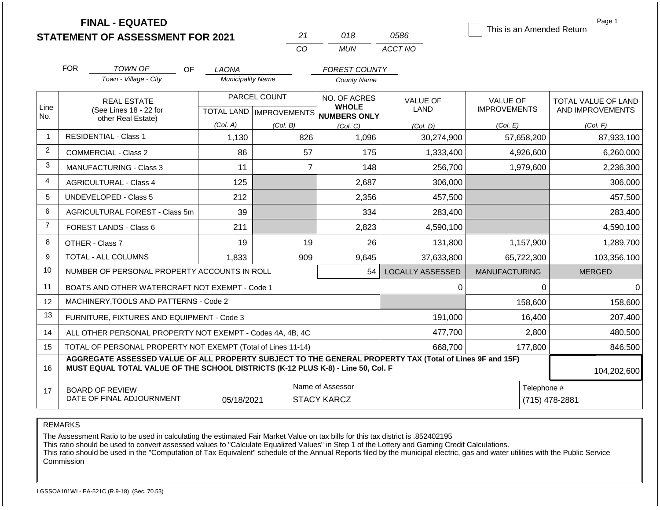|                | <b>FINAL - EQUATED</b>                                                                                                                                                                       |                          |                           |                                     |                         | This is an Amended Return | Page 1                        |  |
|----------------|----------------------------------------------------------------------------------------------------------------------------------------------------------------------------------------------|--------------------------|---------------------------|-------------------------------------|-------------------------|---------------------------|-------------------------------|--|
|                | <b>STATEMENT OF ASSESSMENT FOR 2021</b>                                                                                                                                                      |                          | 21                        | 018                                 | 0586                    |                           |                               |  |
|                |                                                                                                                                                                                              |                          | CO                        | <b>MUN</b>                          | ACCT NO                 |                           |                               |  |
|                | <b>FOR</b><br><b>TOWN OF</b><br>OF                                                                                                                                                           | LAONA                    |                           | <b>FOREST COUNTY</b>                |                         |                           |                               |  |
|                | Town - Village - City                                                                                                                                                                        | <b>Municipality Name</b> |                           | <b>County Name</b>                  |                         |                           |                               |  |
|                | <b>REAL ESTATE</b>                                                                                                                                                                           |                          | PARCEL COUNT              | NO. OF ACRES                        | <b>VALUE OF</b>         | <b>VALUE OF</b>           | <b>TOTAL VALUE OF LAND</b>    |  |
| Line<br>No.    | (See Lines 18 - 22 for                                                                                                                                                                       |                          | TOTAL LAND   IMPROVEMENTS | <b>WHOLE</b><br><b>NUMBERS ONLY</b> | <b>LAND</b>             | <b>IMPROVEMENTS</b>       | AND IMPROVEMENTS              |  |
|                | other Real Estate)                                                                                                                                                                           | (Col. A)                 | (Col. B)                  | (Col. C)                            | (Col. D)                | (Col. E)                  | (Col. F)                      |  |
| $\overline{1}$ | <b>RESIDENTIAL - Class 1</b>                                                                                                                                                                 | 1,130                    | 826                       | 1,096                               | 30,274,900              | 57,658,200                | 87,933,100                    |  |
| 2              | <b>COMMERCIAL - Class 2</b>                                                                                                                                                                  | 86                       | 57                        | 175                                 | 1,333,400               | 4,926,600                 | 6,260,000                     |  |
| 3              | <b>MANUFACTURING - Class 3</b>                                                                                                                                                               | 11                       | $\overline{7}$            | 148                                 | 256,700                 | 1,979,600                 | 2,236,300                     |  |
| $\overline{4}$ | <b>AGRICULTURAL - Class 4</b>                                                                                                                                                                | 125                      |                           | 2,687                               | 306,000                 |                           | 306,000                       |  |
| 5              | <b>UNDEVELOPED - Class 5</b>                                                                                                                                                                 | 212                      |                           | 2,356                               | 457,500                 |                           | 457,500                       |  |
| 6              | AGRICULTURAL FOREST - Class 5m                                                                                                                                                               | 39                       |                           | 334                                 | 283,400                 |                           | 283,400                       |  |
| $\overline{7}$ | <b>FOREST LANDS - Class 6</b>                                                                                                                                                                | 211                      |                           | 2,823                               | 4,590,100               |                           | 4,590,100                     |  |
| 8              | OTHER - Class 7                                                                                                                                                                              | 19                       | 19                        | 26                                  | 131,800                 | 1,157,900                 | 1,289,700                     |  |
| 9              | TOTAL - ALL COLUMNS                                                                                                                                                                          | 1,833                    | 909                       | 9,645                               | 37,633,800              | 65,722,300                | 103,356,100                   |  |
| 10             | NUMBER OF PERSONAL PROPERTY ACCOUNTS IN ROLL                                                                                                                                                 |                          |                           | 54                                  | <b>LOCALLY ASSESSED</b> | <b>MANUFACTURING</b>      | <b>MERGED</b>                 |  |
| 11             | BOATS AND OTHER WATERCRAFT NOT EXEMPT - Code 1                                                                                                                                               |                          |                           |                                     | 0                       | 0                         | $\Omega$                      |  |
| 12             | MACHINERY, TOOLS AND PATTERNS - Code 2                                                                                                                                                       |                          |                           |                                     |                         | 158,600                   | 158,600                       |  |
| 13             | FURNITURE, FIXTURES AND EQUIPMENT - Code 3                                                                                                                                                   |                          |                           |                                     | 191,000                 | 16,400                    | 207,400                       |  |
| 14             | ALL OTHER PERSONAL PROPERTY NOT EXEMPT - Codes 4A, 4B, 4C                                                                                                                                    |                          |                           |                                     | 477,700                 | 2,800                     | 480,500                       |  |
| 15             | TOTAL OF PERSONAL PROPERTY NOT EXEMPT (Total of Lines 11-14)                                                                                                                                 |                          |                           |                                     | 668,700                 | 177,800                   | 846,500                       |  |
| 16             | AGGREGATE ASSESSED VALUE OF ALL PROPERTY SUBJECT TO THE GENERAL PROPERTY TAX (Total of Lines 9F and 15F)<br>MUST EQUAL TOTAL VALUE OF THE SCHOOL DISTRICTS (K-12 PLUS K-8) - Line 50, Col. F |                          |                           |                                     |                         |                           | 104,202,600                   |  |
|                | <b>BOARD OF REVIEW</b>                                                                                                                                                                       |                          |                           | Name of Assessor                    |                         |                           |                               |  |
| 17             | DATE OF FINAL ADJOURNMENT                                                                                                                                                                    | 05/18/2021               |                           | <b>STACY KARCZ</b>                  |                         |                           | Telephone #<br>(715) 478-2881 |  |

The Assessment Ratio to be used in calculating the estimated Fair Market Value on tax bills for this tax district is .852402195

This ratio should be used to convert assessed values to "Calculate Equalized Values" in Step 1 of the Lottery and Gaming Credit Calculations.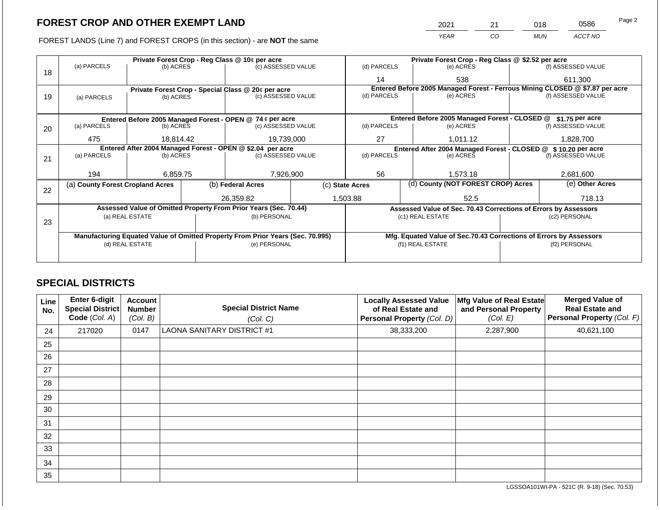FOREST LANDS (Line 7) and FOREST CROPS (in this section) - are NOT the same

| 2021 | ^1 | ງ18        | 0586    | Page 2 |
|------|----|------------|---------|--------|
| YFAR | CO | <b>MUN</b> | ACCT NO |        |

|    |                                                                                |                 |  | Private Forest Crop - Reg Class @ 10¢ per acre                   |                                                                    | Private Forest Crop - Reg Class @ \$2.52 per acre                            |                  |                                                                 |                                                               |                    |  |
|----|--------------------------------------------------------------------------------|-----------------|--|------------------------------------------------------------------|--------------------------------------------------------------------|------------------------------------------------------------------------------|------------------|-----------------------------------------------------------------|---------------------------------------------------------------|--------------------|--|
| 18 | (a) PARCELS                                                                    | (b) ACRES       |  | (c) ASSESSED VALUE                                               |                                                                    | (d) PARCELS                                                                  |                  | (e) ACRES                                                       |                                                               | (f) ASSESSED VALUE |  |
|    |                                                                                |                 |  |                                                                  |                                                                    | 14                                                                           |                  | 538                                                             |                                                               | 611,300            |  |
|    |                                                                                |                 |  | Private Forest Crop - Special Class @ 20¢ per acre               |                                                                    | Entered Before 2005 Managed Forest - Ferrous Mining CLOSED @ \$7.87 per acre |                  |                                                                 |                                                               |                    |  |
| 19 | (a) PARCELS                                                                    | (b) ACRES       |  | (c) ASSESSED VALUE                                               |                                                                    | (d) PARCELS                                                                  |                  | (e) ACRES                                                       |                                                               | (f) ASSESSED VALUE |  |
|    |                                                                                |                 |  |                                                                  |                                                                    |                                                                              |                  |                                                                 |                                                               |                    |  |
|    |                                                                                |                 |  | Entered Before 2005 Managed Forest - OPEN @ 74 ¢ per acre        |                                                                    |                                                                              |                  | Entered Before 2005 Managed Forest - CLOSED @                   |                                                               | \$1.75 per acre    |  |
| 20 | (a) PARCELS                                                                    | (b) ACRES       |  | (c) ASSESSED VALUE                                               |                                                                    | (d) PARCELS                                                                  |                  | (e) ACRES                                                       |                                                               | (f) ASSESSED VALUE |  |
|    |                                                                                |                 |  |                                                                  |                                                                    |                                                                              |                  |                                                                 |                                                               |                    |  |
|    | 19,739,000<br>475<br>18.814.42                                                 |                 |  |                                                                  | 27                                                                 |                                                                              | 1,011.12         | 1,828,700                                                       |                                                               |                    |  |
|    | Entered After 2004 Managed Forest - OPEN @ \$2.04 per acre                     |                 |  |                                                                  |                                                                    |                                                                              |                  |                                                                 | Entered After 2004 Managed Forest - CLOSED @ \$10.20 per acre |                    |  |
| 21 | (a) PARCELS                                                                    | (b) ACRES       |  | (c) ASSESSED VALUE                                               |                                                                    | (d) PARCELS                                                                  |                  | (e) ACRES                                                       |                                                               | (f) ASSESSED VALUE |  |
|    |                                                                                |                 |  |                                                                  |                                                                    |                                                                              |                  |                                                                 |                                                               |                    |  |
|    | 194                                                                            | 6,859.75        |  | 7,926,900                                                        |                                                                    | 56<br>1,573.18                                                               |                  |                                                                 | 2,681,600                                                     |                    |  |
| 22 | (a) County Forest Cropland Acres                                               |                 |  | (b) Federal Acres                                                |                                                                    | (d) County (NOT FOREST CROP) Acres<br>(c) State Acres                        |                  |                                                                 | (e) Other Acres                                               |                    |  |
|    |                                                                                |                 |  |                                                                  |                                                                    | 1,503.88                                                                     |                  | 52.5                                                            |                                                               | 718.13             |  |
|    |                                                                                |                 |  | 26,359.82                                                        |                                                                    |                                                                              |                  |                                                                 |                                                               |                    |  |
|    |                                                                                |                 |  | Assessed Value of Omitted Property From Prior Years (Sec. 70.44) |                                                                    |                                                                              |                  | Assessed Value of Sec. 70.43 Corrections of Errors by Assessors |                                                               |                    |  |
| 23 |                                                                                | (a) REAL ESTATE |  | (b) PERSONAL                                                     |                                                                    |                                                                              | (c1) REAL ESTATE |                                                                 |                                                               | (c2) PERSONAL      |  |
|    |                                                                                |                 |  |                                                                  |                                                                    |                                                                              |                  |                                                                 |                                                               |                    |  |
|    | Manufacturing Equated Value of Omitted Property From Prior Years (Sec. 70.995) |                 |  |                                                                  | Mfg. Equated Value of Sec.70.43 Corrections of Errors by Assessors |                                                                              |                  |                                                                 |                                                               |                    |  |
|    |                                                                                | (d) REAL ESTATE |  | (e) PERSONAL                                                     |                                                                    | (f1) REAL ESTATE                                                             |                  | (f2) PERSONAL                                                   |                                                               |                    |  |
|    |                                                                                |                 |  |                                                                  |                                                                    |                                                                              |                  |                                                                 |                                                               |                    |  |
|    |                                                                                |                 |  |                                                                  |                                                                    |                                                                              |                  |                                                                 |                                                               |                    |  |

# **SPECIAL DISTRICTS**

| Line<br>No. | <b>Enter 6-digit</b><br>Special District<br>Code (Col. A) | <b>Account</b><br><b>Number</b><br>(Col. B) | <b>Special District Name</b><br>(Col. C) | <b>Locally Assessed Value</b><br>of Real Estate and<br>Personal Property (Col. D) | Mfg Value of Real Estate<br>and Personal Property<br>(Col. E) | <b>Merged Value of</b><br><b>Real Estate and</b><br>Personal Property (Col. F) |
|-------------|-----------------------------------------------------------|---------------------------------------------|------------------------------------------|-----------------------------------------------------------------------------------|---------------------------------------------------------------|--------------------------------------------------------------------------------|
| 24          | 217020                                                    | 0147                                        | <b>LAONA SANITARY DISTRICT #1</b>        | 38,333,200                                                                        | 2,287,900                                                     | 40,621,100                                                                     |
| 25          |                                                           |                                             |                                          |                                                                                   |                                                               |                                                                                |
| 26          |                                                           |                                             |                                          |                                                                                   |                                                               |                                                                                |
| 27          |                                                           |                                             |                                          |                                                                                   |                                                               |                                                                                |
| 28          |                                                           |                                             |                                          |                                                                                   |                                                               |                                                                                |
| 29          |                                                           |                                             |                                          |                                                                                   |                                                               |                                                                                |
| 30          |                                                           |                                             |                                          |                                                                                   |                                                               |                                                                                |
| 31          |                                                           |                                             |                                          |                                                                                   |                                                               |                                                                                |
| 32          |                                                           |                                             |                                          |                                                                                   |                                                               |                                                                                |
| 33          |                                                           |                                             |                                          |                                                                                   |                                                               |                                                                                |
| 34          |                                                           |                                             |                                          |                                                                                   |                                                               |                                                                                |
| 35          |                                                           |                                             |                                          |                                                                                   |                                                               |                                                                                |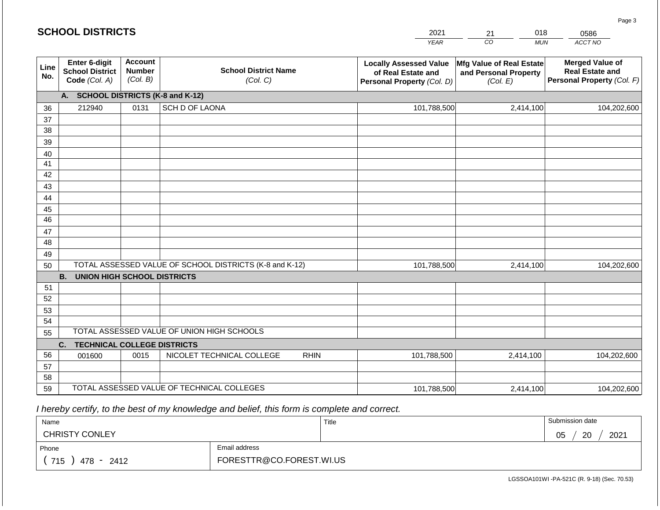#### *YEAR*   $\overline{co}$ 21 *MUN ACCT NO*  0586 **Line No. Enter 6-digit School District Code** *(Col. A)* **Account Number** *(Col. B)* **School District Name** *(Col. C)* **Locally Assessed Value of Real Estate and Personal Property** *(Col. D)* **Mfg Value of Real Estate and Personal Property** *(Col. E)* **Merged Value of Real Estate and Personal Property** *(Col. F)* **A. SCHOOL DISTRICTS (K-8 and K-12)** 36 37 38 39 40 41 42 43 44 45 46 47 48 49 50 TOTAL ASSESSED VALUE OF SCHOOL DISTRICTS (K-8 and K-12) **B. UNION HIGH SCHOOL DISTRICTS** 51 52 53 54 55 **C. TECHNICAL COLLEGE DISTRICTS** 56 57 58 59 TOTAL ASSESSED VALUE OF TECHNICAL COLLEGES TOTAL ASSESSED VALUE OF UNION HIGH SCHOOLS 212940 0131 SCH D OF LAONA 101,788,500 101,788,500 001600 | 0015 | NICOLET TECHNICAL COLLEGE RHIN 101,788,500 2,414,100 104,202,600 2,414,100 104,202,600 2,414,100 104,202,600 101,788,500 **2,414,100** 2,410 104,202,600

2021

 *I hereby certify, to the best of my knowledge and belief, this form is complete and correct.*

**SCHOOL DISTRICTS**

| Name                                             |                       |               | Title | Submission date  |
|--------------------------------------------------|-----------------------|---------------|-------|------------------|
|                                                  | <b>CHRISTY CONLEY</b> |               |       | 20<br>2021<br>05 |
| Phone                                            |                       | Email address |       |                  |
| FORESTTR@CO.FOREST.WI.US<br>715<br>2412<br>478 - |                       |               |       |                  |

LGSSOA101WI -PA-521C (R. 9-18) (Sec. 70.53)

Page 3

018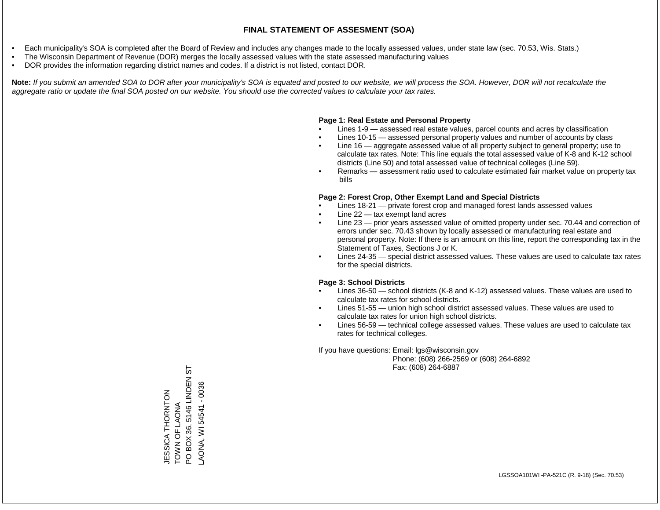- Each municipality's SOA is completed after the Board of Review and includes any changes made to the locally assessed values, under state law (sec. 70.53, Wis. Stats.)
- The Wisconsin Department of Revenue (DOR) merges the locally assessed values with the state assessed manufacturing values
- DOR provides the information regarding district names and codes. If a district is not listed, contact DOR.

Note: If you submit an amended SOA to DOR after your municipality's SOA is equated and posted to our website, we will process the SOA. However, DOR will not recalculate the *aggregate ratio or update the final SOA posted on our website. You should use the corrected values to calculate your tax rates.*

#### **Page 1: Real Estate and Personal Property**

- Lines 1-9 assessed real estate values, parcel counts and acres by classification
- Lines 10-15 assessed personal property values and number of accounts by class
- Line 16 aggregate assessed value of all property subject to general property; use to calculate tax rates. Note: This line equals the total assessed value of K-8 and K-12 school districts (Line 50) and total assessed value of technical colleges (Line 59).
- Remarks assessment ratio used to calculate estimated fair market value on property tax bills

#### **Page 2: Forest Crop, Other Exempt Land and Special Districts**

- Lines 18-21 private forest crop and managed forest lands assessed values
- Line  $22 -$  tax exempt land acres
- Line 23 prior years assessed value of omitted property under sec. 70.44 and correction of errors under sec. 70.43 shown by locally assessed or manufacturing real estate and personal property. Note: If there is an amount on this line, report the corresponding tax in the Statement of Taxes, Sections J or K.
- Lines 24-35 special district assessed values. These values are used to calculate tax rates for the special districts.

#### **Page 3: School Districts**

- Lines 36-50 school districts (K-8 and K-12) assessed values. These values are used to calculate tax rates for school districts.
- Lines 51-55 union high school district assessed values. These values are used to calculate tax rates for union high school districts.
- Lines 56-59 technical college assessed values. These values are used to calculate tax rates for technical colleges.

If you have questions: Email: lgs@wisconsin.gov

 Phone: (608) 266-2569 or (608) 264-6892 Fax: (608) 264-6887

57 PO BOX 36, 5146 LINDEN ST PO BOX 36, 5146 LINDEN LAONA, WI 54541 - 0036 LAONA, WI 54541 - 0036ESSICA THORNTON JESSICA THORNTON TOWN OF LAONA TOWN OF LAONA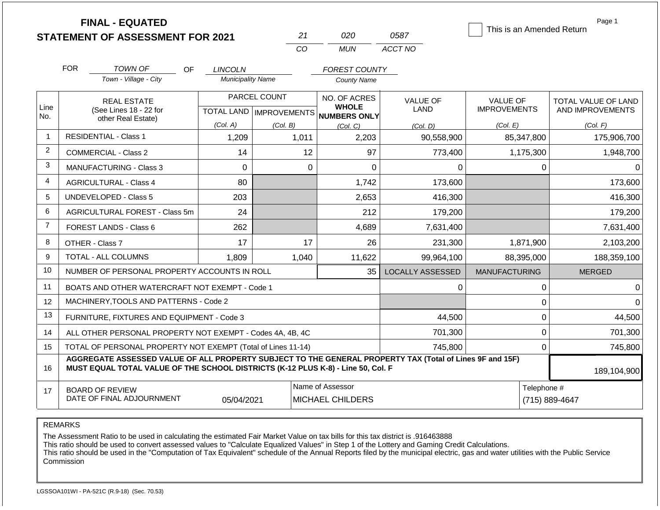|                | <b>FINAL - EQUATED</b><br><b>STATEMENT OF ASSESSMENT FOR 2021</b>                                                                                                                            |                          | 21           | 020                                                  | 0587                    | This is an Amended Return | Page 1                                                     |
|----------------|----------------------------------------------------------------------------------------------------------------------------------------------------------------------------------------------|--------------------------|--------------|------------------------------------------------------|-------------------------|---------------------------|------------------------------------------------------------|
|                |                                                                                                                                                                                              |                          | CO           | <b>MUN</b>                                           | ACCT NO                 |                           |                                                            |
|                | <b>FOR</b><br><b>TOWN OF</b><br>OF.                                                                                                                                                          | <b>LINCOLN</b>           |              | <b>FOREST COUNTY</b>                                 |                         |                           |                                                            |
|                | Town - Village - City                                                                                                                                                                        | <b>Municipality Name</b> |              | <b>County Name</b>                                   |                         |                           |                                                            |
|                | <b>REAL ESTATE</b>                                                                                                                                                                           |                          | PARCEL COUNT | NO. OF ACRES                                         | <b>VALUE OF</b><br>LAND | <b>VALUE OF</b>           | TOTAL VALUE OF LAND                                        |
| Line<br>No.    | (See Lines 18 - 22 for<br>other Real Estate)                                                                                                                                                 |                          |              | <b>WHOLE</b><br>TOTAL LAND IMPROVEMENTS NUMBERS ONLY |                         | <b>IMPROVEMENTS</b>       | AND IMPROVEMENTS                                           |
|                |                                                                                                                                                                                              | (Col. A)                 | (Col. B)     | (Col, C)                                             | (Col, D)                | (Col. E)                  | (Col. F)<br><b>MERGED</b><br>Telephone #<br>(715) 889-4647 |
| -1             | <b>RESIDENTIAL - Class 1</b>                                                                                                                                                                 | 1,209                    | 1,011        | 2,203                                                | 90,558,900              | 85,347,800                | 175,906,700                                                |
| $\overline{2}$ | <b>COMMERCIAL - Class 2</b>                                                                                                                                                                  | 14                       | 12           | 97                                                   | 773,400                 | 1,175,300                 | 1,948,700                                                  |
| 3              | MANUFACTURING - Class 3                                                                                                                                                                      | $\mathbf 0$              | $\mathbf 0$  | $\mathbf 0$                                          | 0                       | $\mathbf 0$               | 0                                                          |
| 4              | <b>AGRICULTURAL - Class 4</b>                                                                                                                                                                | 80                       |              | 1,742                                                | 173,600                 |                           | 173,600                                                    |
| 5              | <b>UNDEVELOPED - Class 5</b>                                                                                                                                                                 | 203                      |              | 2,653                                                | 416,300                 |                           | 416,300                                                    |
| 6              | AGRICULTURAL FOREST - Class 5m                                                                                                                                                               | 24                       |              | 212                                                  | 179,200                 |                           | 179,200                                                    |
| $\overline{7}$ | <b>FOREST LANDS - Class 6</b>                                                                                                                                                                | 262                      |              | 4,689                                                | 7,631,400               |                           | 7,631,400                                                  |
| 8              | OTHER - Class 7                                                                                                                                                                              | 17                       | 17           | 26                                                   | 231,300                 | 1,871,900                 | 2,103,200                                                  |
| 9              | <b>TOTAL - ALL COLUMNS</b>                                                                                                                                                                   | 1,809                    | 1,040        | 11,622                                               | 99,964,100              | 88,395,000                | 188,359,100                                                |
| 10             | NUMBER OF PERSONAL PROPERTY ACCOUNTS IN ROLL                                                                                                                                                 |                          |              | 35                                                   | <b>LOCALLY ASSESSED</b> | <b>MANUFACTURING</b>      |                                                            |
| 11             | BOATS AND OTHER WATERCRAFT NOT EXEMPT - Code 1                                                                                                                                               |                          |              |                                                      | 0                       | $\mathbf 0$               | 0                                                          |
| 12             | MACHINERY, TOOLS AND PATTERNS - Code 2                                                                                                                                                       |                          |              |                                                      |                         | $\mathbf 0$               | $\Omega$                                                   |
| 13             | FURNITURE, FIXTURES AND EQUIPMENT - Code 3                                                                                                                                                   |                          |              |                                                      | 44,500                  | $\mathbf 0$               | 44,500                                                     |
| 14             | ALL OTHER PERSONAL PROPERTY NOT EXEMPT - Codes 4A, 4B, 4C                                                                                                                                    |                          |              |                                                      | 701,300                 | $\mathbf 0$               | 701,300                                                    |
| 15             | TOTAL OF PERSONAL PROPERTY NOT EXEMPT (Total of Lines 11-14)                                                                                                                                 |                          |              | 745,800                                              | $\mathbf 0$             | 745,800                   |                                                            |
| 16             | AGGREGATE ASSESSED VALUE OF ALL PROPERTY SUBJECT TO THE GENERAL PROPERTY TAX (Total of Lines 9F and 15F)<br>MUST EQUAL TOTAL VALUE OF THE SCHOOL DISTRICTS (K-12 PLUS K-8) - Line 50, Col. F |                          |              |                                                      |                         |                           | 189,104,900                                                |
| 17             | <b>BOARD OF REVIEW</b><br>DATE OF FINAL ADJOURNMENT                                                                                                                                          |                          |              |                                                      |                         |                           |                                                            |

The Assessment Ratio to be used in calculating the estimated Fair Market Value on tax bills for this tax district is .916463888

This ratio should be used to convert assessed values to "Calculate Equalized Values" in Step 1 of the Lottery and Gaming Credit Calculations.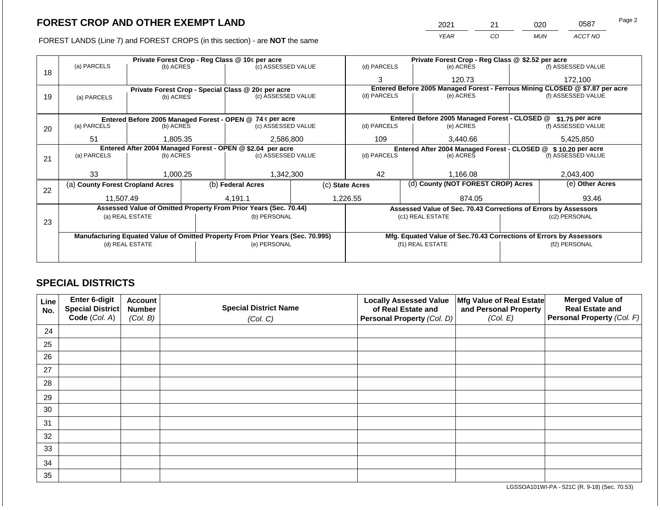FOREST LANDS (Line 7) and FOREST CROPS (in this section) - are NOT the same

|    |                                  |                                                            |  | Private Forest Crop - Reg Class @ 10¢ per acre                                 |          |                                                                              | Private Forest Crop - Reg Class @ \$2.52 per acre                  |  |                    |  |
|----|----------------------------------|------------------------------------------------------------|--|--------------------------------------------------------------------------------|----------|------------------------------------------------------------------------------|--------------------------------------------------------------------|--|--------------------|--|
| 18 | (a) PARCELS                      | (b) ACRES                                                  |  | (c) ASSESSED VALUE                                                             |          | (d) PARCELS                                                                  | (e) ACRES                                                          |  | (f) ASSESSED VALUE |  |
|    |                                  |                                                            |  |                                                                                |          | 3                                                                            | 120.73                                                             |  | 172,100            |  |
|    |                                  |                                                            |  | Private Forest Crop - Special Class @ 20¢ per acre                             |          | Entered Before 2005 Managed Forest - Ferrous Mining CLOSED @ \$7.87 per acre |                                                                    |  |                    |  |
| 19 | (a) PARCELS                      | (b) ACRES                                                  |  | (c) ASSESSED VALUE                                                             |          | (d) PARCELS                                                                  | (e) ACRES                                                          |  | (f) ASSESSED VALUE |  |
|    |                                  |                                                            |  |                                                                                |          |                                                                              |                                                                    |  |                    |  |
|    |                                  |                                                            |  | Entered Before 2005 Managed Forest - OPEN @ 74 ¢ per acre                      |          |                                                                              | Entered Before 2005 Managed Forest - CLOSED @                      |  | \$1.75 per acre    |  |
| 20 | (a) PARCELS                      | (b) ACRES                                                  |  | (c) ASSESSED VALUE                                                             |          | (d) PARCELS                                                                  | (e) ACRES                                                          |  | (f) ASSESSED VALUE |  |
|    |                                  |                                                            |  |                                                                                |          |                                                                              |                                                                    |  |                    |  |
|    | 51                               | 2,586,800<br>1,805.35                                      |  | 109                                                                            | 3,440.66 |                                                                              | 5,425,850                                                          |  |                    |  |
|    |                                  | Entered After 2004 Managed Forest - OPEN @ \$2.04 per acre |  |                                                                                |          | Entered After 2004 Managed Forest - CLOSED @ \$10.20 per acre                |                                                                    |  |                    |  |
| 21 | (a) PARCELS                      | (b) ACRES                                                  |  | (c) ASSESSED VALUE                                                             |          | (d) PARCELS                                                                  | (e) ACRES                                                          |  | (f) ASSESSED VALUE |  |
|    |                                  |                                                            |  |                                                                                |          |                                                                              |                                                                    |  |                    |  |
|    | 33                               | 1,000.25                                                   |  | 1,342,300                                                                      |          | 42                                                                           | 1,166.08                                                           |  | 2,043,400          |  |
| 22 | (a) County Forest Cropland Acres |                                                            |  | (b) Federal Acres                                                              |          | (c) State Acres                                                              | (d) County (NOT FOREST CROP) Acres                                 |  | (e) Other Acres    |  |
|    | 11,507.49                        |                                                            |  | 4.191.1                                                                        |          | 1,226.55                                                                     | 874.05                                                             |  | 93.46              |  |
|    |                                  |                                                            |  | Assessed Value of Omitted Property From Prior Years (Sec. 70.44)               |          |                                                                              | Assessed Value of Sec. 70.43 Corrections of Errors by Assessors    |  |                    |  |
|    |                                  | (a) REAL ESTATE                                            |  | (b) PERSONAL                                                                   |          |                                                                              | (c1) REAL ESTATE                                                   |  | (c2) PERSONAL      |  |
| 23 |                                  |                                                            |  |                                                                                |          |                                                                              |                                                                    |  |                    |  |
|    |                                  |                                                            |  | Manufacturing Equated Value of Omitted Property From Prior Years (Sec. 70.995) |          |                                                                              | Mfg. Equated Value of Sec.70.43 Corrections of Errors by Assessors |  |                    |  |
|    |                                  | (d) REAL ESTATE                                            |  | (e) PERSONAL                                                                   |          |                                                                              | (f1) REAL ESTATE                                                   |  | (f2) PERSONAL      |  |
|    |                                  |                                                            |  |                                                                                |          |                                                                              |                                                                    |  |                    |  |
|    |                                  |                                                            |  |                                                                                |          |                                                                              |                                                                    |  |                    |  |

# **SPECIAL DISTRICTS**

| Line<br>No. | Enter 6-digit<br><b>Special District</b> | <b>Account</b><br><b>Number</b> | <b>Special District Name</b> | <b>Locally Assessed Value</b><br>of Real Estate and | Mfg Value of Real Estate<br>and Personal Property | <b>Merged Value of</b><br><b>Real Estate and</b> |
|-------------|------------------------------------------|---------------------------------|------------------------------|-----------------------------------------------------|---------------------------------------------------|--------------------------------------------------|
|             | Code (Col. A)                            | (Col. B)                        | (Col. C)                     | Personal Property (Col. D)                          | (Col. E)                                          | Personal Property (Col. F)                       |
| 24          |                                          |                                 |                              |                                                     |                                                   |                                                  |
| 25          |                                          |                                 |                              |                                                     |                                                   |                                                  |
| 26          |                                          |                                 |                              |                                                     |                                                   |                                                  |
| 27          |                                          |                                 |                              |                                                     |                                                   |                                                  |
| 28          |                                          |                                 |                              |                                                     |                                                   |                                                  |
| 29          |                                          |                                 |                              |                                                     |                                                   |                                                  |
| 30          |                                          |                                 |                              |                                                     |                                                   |                                                  |
| 31          |                                          |                                 |                              |                                                     |                                                   |                                                  |
| 32          |                                          |                                 |                              |                                                     |                                                   |                                                  |
| 33          |                                          |                                 |                              |                                                     |                                                   |                                                  |
| 34          |                                          |                                 |                              |                                                     |                                                   |                                                  |
| 35          |                                          |                                 |                              |                                                     |                                                   |                                                  |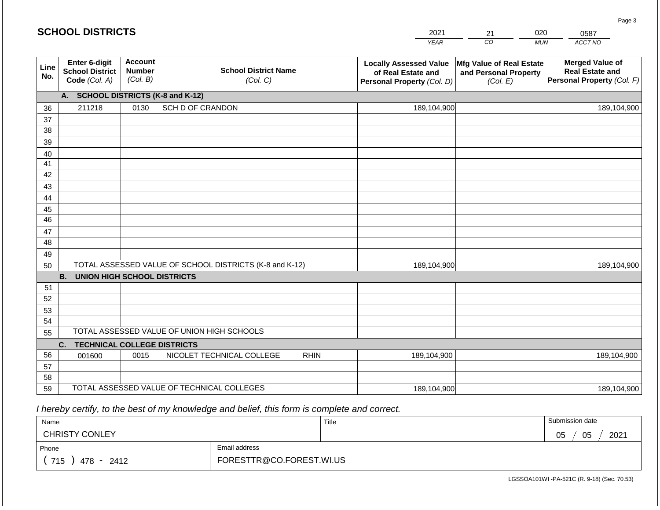|                 | <b>SCHOOL DISTRICTS</b>                                  |                                             |                                                         |             | 2021                                                                              | 21                                                            | 020        | 0587                                                                           |
|-----------------|----------------------------------------------------------|---------------------------------------------|---------------------------------------------------------|-------------|-----------------------------------------------------------------------------------|---------------------------------------------------------------|------------|--------------------------------------------------------------------------------|
|                 |                                                          |                                             |                                                         |             | <b>YEAR</b>                                                                       | CO                                                            | <b>MUN</b> | ACCT NO                                                                        |
| Line<br>No.     | Enter 6-digit<br><b>School District</b><br>Code (Col. A) | <b>Account</b><br><b>Number</b><br>(Col. B) | <b>School District Name</b><br>(Col. C)                 |             | <b>Locally Assessed Value</b><br>of Real Estate and<br>Personal Property (Col. D) | Mfg Value of Real Estate<br>and Personal Property<br>(Col. E) |            | <b>Merged Value of</b><br><b>Real Estate and</b><br>Personal Property (Col. F) |
|                 | A. SCHOOL DISTRICTS (K-8 and K-12)                       |                                             |                                                         |             |                                                                                   |                                                               |            |                                                                                |
| 36              | 211218                                                   | 0130                                        | SCH D OF CRANDON                                        |             | 189,104,900                                                                       |                                                               |            | 189,104,900                                                                    |
| 37              |                                                          |                                             |                                                         |             |                                                                                   |                                                               |            |                                                                                |
| 38              |                                                          |                                             |                                                         |             |                                                                                   |                                                               |            |                                                                                |
| 39              |                                                          |                                             |                                                         |             |                                                                                   |                                                               |            |                                                                                |
| 40              |                                                          |                                             |                                                         |             |                                                                                   |                                                               |            |                                                                                |
| 41<br>42        |                                                          |                                             |                                                         |             |                                                                                   |                                                               |            |                                                                                |
| 43              |                                                          |                                             |                                                         |             |                                                                                   |                                                               |            |                                                                                |
| 44              |                                                          |                                             |                                                         |             |                                                                                   |                                                               |            |                                                                                |
| 45              |                                                          |                                             |                                                         |             |                                                                                   |                                                               |            |                                                                                |
| $\overline{46}$ |                                                          |                                             |                                                         |             |                                                                                   |                                                               |            |                                                                                |
| 47              |                                                          |                                             |                                                         |             |                                                                                   |                                                               |            |                                                                                |
| 48              |                                                          |                                             |                                                         |             |                                                                                   |                                                               |            |                                                                                |
| 49              |                                                          |                                             |                                                         |             |                                                                                   |                                                               |            |                                                                                |
| 50              |                                                          |                                             | TOTAL ASSESSED VALUE OF SCHOOL DISTRICTS (K-8 and K-12) |             | 189,104,900                                                                       |                                                               |            | 189,104,900                                                                    |
|                 | <b>B. UNION HIGH SCHOOL DISTRICTS</b>                    |                                             |                                                         |             |                                                                                   |                                                               |            |                                                                                |
| 51              |                                                          |                                             |                                                         |             |                                                                                   |                                                               |            |                                                                                |
| 52<br>53        |                                                          |                                             |                                                         |             |                                                                                   |                                                               |            |                                                                                |
| 54              |                                                          |                                             |                                                         |             |                                                                                   |                                                               |            |                                                                                |
| 55              |                                                          |                                             | TOTAL ASSESSED VALUE OF UNION HIGH SCHOOLS              |             |                                                                                   |                                                               |            |                                                                                |
|                 | <b>TECHNICAL COLLEGE DISTRICTS</b><br>C.                 |                                             |                                                         |             |                                                                                   |                                                               |            |                                                                                |
| 56              | 001600                                                   | 0015                                        | NICOLET TECHNICAL COLLEGE                               | <b>RHIN</b> | 189,104,900                                                                       |                                                               |            | 189,104,900                                                                    |
| 57              |                                                          |                                             |                                                         |             |                                                                                   |                                                               |            |                                                                                |
| 58              |                                                          |                                             |                                                         |             |                                                                                   |                                                               |            |                                                                                |
| 59              |                                                          |                                             | TOTAL ASSESSED VALUE OF TECHNICAL COLLEGES              |             | 189,104,900                                                                       |                                                               |            | 189,104,900                                                                    |

 *I hereby certify, to the best of my knowledge and belief, this form is complete and correct.*

**SCHOOL DISTRICTS**

| Name                  |                          | Title | Submission date  |
|-----------------------|--------------------------|-------|------------------|
| <b>CHRISTY CONLEY</b> |                          |       | 05<br>2021<br>05 |
| Phone                 | Email address            |       |                  |
| 715<br>2412<br>478 -  | FORESTTR@CO.FOREST.WI.US |       |                  |

Page 3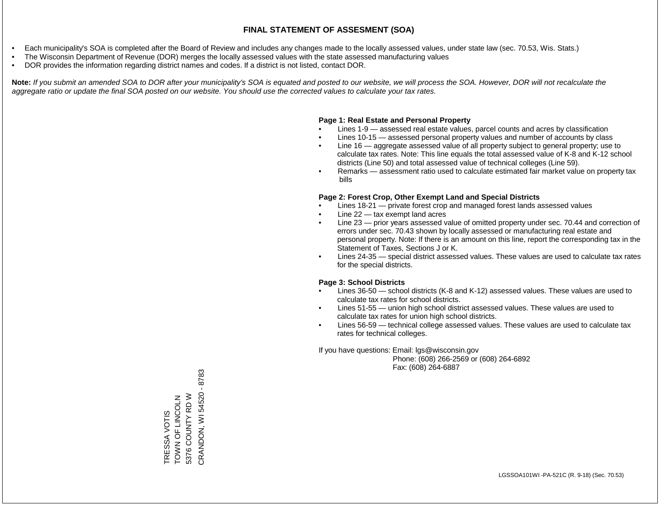- Each municipality's SOA is completed after the Board of Review and includes any changes made to the locally assessed values, under state law (sec. 70.53, Wis. Stats.)
- The Wisconsin Department of Revenue (DOR) merges the locally assessed values with the state assessed manufacturing values
- DOR provides the information regarding district names and codes. If a district is not listed, contact DOR.

Note: If you submit an amended SOA to DOR after your municipality's SOA is equated and posted to our website, we will process the SOA. However, DOR will not recalculate the *aggregate ratio or update the final SOA posted on our website. You should use the corrected values to calculate your tax rates.*

### **Page 1: Real Estate and Personal Property**

- Lines 1-9 assessed real estate values, parcel counts and acres by classification
- Lines 10-15 assessed personal property values and number of accounts by class
- Line 16 aggregate assessed value of all property subject to general property; use to calculate tax rates. Note: This line equals the total assessed value of K-8 and K-12 school districts (Line 50) and total assessed value of technical colleges (Line 59).
- Remarks assessment ratio used to calculate estimated fair market value on property tax bills

### **Page 2: Forest Crop, Other Exempt Land and Special Districts**

- Lines 18-21 private forest crop and managed forest lands assessed values
- Line  $22 -$  tax exempt land acres
- Line 23 prior years assessed value of omitted property under sec. 70.44 and correction of errors under sec. 70.43 shown by locally assessed or manufacturing real estate and personal property. Note: If there is an amount on this line, report the corresponding tax in the Statement of Taxes, Sections J or K.
- Lines 24-35 special district assessed values. These values are used to calculate tax rates for the special districts.

### **Page 3: School Districts**

- Lines 36-50 school districts (K-8 and K-12) assessed values. These values are used to calculate tax rates for school districts.
- Lines 51-55 union high school district assessed values. These values are used to calculate tax rates for union high school districts.
- Lines 56-59 technical college assessed values. These values are used to calculate tax rates for technical colleges.

If you have questions: Email: lgs@wisconsin.gov

 Phone: (608) 266-2569 or (608) 264-6892 Fax: (608) 264-6887

CRANDON, WI 54520 - 8783 CRANDON, WI 54520 - 87835376 COUNTY RD W ZJOOZIJ LO Z NOL 5376 COUNTY RD W TRESSA VOTIS<br>TOWN OF LINCOLN TRESSA VOTIS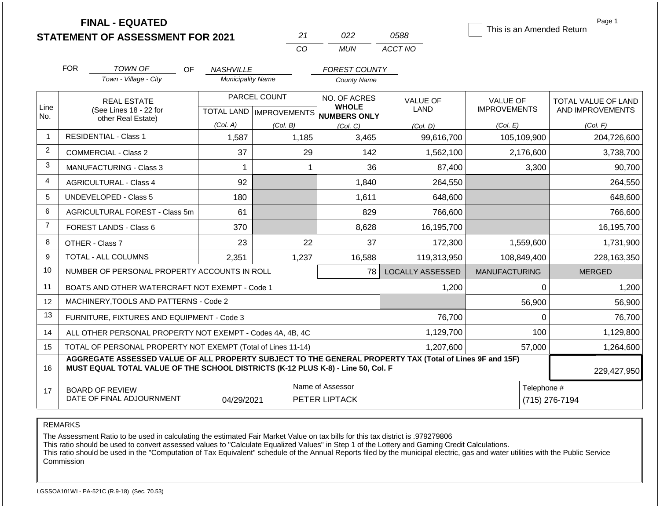|                |                                                                                                                                                                                              | <b>FINAL - EQUATED</b><br><b>STATEMENT OF ASSESSMENT FOR 2021</b> |                          | 21           | 022                                                                      | 0588                           | This is an Amended Return              | Page 1                                  |
|----------------|----------------------------------------------------------------------------------------------------------------------------------------------------------------------------------------------|-------------------------------------------------------------------|--------------------------|--------------|--------------------------------------------------------------------------|--------------------------------|----------------------------------------|-----------------------------------------|
|                |                                                                                                                                                                                              |                                                                   |                          | CO           | <b>MUN</b>                                                               | ACCT NO                        |                                        |                                         |
|                | <b>FOR</b>                                                                                                                                                                                   | <b>TOWN OF</b><br>OF.                                             | <i>NASHVILLE</i>         |              | <b>FOREST COUNTY</b>                                                     |                                |                                        |                                         |
|                |                                                                                                                                                                                              | Town - Village - City                                             | <b>Municipality Name</b> |              | <b>County Name</b>                                                       |                                |                                        |                                         |
| Line           |                                                                                                                                                                                              | <b>REAL ESTATE</b><br>(See Lines 18 - 22 for                      |                          | PARCEL COUNT | NO. OF ACRES<br><b>WHOLE</b><br>TOTAL LAND   IMPROVEMENTS   NUMBERS ONLY | <b>VALUE OF</b><br><b>LAND</b> | <b>VALUE OF</b><br><b>IMPROVEMENTS</b> | TOTAL VALUE OF LAND<br>AND IMPROVEMENTS |
| No.            |                                                                                                                                                                                              | other Real Estate)                                                | (Col. A)                 | (Col. B)     | (Col, C)                                                                 | (Col. D)                       | (Col. E)                               | (Col. F)                                |
| $\mathbf{1}$   |                                                                                                                                                                                              | <b>RESIDENTIAL - Class 1</b>                                      | 1,587                    | 1,185        | 3,465                                                                    | 99,616,700                     | 105,109,900                            | 204,726,600                             |
| 2              |                                                                                                                                                                                              | <b>COMMERCIAL - Class 2</b>                                       | 37                       |              | 29<br>142                                                                | 1,562,100                      | 2,176,600                              | 3,738,700                               |
| $\mathbf{3}$   |                                                                                                                                                                                              | <b>MANUFACTURING - Class 3</b>                                    | 1                        |              | 36<br>1                                                                  | 87,400                         | 3,300                                  | 90,700                                  |
| $\overline{4}$ |                                                                                                                                                                                              | <b>AGRICULTURAL - Class 4</b>                                     | 92                       |              | 1,840                                                                    | 264,550                        |                                        | 264,550                                 |
| 5              |                                                                                                                                                                                              | UNDEVELOPED - Class 5                                             | 180                      |              | 1,611                                                                    | 648,600                        |                                        | 648,600                                 |
| 6              |                                                                                                                                                                                              | AGRICULTURAL FOREST - Class 5m                                    | 61                       |              | 829                                                                      | 766,600                        |                                        | 766,600                                 |
| $\overline{7}$ |                                                                                                                                                                                              | FOREST LANDS - Class 6                                            | 370                      |              | 8,628                                                                    | 16,195,700                     |                                        | 16,195,700                              |
| 8              |                                                                                                                                                                                              | OTHER - Class 7                                                   | 23                       |              | 22<br>37                                                                 | 172,300                        | 1,559,600                              | 1,731,900                               |
| 9              |                                                                                                                                                                                              | <b>TOTAL - ALL COLUMNS</b>                                        | 2,351                    | 1,237        | 16,588                                                                   | 119,313,950                    | 108.849.400                            | 228,163,350                             |
| 10             |                                                                                                                                                                                              | NUMBER OF PERSONAL PROPERTY ACCOUNTS IN ROLL                      |                          |              | 78                                                                       | <b>LOCALLY ASSESSED</b>        | <b>MANUFACTURING</b>                   | <b>MERGED</b>                           |
| 11             |                                                                                                                                                                                              | BOATS AND OTHER WATERCRAFT NOT EXEMPT - Code 1                    |                          |              |                                                                          | 1,200                          | $\Omega$                               | 1,200                                   |
| 12             |                                                                                                                                                                                              | MACHINERY, TOOLS AND PATTERNS - Code 2                            |                          |              |                                                                          |                                | 56,900                                 | 56,900                                  |
| 13             |                                                                                                                                                                                              | FURNITURE, FIXTURES AND EQUIPMENT - Code 3                        |                          |              |                                                                          | 76,700                         | $\Omega$                               | 76,700                                  |
| 14             |                                                                                                                                                                                              | ALL OTHER PERSONAL PROPERTY NOT EXEMPT - Codes 4A, 4B, 4C         |                          |              | 1,129,700                                                                | 100                            | 1,129,800                              |                                         |
| 15             |                                                                                                                                                                                              | TOTAL OF PERSONAL PROPERTY NOT EXEMPT (Total of Lines 11-14)      |                          | 1,207,600    | 57,000                                                                   | 1,264,600                      |                                        |                                         |
| 16             | AGGREGATE ASSESSED VALUE OF ALL PROPERTY SUBJECT TO THE GENERAL PROPERTY TAX (Total of Lines 9F and 15F)<br>MUST EQUAL TOTAL VALUE OF THE SCHOOL DISTRICTS (K-12 PLUS K-8) - Line 50, Col. F |                                                                   |                          |              |                                                                          |                                |                                        | 229,427,950                             |
| 17             | Name of Assessor<br>Telephone #<br><b>BOARD OF REVIEW</b><br>DATE OF FINAL ADJOURNMENT<br>(715) 276-7194<br>04/29/2021<br>PETER LIPTACK                                                      |                                                                   |                          |              |                                                                          |                                |                                        |                                         |

The Assessment Ratio to be used in calculating the estimated Fair Market Value on tax bills for this tax district is .979279806

This ratio should be used to convert assessed values to "Calculate Equalized Values" in Step 1 of the Lottery and Gaming Credit Calculations.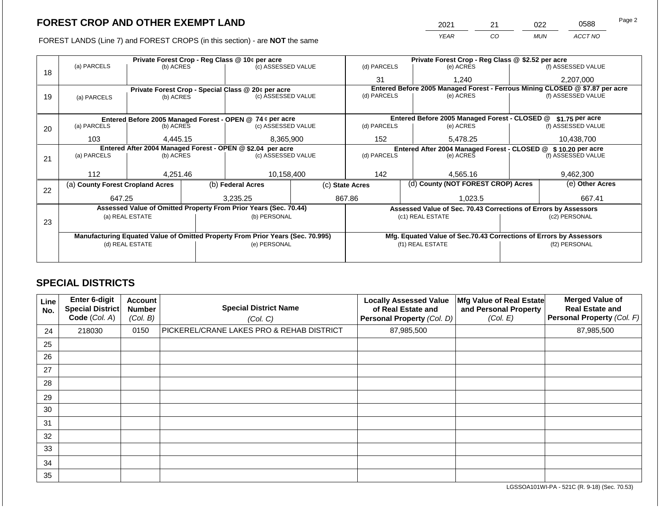**Manufacturing Equated Value of Omitted Property From Prior Years (Sec. 70.995)**<br>(d) REAL ESTATE (e) PERSONAL

|    | FOREST CROP AND OTHER EXEMPT LAND                                           |                                                                                    |  |                                                                  |  |                 | 2021                                                            | 21                              | 022        | 0588                                                                         | ι αy <del>σ</del> ∠ |  |  |
|----|-----------------------------------------------------------------------------|------------------------------------------------------------------------------------|--|------------------------------------------------------------------|--|-----------------|-----------------------------------------------------------------|---------------------------------|------------|------------------------------------------------------------------------------|---------------------|--|--|
|    | FOREST LANDS (Line 7) and FOREST CROPS (in this section) - are NOT the same |                                                                                    |  |                                                                  |  |                 | <b>YEAR</b>                                                     | CO.                             | <b>MUN</b> | ACCT NO                                                                      |                     |  |  |
|    |                                                                             |                                                                                    |  | Private Forest Crop - Reg Class @ 10¢ per acre                   |  |                 | Private Forest Crop - Reg Class @ \$2.52 per acre               |                                 |            |                                                                              |                     |  |  |
| 18 | (a) PARCELS                                                                 | (b) ACRES                                                                          |  | (c) ASSESSED VALUE                                               |  | (d) PARCELS     | (e) ACRES                                                       |                                 |            | (f) ASSESSED VALUE                                                           |                     |  |  |
|    |                                                                             |                                                                                    |  |                                                                  |  | 31              |                                                                 | 1,240                           |            | 2,207,000                                                                    |                     |  |  |
|    |                                                                             |                                                                                    |  | Private Forest Crop - Special Class @ 20¢ per acre               |  |                 |                                                                 |                                 |            | Entered Before 2005 Managed Forest - Ferrous Mining CLOSED @ \$7.87 per acre |                     |  |  |
| 19 | (a) PARCELS                                                                 | (b) ACRES                                                                          |  | (c) ASSESSED VALUE                                               |  | (d) PARCELS     | (e) ACRES                                                       |                                 |            | (f) ASSESSED VALUE                                                           |                     |  |  |
|    |                                                                             |                                                                                    |  |                                                                  |  |                 |                                                                 |                                 |            |                                                                              |                     |  |  |
|    |                                                                             |                                                                                    |  |                                                                  |  |                 | Entered Before 2005 Managed Forest - CLOSED @                   |                                 |            | \$1.75 per acre                                                              |                     |  |  |
| 20 | (a) PARCELS                                                                 | Entered Before 2005 Managed Forest - OPEN @ 74 ¢ per acre<br>(b) ACRES<br>4.445.15 |  | (c) ASSESSED VALUE                                               |  | (d) PARCELS     | (e) ACRES                                                       |                                 |            | (f) ASSESSED VALUE                                                           |                     |  |  |
|    |                                                                             |                                                                                    |  | 8,365,900                                                        |  |                 |                                                                 |                                 |            |                                                                              |                     |  |  |
|    | 103                                                                         |                                                                                    |  |                                                                  |  | 152             |                                                                 | 5.478.25                        |            | 10,438,700                                                                   |                     |  |  |
|    |                                                                             |                                                                                    |  | Entered After 2004 Managed Forest - OPEN @ \$2.04 per acre       |  |                 |                                                                 |                                 |            | Entered After 2004 Managed Forest - CLOSED @ \$10.20 per acre                |                     |  |  |
| 21 | (a) PARCELS                                                                 | (b) ACRES                                                                          |  | (c) ASSESSED VALUE                                               |  | (d) PARCELS     |                                                                 | (f) ASSESSED VALUE<br>(e) ACRES |            |                                                                              |                     |  |  |
|    |                                                                             |                                                                                    |  |                                                                  |  |                 |                                                                 |                                 |            |                                                                              |                     |  |  |
|    | 112                                                                         | 4.251.46                                                                           |  | 10,158,400                                                       |  | 142             |                                                                 | 4.565.16                        |            | 9,462,300                                                                    |                     |  |  |
| 22 | (a) County Forest Cropland Acres                                            |                                                                                    |  | (b) Federal Acres                                                |  | (c) State Acres | (d) County (NOT FOREST CROP) Acres                              |                                 |            | (e) Other Acres                                                              |                     |  |  |
|    | 647.25                                                                      |                                                                                    |  | 3.235.25                                                         |  | 867.86          |                                                                 | 1.023.5                         |            | 667.41                                                                       |                     |  |  |
|    |                                                                             |                                                                                    |  | Assessed Value of Omitted Property From Prior Years (Sec. 70.44) |  |                 | Assessed Value of Sec. 70.43 Corrections of Errors by Assessors |                                 |            |                                                                              |                     |  |  |
| つつ |                                                                             | (a) REAL ESTATE                                                                    |  | (b) PERSONAL                                                     |  |                 | (c1) REAL ESTATE                                                |                                 |            | (c2) PERSONAL                                                                |                     |  |  |

| <b>SPECIAL DISTRICTS</b> |  |
|--------------------------|--|

(d) REAL ESTATE

23

| <b>Line</b><br>No. | Enter 6-digit<br>Special District<br>Code (Col. A) | <b>Account</b><br><b>Number</b><br>(Col. B) | <b>Special District Name</b><br>(Col. C)  | <b>Locally Assessed Value</b><br>of Real Estate and<br>Personal Property (Col. D) | Mfg Value of Real Estate<br>and Personal Property<br>(Col. E) | <b>Merged Value of</b><br><b>Real Estate and</b><br>Personal Property (Col. F) |
|--------------------|----------------------------------------------------|---------------------------------------------|-------------------------------------------|-----------------------------------------------------------------------------------|---------------------------------------------------------------|--------------------------------------------------------------------------------|
| 24                 | 218030                                             | 0150                                        | PICKEREL/CRANE LAKES PRO & REHAB DISTRICT | 87,985,500                                                                        |                                                               | 87,985,500                                                                     |
| 25                 |                                                    |                                             |                                           |                                                                                   |                                                               |                                                                                |
| 26                 |                                                    |                                             |                                           |                                                                                   |                                                               |                                                                                |
| 27                 |                                                    |                                             |                                           |                                                                                   |                                                               |                                                                                |
| 28                 |                                                    |                                             |                                           |                                                                                   |                                                               |                                                                                |
| 29                 |                                                    |                                             |                                           |                                                                                   |                                                               |                                                                                |
| 30                 |                                                    |                                             |                                           |                                                                                   |                                                               |                                                                                |
| 31                 |                                                    |                                             |                                           |                                                                                   |                                                               |                                                                                |
| 32                 |                                                    |                                             |                                           |                                                                                   |                                                               |                                                                                |
| 33                 |                                                    |                                             |                                           |                                                                                   |                                                               |                                                                                |
| 34                 |                                                    |                                             |                                           |                                                                                   |                                                               |                                                                                |
| 35                 |                                                    |                                             |                                           |                                                                                   |                                                               |                                                                                |

LGSSOA101WI-PA - 521C (R. 9-18) (Sec. 70.53)

**Mfg. Equated Value of Sec.70.43 Corrections of Errors by Assessors**

 $\left($ f1) REAL ESTATE

Page 2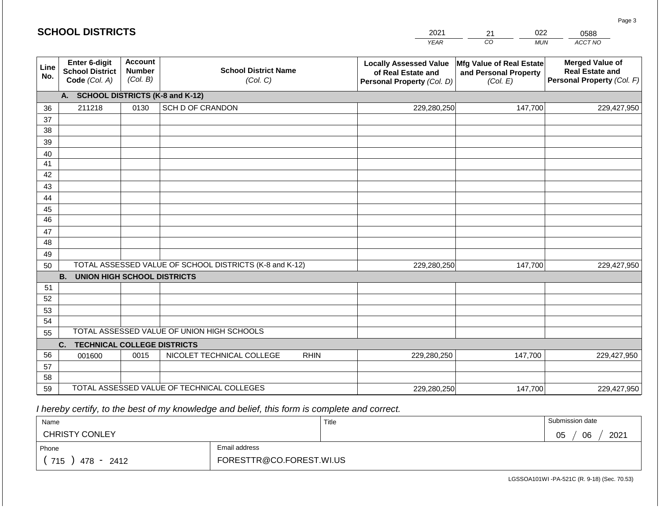|             | <b>SCHOOL DISTRICTS</b>                                  |                                             |                                                         |             | 2021                                                                              | 022<br>21                                                     | 0588                                                                           |
|-------------|----------------------------------------------------------|---------------------------------------------|---------------------------------------------------------|-------------|-----------------------------------------------------------------------------------|---------------------------------------------------------------|--------------------------------------------------------------------------------|
|             |                                                          |                                             |                                                         |             | <b>YEAR</b>                                                                       | CO<br><b>MUN</b>                                              | ACCT NO                                                                        |
| Line<br>No. | Enter 6-digit<br><b>School District</b><br>Code (Col. A) | <b>Account</b><br><b>Number</b><br>(Col. B) | <b>School District Name</b><br>(Col. C)                 |             | <b>Locally Assessed Value</b><br>of Real Estate and<br>Personal Property (Col. D) | Mfg Value of Real Estate<br>and Personal Property<br>(Col. E) | <b>Merged Value of</b><br><b>Real Estate and</b><br>Personal Property (Col. F) |
|             | A. SCHOOL DISTRICTS (K-8 and K-12)                       |                                             |                                                         |             |                                                                                   |                                                               |                                                                                |
| 36          | 211218                                                   | 0130                                        | SCH D OF CRANDON                                        |             | 229,280,250                                                                       | 147,700                                                       | 229,427,950                                                                    |
| 37          |                                                          |                                             |                                                         |             |                                                                                   |                                                               |                                                                                |
| 38          |                                                          |                                             |                                                         |             |                                                                                   |                                                               |                                                                                |
| 39          |                                                          |                                             |                                                         |             |                                                                                   |                                                               |                                                                                |
| 40          |                                                          |                                             |                                                         |             |                                                                                   |                                                               |                                                                                |
| 41<br>42    |                                                          |                                             |                                                         |             |                                                                                   |                                                               |                                                                                |
| 43          |                                                          |                                             |                                                         |             |                                                                                   |                                                               |                                                                                |
| 44          |                                                          |                                             |                                                         |             |                                                                                   |                                                               |                                                                                |
| 45          |                                                          |                                             |                                                         |             |                                                                                   |                                                               |                                                                                |
| 46          |                                                          |                                             |                                                         |             |                                                                                   |                                                               |                                                                                |
| 47          |                                                          |                                             |                                                         |             |                                                                                   |                                                               |                                                                                |
| 48          |                                                          |                                             |                                                         |             |                                                                                   |                                                               |                                                                                |
| 49          |                                                          |                                             |                                                         |             |                                                                                   |                                                               |                                                                                |
| 50          |                                                          |                                             | TOTAL ASSESSED VALUE OF SCHOOL DISTRICTS (K-8 and K-12) |             | 229,280,250                                                                       | 147,700                                                       | 229,427,950                                                                    |
|             | <b>B. UNION HIGH SCHOOL DISTRICTS</b>                    |                                             |                                                         |             |                                                                                   |                                                               |                                                                                |
| 51          |                                                          |                                             |                                                         |             |                                                                                   |                                                               |                                                                                |
| 52<br>53    |                                                          |                                             |                                                         |             |                                                                                   |                                                               |                                                                                |
| 54          |                                                          |                                             |                                                         |             |                                                                                   |                                                               |                                                                                |
| 55          |                                                          |                                             | TOTAL ASSESSED VALUE OF UNION HIGH SCHOOLS              |             |                                                                                   |                                                               |                                                                                |
|             | C.<br><b>TECHNICAL COLLEGE DISTRICTS</b>                 |                                             |                                                         |             |                                                                                   |                                                               |                                                                                |
| 56          | 001600                                                   | 0015                                        | NICOLET TECHNICAL COLLEGE                               | <b>RHIN</b> | 229,280,250                                                                       | 147,700                                                       | 229,427,950                                                                    |
| 57          |                                                          |                                             |                                                         |             |                                                                                   |                                                               |                                                                                |
| 58          |                                                          |                                             |                                                         |             |                                                                                   |                                                               |                                                                                |
| 59          |                                                          |                                             | TOTAL ASSESSED VALUE OF TECHNICAL COLLEGES              |             | 229,280,250                                                                       | 147,700                                                       | 229,427,950                                                                    |

 *I hereby certify, to the best of my knowledge and belief, this form is complete and correct.*

| Name                  |                          | Title | Submission date  |
|-----------------------|--------------------------|-------|------------------|
| <b>CHRISTY CONLEY</b> |                          |       | 2021<br>06<br>05 |
| Phone                 | Email address            |       |                  |
| 715<br>478 -<br>2412  | FORESTTR@CO.FOREST.WI.US |       |                  |

LGSSOA101WI -PA-521C (R. 9-18) (Sec. 70.53)

Page 3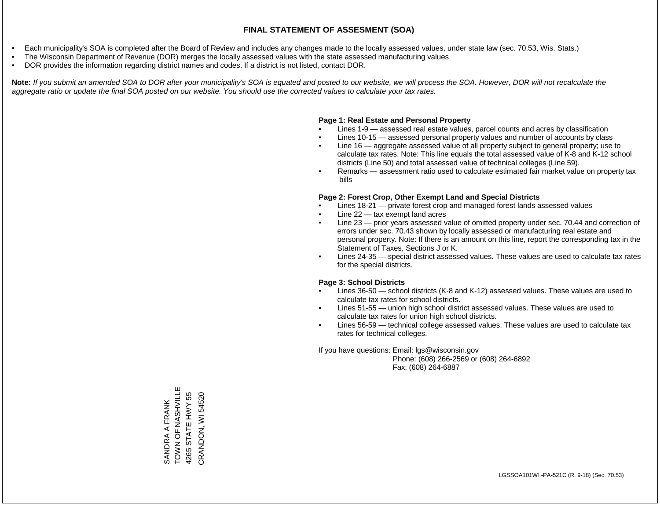- Each municipality's SOA is completed after the Board of Review and includes any changes made to the locally assessed values, under state law (sec. 70.53, Wis. Stats.)
- The Wisconsin Department of Revenue (DOR) merges the locally assessed values with the state assessed manufacturing values
- DOR provides the information regarding district names and codes. If a district is not listed, contact DOR.

Note: If you submit an amended SOA to DOR after your municipality's SOA is equated and posted to our website, we will process the SOA. However, DOR will not recalculate the *aggregate ratio or update the final SOA posted on our website. You should use the corrected values to calculate your tax rates.*

### **Page 1: Real Estate and Personal Property**

- Lines 1-9 assessed real estate values, parcel counts and acres by classification
- Lines 10-15 assessed personal property values and number of accounts by class
- Line 16 aggregate assessed value of all property subject to general property; use to calculate tax rates. Note: This line equals the total assessed value of K-8 and K-12 school districts (Line 50) and total assessed value of technical colleges (Line 59).
- Remarks assessment ratio used to calculate estimated fair market value on property tax bills

### **Page 2: Forest Crop, Other Exempt Land and Special Districts**

- Lines 18-21 private forest crop and managed forest lands assessed values
- Line  $22 -$  tax exempt land acres
- Line 23 prior years assessed value of omitted property under sec. 70.44 and correction of errors under sec. 70.43 shown by locally assessed or manufacturing real estate and personal property. Note: If there is an amount on this line, report the corresponding tax in the Statement of Taxes, Sections J or K.
- Lines 24-35 special district assessed values. These values are used to calculate tax rates for the special districts.

### **Page 3: School Districts**

- Lines 36-50 school districts (K-8 and K-12) assessed values. These values are used to calculate tax rates for school districts.
- Lines 51-55 union high school district assessed values. These values are used to calculate tax rates for union high school districts.
- Lines 56-59 technical college assessed values. These values are used to calculate tax rates for technical colleges.

If you have questions: Email: lgs@wisconsin.gov

 Phone: (608) 266-2569 or (608) 264-6892 Fax: (608) 264-6887

**TOWN OF NASHWAY** SANDRA A FRANK<br>TOWN OF NASHVILLE STATE HWY 55 4265 STATE HWY 55 CRANDON, WI 54520 CRANDON, WI 54520SANDRA A FRANK 4265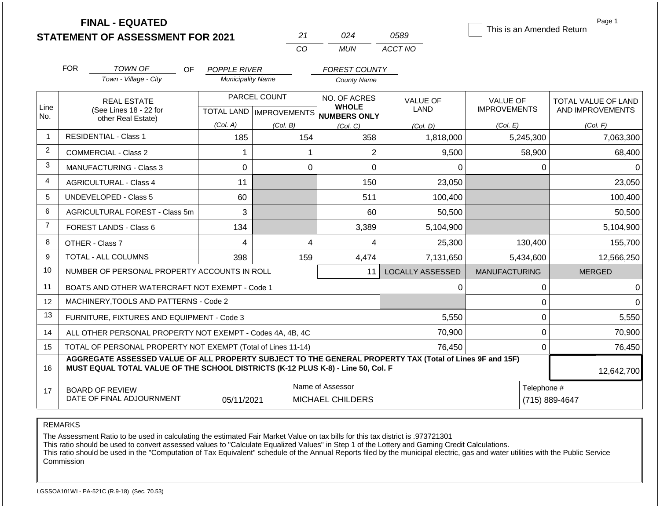|                |                                                                                                                                                                                              | <b>FINAL - EQUATED</b><br><b>STATEMENT OF ASSESSMENT FOR 2021</b> |                          |                                           | 21                                          | 024                                                 | 0589                    | This is an Amended Return              | Page 1                                         |  |
|----------------|----------------------------------------------------------------------------------------------------------------------------------------------------------------------------------------------|-------------------------------------------------------------------|--------------------------|-------------------------------------------|---------------------------------------------|-----------------------------------------------------|-------------------------|----------------------------------------|------------------------------------------------|--|
|                |                                                                                                                                                                                              |                                                                   |                          | CO                                        |                                             | MUN                                                 | ACCT NO                 |                                        |                                                |  |
|                | <b>FOR</b>                                                                                                                                                                                   | TOWN OF<br>OF.                                                    | <b>POPPLE RIVER</b>      |                                           |                                             | <b>FOREST COUNTY</b>                                |                         |                                        |                                                |  |
|                |                                                                                                                                                                                              | Town - Village - City                                             | <b>Municipality Name</b> |                                           |                                             | <b>County Name</b>                                  |                         |                                        |                                                |  |
| Line           |                                                                                                                                                                                              | <b>REAL ESTATE</b><br>(See Lines 18 - 22 for                      |                          | PARCEL COUNT<br>TOTAL LAND   IMPROVEMENTS |                                             | NO. OF ACRES<br><b>WHOLE</b><br><b>NUMBERS ONLY</b> | <b>VALUE OF</b><br>LAND | <b>VALUE OF</b><br><b>IMPROVEMENTS</b> | <b>TOTAL VALUE OF LAND</b><br>AND IMPROVEMENTS |  |
| No.            |                                                                                                                                                                                              | other Real Estate)                                                | (Col. A)                 | (Col. B)                                  |                                             | (Col. C)                                            | (Col. D)                | (Col. E)                               | (Col. F)                                       |  |
| $\mathbf 1$    |                                                                                                                                                                                              | <b>RESIDENTIAL - Class 1</b>                                      | 185                      |                                           | 154                                         | 358                                                 | 1,818,000               | 5,245,300                              | 7,063,300                                      |  |
| $\overline{2}$ |                                                                                                                                                                                              | <b>COMMERCIAL - Class 2</b>                                       | 1                        |                                           | 1                                           | $\overline{2}$                                      | 9,500                   | 58,900                                 | 68,400                                         |  |
| 3              |                                                                                                                                                                                              | <b>MANUFACTURING - Class 3</b>                                    | $\Omega$                 |                                           | $\overline{0}$                              | 0                                                   | 0                       | $\Omega$                               | $\Omega$                                       |  |
| 4              |                                                                                                                                                                                              | <b>AGRICULTURAL - Class 4</b>                                     | 11                       |                                           |                                             | 150                                                 | 23,050                  |                                        | 23,050                                         |  |
| 5              |                                                                                                                                                                                              | <b>UNDEVELOPED - Class 5</b>                                      | 60                       |                                           |                                             | 511                                                 | 100,400                 |                                        | 100,400                                        |  |
| 6              |                                                                                                                                                                                              | AGRICULTURAL FOREST - Class 5m                                    | 3                        |                                           |                                             | 60                                                  | 50,500                  |                                        | 50,500                                         |  |
| $\overline{7}$ |                                                                                                                                                                                              | <b>FOREST LANDS - Class 6</b>                                     | 134                      |                                           |                                             | 3,389                                               | 5,104,900               |                                        | 5,104,900                                      |  |
| 8              |                                                                                                                                                                                              | OTHER - Class 7                                                   | 4                        |                                           | 4                                           | 4                                                   | 25,300                  | 130,400                                | 155,700                                        |  |
| 9              |                                                                                                                                                                                              | <b>TOTAL - ALL COLUMNS</b>                                        | 398                      |                                           | 159                                         | 4,474                                               | 7,131,650               | 5,434,600                              | 12,566,250                                     |  |
| 10             |                                                                                                                                                                                              | NUMBER OF PERSONAL PROPERTY ACCOUNTS IN ROLL                      |                          |                                           |                                             | 11                                                  | <b>LOCALLY ASSESSED</b> | <b>MANUFACTURING</b>                   | <b>MERGED</b>                                  |  |
| 11             |                                                                                                                                                                                              | BOATS AND OTHER WATERCRAFT NOT EXEMPT - Code 1                    |                          |                                           |                                             |                                                     | 0                       | 0                                      | $\Omega$                                       |  |
| 12             |                                                                                                                                                                                              | MACHINERY, TOOLS AND PATTERNS - Code 2                            |                          |                                           |                                             |                                                     |                         | $\mathbf 0$                            | $\Omega$                                       |  |
| 13             |                                                                                                                                                                                              | FURNITURE, FIXTURES AND EQUIPMENT - Code 3                        |                          |                                           |                                             |                                                     | 5,550                   | $\mathbf 0$                            | 5,550                                          |  |
| 14             |                                                                                                                                                                                              | ALL OTHER PERSONAL PROPERTY NOT EXEMPT - Codes 4A, 4B, 4C         |                          |                                           |                                             |                                                     | 70,900                  | $\mathbf 0$                            | 70,900                                         |  |
| 15             |                                                                                                                                                                                              | TOTAL OF PERSONAL PROPERTY NOT EXEMPT (Total of Lines 11-14)      |                          |                                           |                                             |                                                     | 76,450                  | $\mathbf 0$                            | 76,450                                         |  |
| 16             | AGGREGATE ASSESSED VALUE OF ALL PROPERTY SUBJECT TO THE GENERAL PROPERTY TAX (Total of Lines 9F and 15F)<br>MUST EQUAL TOTAL VALUE OF THE SCHOOL DISTRICTS (K-12 PLUS K-8) - Line 50, Col. F |                                                                   |                          |                                           |                                             |                                                     |                         |                                        | 12,642,700                                     |  |
| 17             |                                                                                                                                                                                              | <b>BOARD OF REVIEW</b><br>DATE OF FINAL ADJOURNMENT               | 05/11/2021               |                                           | Name of Assessor<br><b>MICHAEL CHILDERS</b> |                                                     |                         |                                        | Telephone #<br>(715) 889-4647                  |  |

The Assessment Ratio to be used in calculating the estimated Fair Market Value on tax bills for this tax district is .973721301

This ratio should be used to convert assessed values to "Calculate Equalized Values" in Step 1 of the Lottery and Gaming Credit Calculations.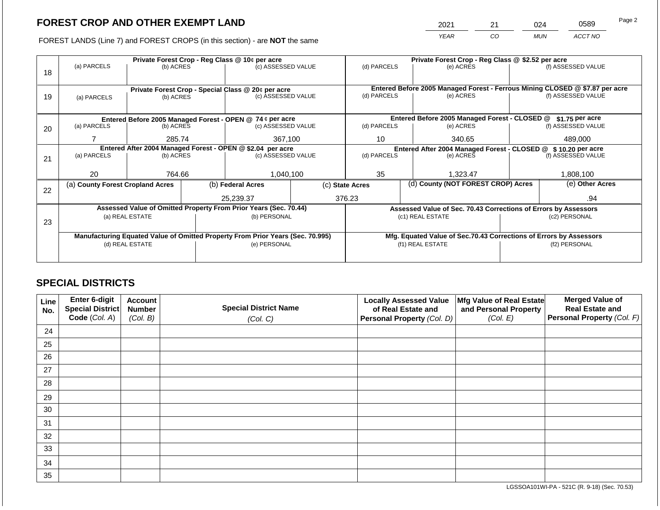2021 21 024 0589

FOREST LANDS (Line 7) and FOREST CROPS (in this section) - are **NOT** the same *YEAR CO MUN ACCT NO*

|    |                                  | Private Forest Crop - Reg Class @ 10¢ per acre     |  |                                                                                |  | Private Forest Crop - Reg Class @ \$2.52 per acre     |                                                                              |                                                                    |                 |                    |  |
|----|----------------------------------|----------------------------------------------------|--|--------------------------------------------------------------------------------|--|-------------------------------------------------------|------------------------------------------------------------------------------|--------------------------------------------------------------------|-----------------|--------------------|--|
|    | (a) PARCELS                      | (b) ACRES                                          |  | (c) ASSESSED VALUE                                                             |  | (d) PARCELS                                           |                                                                              | (e) ACRES                                                          |                 | (f) ASSESSED VALUE |  |
| 18 |                                  |                                                    |  |                                                                                |  |                                                       |                                                                              |                                                                    |                 |                    |  |
|    |                                  |                                                    |  |                                                                                |  |                                                       |                                                                              |                                                                    |                 |                    |  |
|    |                                  | Private Forest Crop - Special Class @ 20¢ per acre |  |                                                                                |  | (d) PARCELS                                           | Entered Before 2005 Managed Forest - Ferrous Mining CLOSED @ \$7.87 per acre |                                                                    |                 |                    |  |
| 19 | (a) PARCELS                      | (b) ACRES                                          |  | (c) ASSESSED VALUE                                                             |  |                                                       |                                                                              | (e) ACRES                                                          |                 | (f) ASSESSED VALUE |  |
|    |                                  |                                                    |  |                                                                                |  |                                                       |                                                                              |                                                                    |                 |                    |  |
|    |                                  |                                                    |  | Entered Before 2005 Managed Forest - OPEN @ 74 ¢ per acre                      |  |                                                       |                                                                              | Entered Before 2005 Managed Forest - CLOSED @                      |                 | \$1.75 per acre    |  |
| 20 | (a) PARCELS                      | (b) ACRES                                          |  | (c) ASSESSED VALUE                                                             |  | (d) PARCELS                                           |                                                                              | (e) ACRES                                                          |                 | (f) ASSESSED VALUE |  |
|    |                                  |                                                    |  |                                                                                |  |                                                       |                                                                              |                                                                    |                 |                    |  |
|    |                                  | 285.74                                             |  | 367,100                                                                        |  | 10                                                    |                                                                              | 340.65                                                             |                 | 489,000            |  |
|    |                                  |                                                    |  | Entered After 2004 Managed Forest - OPEN @ \$2.04 per acre                     |  |                                                       | Entered After 2004 Managed Forest - CLOSED @ \$10.20 per acre                |                                                                    |                 |                    |  |
| 21 | (a) PARCELS                      | (b) ACRES                                          |  | (c) ASSESSED VALUE                                                             |  | (d) PARCELS                                           |                                                                              | (e) ACRES                                                          |                 | (f) ASSESSED VALUE |  |
|    |                                  |                                                    |  |                                                                                |  |                                                       |                                                                              |                                                                    |                 |                    |  |
|    | 20                               | 764.66                                             |  | 1,040,100                                                                      |  | 35                                                    |                                                                              | 1,323.47                                                           |                 | 1,808,100          |  |
|    | (a) County Forest Cropland Acres |                                                    |  | (b) Federal Acres                                                              |  | (d) County (NOT FOREST CROP) Acres<br>(c) State Acres |                                                                              |                                                                    | (e) Other Acres |                    |  |
| 22 |                                  |                                                    |  |                                                                                |  |                                                       |                                                                              |                                                                    |                 |                    |  |
|    |                                  |                                                    |  | 25,239.37                                                                      |  | 376.23                                                |                                                                              |                                                                    | .94             |                    |  |
|    |                                  |                                                    |  | Assessed Value of Omitted Property From Prior Years (Sec. 70.44)               |  |                                                       |                                                                              | Assessed Value of Sec. 70.43 Corrections of Errors by Assessors    |                 |                    |  |
|    |                                  | (a) REAL ESTATE                                    |  | (b) PERSONAL                                                                   |  |                                                       |                                                                              | (c1) REAL ESTATE                                                   |                 | (c2) PERSONAL      |  |
| 23 |                                  |                                                    |  |                                                                                |  |                                                       |                                                                              |                                                                    |                 |                    |  |
|    |                                  |                                                    |  | Manufacturing Equated Value of Omitted Property From Prior Years (Sec. 70.995) |  |                                                       |                                                                              | Mfg. Equated Value of Sec.70.43 Corrections of Errors by Assessors |                 |                    |  |
|    | (d) REAL ESTATE                  |                                                    |  | (e) PERSONAL                                                                   |  |                                                       | (f1) REAL ESTATE                                                             |                                                                    |                 | (f2) PERSONAL      |  |
|    |                                  |                                                    |  |                                                                                |  |                                                       |                                                                              |                                                                    |                 |                    |  |
|    |                                  |                                                    |  |                                                                                |  |                                                       |                                                                              |                                                                    |                 |                    |  |

# **SPECIAL DISTRICTS**

| Line<br>No. | Enter 6-digit<br>Special District<br>Code (Col. A) | <b>Account</b><br><b>Number</b><br>(Col. B) | <b>Special District Name</b> | <b>Locally Assessed Value</b><br>of Real Estate and<br><b>Personal Property (Col. D)</b> | Mfg Value of Real Estate<br>and Personal Property<br>(Col. E) | <b>Merged Value of</b><br><b>Real Estate and</b><br><b>Personal Property (Col. F)</b> |
|-------------|----------------------------------------------------|---------------------------------------------|------------------------------|------------------------------------------------------------------------------------------|---------------------------------------------------------------|---------------------------------------------------------------------------------------|
|             |                                                    |                                             | (Col. C)                     |                                                                                          |                                                               |                                                                                       |
| 24          |                                                    |                                             |                              |                                                                                          |                                                               |                                                                                       |
| 25          |                                                    |                                             |                              |                                                                                          |                                                               |                                                                                       |
| 26          |                                                    |                                             |                              |                                                                                          |                                                               |                                                                                       |
| 27          |                                                    |                                             |                              |                                                                                          |                                                               |                                                                                       |
| 28          |                                                    |                                             |                              |                                                                                          |                                                               |                                                                                       |
| 29          |                                                    |                                             |                              |                                                                                          |                                                               |                                                                                       |
| 30          |                                                    |                                             |                              |                                                                                          |                                                               |                                                                                       |
| 31          |                                                    |                                             |                              |                                                                                          |                                                               |                                                                                       |
| 32          |                                                    |                                             |                              |                                                                                          |                                                               |                                                                                       |
| 33          |                                                    |                                             |                              |                                                                                          |                                                               |                                                                                       |
| 34          |                                                    |                                             |                              |                                                                                          |                                                               |                                                                                       |
| 35          |                                                    |                                             |                              |                                                                                          |                                                               |                                                                                       |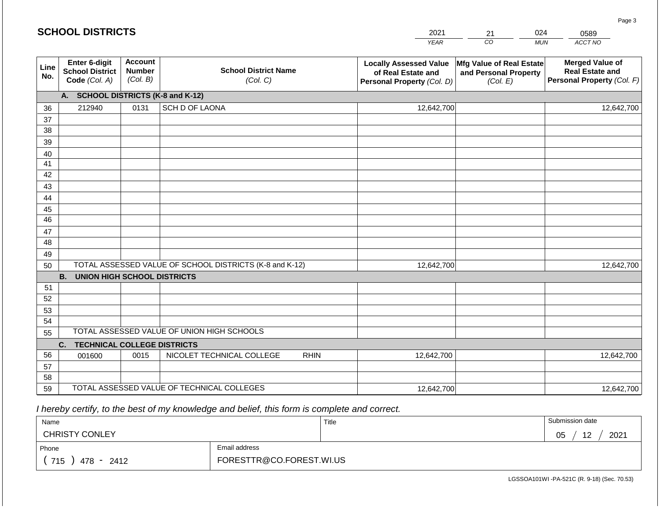|             | <b>SCHOOL DISTRICTS</b>                                         |                                             |                                                         |             | 2021                                                                              | 21                                                            | 024        | 0589                                                                           |
|-------------|-----------------------------------------------------------------|---------------------------------------------|---------------------------------------------------------|-------------|-----------------------------------------------------------------------------------|---------------------------------------------------------------|------------|--------------------------------------------------------------------------------|
|             |                                                                 |                                             |                                                         |             | <b>YEAR</b>                                                                       | CO                                                            | <b>MUN</b> | ACCT NO                                                                        |
| Line<br>No. | <b>Enter 6-digit</b><br><b>School District</b><br>Code (Col. A) | <b>Account</b><br><b>Number</b><br>(Col. B) | <b>School District Name</b><br>(Col. C)                 |             | <b>Locally Assessed Value</b><br>of Real Estate and<br>Personal Property (Col. D) | Mfg Value of Real Estate<br>and Personal Property<br>(Col. E) |            | <b>Merged Value of</b><br><b>Real Estate and</b><br>Personal Property (Col. F) |
|             | A. SCHOOL DISTRICTS (K-8 and K-12)                              |                                             |                                                         |             |                                                                                   |                                                               |            |                                                                                |
| 36          | 212940                                                          | 0131                                        | SCH D OF LAONA                                          |             | 12,642,700                                                                        |                                                               |            | 12,642,700                                                                     |
| 37          |                                                                 |                                             |                                                         |             |                                                                                   |                                                               |            |                                                                                |
| 38          |                                                                 |                                             |                                                         |             |                                                                                   |                                                               |            |                                                                                |
| 39          |                                                                 |                                             |                                                         |             |                                                                                   |                                                               |            |                                                                                |
| 40          |                                                                 |                                             |                                                         |             |                                                                                   |                                                               |            |                                                                                |
| 41<br>42    |                                                                 |                                             |                                                         |             |                                                                                   |                                                               |            |                                                                                |
| 43          |                                                                 |                                             |                                                         |             |                                                                                   |                                                               |            |                                                                                |
| 44          |                                                                 |                                             |                                                         |             |                                                                                   |                                                               |            |                                                                                |
| 45          |                                                                 |                                             |                                                         |             |                                                                                   |                                                               |            |                                                                                |
| 46          |                                                                 |                                             |                                                         |             |                                                                                   |                                                               |            |                                                                                |
| 47          |                                                                 |                                             |                                                         |             |                                                                                   |                                                               |            |                                                                                |
| 48          |                                                                 |                                             |                                                         |             |                                                                                   |                                                               |            |                                                                                |
| 49          |                                                                 |                                             |                                                         |             |                                                                                   |                                                               |            |                                                                                |
| 50          |                                                                 |                                             | TOTAL ASSESSED VALUE OF SCHOOL DISTRICTS (K-8 and K-12) |             | 12,642,700                                                                        |                                                               |            | 12,642,700                                                                     |
| 51          | <b>B. UNION HIGH SCHOOL DISTRICTS</b>                           |                                             |                                                         |             |                                                                                   |                                                               |            |                                                                                |
| 52          |                                                                 |                                             |                                                         |             |                                                                                   |                                                               |            |                                                                                |
| 53          |                                                                 |                                             |                                                         |             |                                                                                   |                                                               |            |                                                                                |
| 54          |                                                                 |                                             |                                                         |             |                                                                                   |                                                               |            |                                                                                |
| 55          |                                                                 |                                             | TOTAL ASSESSED VALUE OF UNION HIGH SCHOOLS              |             |                                                                                   |                                                               |            |                                                                                |
|             | C.<br><b>TECHNICAL COLLEGE DISTRICTS</b>                        |                                             |                                                         |             |                                                                                   |                                                               |            |                                                                                |
| 56          | 001600                                                          | 0015                                        | NICOLET TECHNICAL COLLEGE                               | <b>RHIN</b> | 12,642,700                                                                        |                                                               |            | 12,642,700                                                                     |
| 57          |                                                                 |                                             |                                                         |             |                                                                                   |                                                               |            |                                                                                |
| 58          |                                                                 |                                             |                                                         |             |                                                                                   |                                                               |            |                                                                                |
| 59          |                                                                 |                                             | TOTAL ASSESSED VALUE OF TECHNICAL COLLEGES              |             | 12,642,700                                                                        |                                                               |            | 12,642,700                                                                     |

 *I hereby certify, to the best of my knowledge and belief, this form is complete and correct.*

| Name                  |                          | Title | Submission date        |
|-----------------------|--------------------------|-------|------------------------|
| <b>CHRISTY CONLEY</b> |                          |       | 2021<br>12<br>∩ҕ<br>◡◡ |
| Phone                 | Email address            |       |                        |
| 715<br>478<br>2412    | FORESTTR@CO.FOREST.WI.US |       |                        |

LGSSOA101WI -PA-521C (R. 9-18) (Sec. 70.53)

Page 3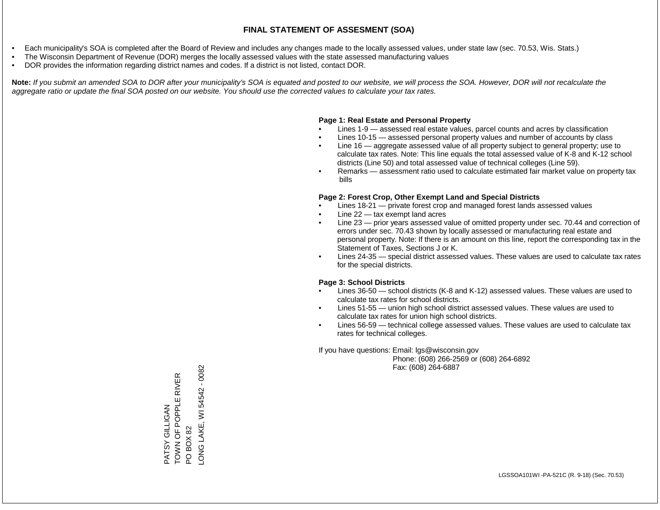- Each municipality's SOA is completed after the Board of Review and includes any changes made to the locally assessed values, under state law (sec. 70.53, Wis. Stats.)
- The Wisconsin Department of Revenue (DOR) merges the locally assessed values with the state assessed manufacturing values
- DOR provides the information regarding district names and codes. If a district is not listed, contact DOR.

Note: If you submit an amended SOA to DOR after your municipality's SOA is equated and posted to our website, we will process the SOA. However, DOR will not recalculate the *aggregate ratio or update the final SOA posted on our website. You should use the corrected values to calculate your tax rates.*

#### **Page 1: Real Estate and Personal Property**

- Lines 1-9 assessed real estate values, parcel counts and acres by classification
- Lines 10-15 assessed personal property values and number of accounts by class
- Line 16 aggregate assessed value of all property subject to general property; use to calculate tax rates. Note: This line equals the total assessed value of K-8 and K-12 school districts (Line 50) and total assessed value of technical colleges (Line 59).
- Remarks assessment ratio used to calculate estimated fair market value on property tax bills

#### **Page 2: Forest Crop, Other Exempt Land and Special Districts**

- Lines 18-21 private forest crop and managed forest lands assessed values
- Line  $22 -$  tax exempt land acres
- Line 23 prior years assessed value of omitted property under sec. 70.44 and correction of errors under sec. 70.43 shown by locally assessed or manufacturing real estate and personal property. Note: If there is an amount on this line, report the corresponding tax in the Statement of Taxes, Sections J or K.
- Lines 24-35 special district assessed values. These values are used to calculate tax rates for the special districts.

#### **Page 3: School Districts**

- Lines 36-50 school districts (K-8 and K-12) assessed values. These values are used to calculate tax rates for school districts.
- Lines 51-55 union high school district assessed values. These values are used to calculate tax rates for union high school districts.
- Lines 56-59 technical college assessed values. These values are used to calculate tax rates for technical colleges.

If you have questions: Email: lgs@wisconsin.gov

 Phone: (608) 266-2569 or (608) 264-6892 Fax: (608) 264-6887

-ONG LAKE, WI 54542 - 0082 LONG LAKE, WI 54542 - 0082TOWN OF POPPLE RIVER PATSY GILLIGAN<br>TOWN OF POPPLE RIVER PATSY GILLIGAN PO BOX 82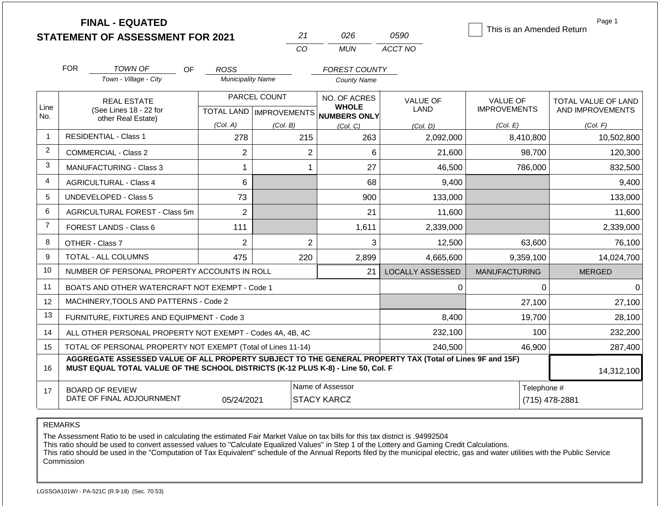|                | <b>FINAL - EQUATED</b><br><b>STATEMENT OF ASSESSMENT FOR 2021</b>                                                                                                                            |                                         | 21                        | 026                                    | 0590                    | This is an Amended Return     | Page 1              |  |
|----------------|----------------------------------------------------------------------------------------------------------------------------------------------------------------------------------------------|-----------------------------------------|---------------------------|----------------------------------------|-------------------------|-------------------------------|---------------------|--|
|                |                                                                                                                                                                                              |                                         | CO                        | <b>MUN</b>                             | ACCT NO                 |                               |                     |  |
|                |                                                                                                                                                                                              |                                         |                           |                                        |                         |                               |                     |  |
|                | <b>FOR</b><br><b>TOWN OF</b><br>OF<br>Town - Village - City                                                                                                                                  | <b>ROSS</b><br><b>Municipality Name</b> |                           | <b>FOREST COUNTY</b>                   |                         |                               |                     |  |
|                |                                                                                                                                                                                              |                                         |                           | <b>County Name</b>                     |                         |                               |                     |  |
|                | <b>REAL ESTATE</b>                                                                                                                                                                           |                                         | PARCEL COUNT              | NO. OF ACRES                           | <b>VALUE OF</b>         | <b>VALUE OF</b>               | TOTAL VALUE OF LAND |  |
| Line<br>No.    | (See Lines 18 - 22 for<br>other Real Estate)                                                                                                                                                 |                                         | TOTAL LAND   IMPROVEMENTS | <b>WHOLE</b><br>NUMBERS ONLY           | LAND                    | <b>IMPROVEMENTS</b>           | AND IMPROVEMENTS    |  |
|                |                                                                                                                                                                                              | (Col. A)                                | (Col. B)                  | (Col, C)                               | (Col. D)                | (Col. E)                      | (Col. F)            |  |
| $\mathbf 1$    | <b>RESIDENTIAL - Class 1</b>                                                                                                                                                                 | 278                                     | 215                       | 263                                    | 2,092,000               | 8,410,800                     | 10,502,800          |  |
| 2              | <b>COMMERCIAL - Class 2</b>                                                                                                                                                                  | $\overline{2}$                          | $\overline{2}$            | 6                                      | 21,600                  | 98,700                        | 120,300             |  |
| 3              | MANUFACTURING - Class 3                                                                                                                                                                      | 1                                       | 1                         | 27                                     | 46,500                  | 786,000                       | 832,500             |  |
| $\overline{4}$ | <b>AGRICULTURAL - Class 4</b>                                                                                                                                                                | 6                                       |                           | 68                                     | 9,400                   |                               | 9,400               |  |
| 5              | <b>UNDEVELOPED - Class 5</b>                                                                                                                                                                 | 73                                      |                           | 900                                    | 133,000                 |                               | 133,000             |  |
| 6              | AGRICULTURAL FOREST - Class 5m                                                                                                                                                               | $\overline{2}$                          |                           | 21                                     | 11,600                  |                               | 11,600              |  |
| $\overline{7}$ | <b>FOREST LANDS - Class 6</b>                                                                                                                                                                | 111                                     |                           | 1,611                                  | 2,339,000               |                               | 2,339,000           |  |
| 8              | OTHER - Class 7                                                                                                                                                                              | $\overline{2}$                          | $\overline{2}$            | 3                                      | 12,500                  | 63,600                        | 76,100              |  |
| 9              | TOTAL - ALL COLUMNS                                                                                                                                                                          | 475                                     | 220                       | 2,899                                  | 4,665,600               | 9,359,100                     | 14,024,700          |  |
| 10             | NUMBER OF PERSONAL PROPERTY ACCOUNTS IN ROLL                                                                                                                                                 |                                         |                           | 21                                     | <b>LOCALLY ASSESSED</b> | <b>MANUFACTURING</b>          | <b>MERGED</b>       |  |
| 11             | BOATS AND OTHER WATERCRAFT NOT EXEMPT - Code 1                                                                                                                                               |                                         |                           |                                        | $\Omega$                | 0                             | $\Omega$            |  |
| 12             | MACHINERY, TOOLS AND PATTERNS - Code 2                                                                                                                                                       |                                         |                           |                                        |                         | 27,100                        | 27,100              |  |
| 13             | FURNITURE, FIXTURES AND EQUIPMENT - Code 3                                                                                                                                                   |                                         |                           |                                        | 8,400                   | 19,700                        | 28,100              |  |
| 14             | ALL OTHER PERSONAL PROPERTY NOT EXEMPT - Codes 4A, 4B, 4C                                                                                                                                    |                                         |                           |                                        | 232,100                 | 100                           | 232,200             |  |
| 15             | TOTAL OF PERSONAL PROPERTY NOT EXEMPT (Total of Lines 11-14)                                                                                                                                 |                                         |                           |                                        | 240,500                 | 46,900                        | 287,400             |  |
| 16             | AGGREGATE ASSESSED VALUE OF ALL PROPERTY SUBJECT TO THE GENERAL PROPERTY TAX (Total of Lines 9F and 15F)<br>MUST EQUAL TOTAL VALUE OF THE SCHOOL DISTRICTS (K-12 PLUS K-8) - Line 50, Col. F |                                         |                           |                                        |                         |                               | 14,312,100          |  |
| 17             | <b>BOARD OF REVIEW</b><br>DATE OF FINAL ADJOURNMENT                                                                                                                                          | 05/24/2021                              |                           | Name of Assessor<br><b>STACY KARCZ</b> |                         | Telephone #<br>(715) 478-2881 |                     |  |

The Assessment Ratio to be used in calculating the estimated Fair Market Value on tax bills for this tax district is .94992504

This ratio should be used to convert assessed values to "Calculate Equalized Values" in Step 1 of the Lottery and Gaming Credit Calculations.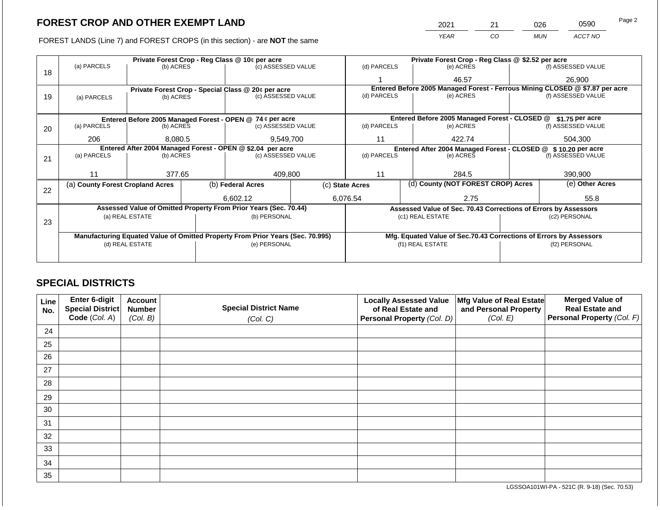FOREST LANDS (Line 7) and FOREST CROPS (in this section) - are **NOT** the same

| 2021 | つ1 | 026        | 0590    | Page 2 |
|------|----|------------|---------|--------|
| YFAR | CO | <b>MUN</b> | ACCT NO |        |

|    |                                  |                 |  | Private Forest Crop - Reg Class @ 10¢ per acre                                 |  | Private Forest Crop - Reg Class @ \$2.52 per acre                            |                                                                    |               |                    |  |
|----|----------------------------------|-----------------|--|--------------------------------------------------------------------------------|--|------------------------------------------------------------------------------|--------------------------------------------------------------------|---------------|--------------------|--|
|    | (a) PARCELS                      | (b) ACRES       |  | (c) ASSESSED VALUE                                                             |  | (d) PARCELS                                                                  | (e) ACRES                                                          |               | (f) ASSESSED VALUE |  |
| 18 |                                  |                 |  |                                                                                |  |                                                                              | 46.57                                                              |               | 26,900             |  |
|    |                                  |                 |  | Private Forest Crop - Special Class @ 20¢ per acre                             |  | Entered Before 2005 Managed Forest - Ferrous Mining CLOSED @ \$7.87 per acre |                                                                    |               |                    |  |
| 19 | (b) ACRES<br>(a) PARCELS         |                 |  | (c) ASSESSED VALUE                                                             |  | (d) PARCELS                                                                  | (e) ACRES                                                          |               | (f) ASSESSED VALUE |  |
|    |                                  |                 |  |                                                                                |  |                                                                              |                                                                    |               |                    |  |
|    |                                  |                 |  | Entered Before 2005 Managed Forest - OPEN @ 74 ¢ per acre                      |  |                                                                              | Entered Before 2005 Managed Forest - CLOSED @                      |               | \$1.75 per acre    |  |
| 20 | (a) PARCELS<br>(b) ACRES         |                 |  | (c) ASSESSED VALUE                                                             |  | (d) PARCELS                                                                  | (e) ACRES                                                          |               |                    |  |
|    |                                  |                 |  |                                                                                |  |                                                                              |                                                                    |               |                    |  |
|    | 206                              | 8.080.5         |  | 9,549,700                                                                      |  | 11                                                                           | 422.74                                                             |               | 504.300            |  |
|    |                                  |                 |  | Entered After 2004 Managed Forest - OPEN @ \$2.04 per acre                     |  |                                                                              | Entered After 2004 Managed Forest - CLOSED @ \$10.20 per acre      |               |                    |  |
| 21 | (a) PARCELS                      | (b) ACRES       |  | (c) ASSESSED VALUE                                                             |  | (d) PARCELS                                                                  | (e) ACRES                                                          |               | (f) ASSESSED VALUE |  |
|    |                                  |                 |  |                                                                                |  |                                                                              |                                                                    |               |                    |  |
|    | 11                               | 377.65          |  | 409,800                                                                        |  | 11                                                                           | 284.5                                                              |               | 390,900            |  |
| 22 | (a) County Forest Cropland Acres |                 |  | (b) Federal Acres                                                              |  | (c) State Acres                                                              | (d) County (NOT FOREST CROP) Acres                                 |               | (e) Other Acres    |  |
|    |                                  |                 |  |                                                                                |  |                                                                              |                                                                    |               |                    |  |
|    |                                  |                 |  | 6,602.12                                                                       |  | 6,076.54                                                                     | 2.75                                                               |               | 55.8               |  |
|    |                                  |                 |  | Assessed Value of Omitted Property From Prior Years (Sec. 70.44)               |  |                                                                              | Assessed Value of Sec. 70.43 Corrections of Errors by Assessors    |               |                    |  |
| 23 |                                  | (a) REAL ESTATE |  | (b) PERSONAL                                                                   |  |                                                                              | (c1) REAL ESTATE                                                   |               | (c2) PERSONAL      |  |
|    |                                  |                 |  |                                                                                |  |                                                                              |                                                                    |               |                    |  |
|    |                                  |                 |  | Manufacturing Equated Value of Omitted Property From Prior Years (Sec. 70.995) |  |                                                                              | Mfg. Equated Value of Sec.70.43 Corrections of Errors by Assessors |               |                    |  |
|    |                                  | (d) REAL ESTATE |  | (e) PERSONAL                                                                   |  |                                                                              | (f1) REAL ESTATE                                                   | (f2) PERSONAL |                    |  |
|    |                                  |                 |  |                                                                                |  |                                                                              |                                                                    |               |                    |  |
|    |                                  |                 |  |                                                                                |  |                                                                              |                                                                    |               |                    |  |

# **SPECIAL DISTRICTS**

| Line<br>No. | Enter 6-digit<br>Special District | <b>Account</b><br><b>Number</b> | <b>Special District Name</b> | <b>Locally Assessed Value</b><br>of Real Estate and | Mfg Value of Real Estate<br>and Personal Property | <b>Merged Value of</b><br><b>Real Estate and</b> |
|-------------|-----------------------------------|---------------------------------|------------------------------|-----------------------------------------------------|---------------------------------------------------|--------------------------------------------------|
|             | Code (Col. A)                     | (Col. B)                        | (Col. C)                     | <b>Personal Property (Col. D)</b>                   | (Col. E)                                          | Personal Property (Col. F)                       |
| 24          |                                   |                                 |                              |                                                     |                                                   |                                                  |
| 25          |                                   |                                 |                              |                                                     |                                                   |                                                  |
| 26          |                                   |                                 |                              |                                                     |                                                   |                                                  |
| 27          |                                   |                                 |                              |                                                     |                                                   |                                                  |
| 28          |                                   |                                 |                              |                                                     |                                                   |                                                  |
| 29          |                                   |                                 |                              |                                                     |                                                   |                                                  |
| 30          |                                   |                                 |                              |                                                     |                                                   |                                                  |
| 31          |                                   |                                 |                              |                                                     |                                                   |                                                  |
| 32          |                                   |                                 |                              |                                                     |                                                   |                                                  |
| 33          |                                   |                                 |                              |                                                     |                                                   |                                                  |
| 34          |                                   |                                 |                              |                                                     |                                                   |                                                  |
| 35          |                                   |                                 |                              |                                                     |                                                   |                                                  |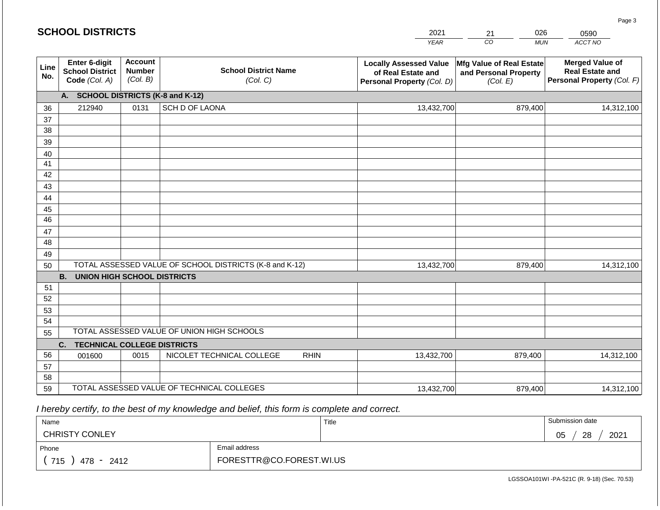|             | <b>SCHOOL DISTRICTS</b>                                  |                                             |                                                         |             | 2021                                                                              | 026<br>21                                                     | 0590                                                                           |
|-------------|----------------------------------------------------------|---------------------------------------------|---------------------------------------------------------|-------------|-----------------------------------------------------------------------------------|---------------------------------------------------------------|--------------------------------------------------------------------------------|
|             |                                                          |                                             |                                                         |             | <b>YEAR</b>                                                                       | CO<br><b>MUN</b>                                              | ACCT NO                                                                        |
| Line<br>No. | Enter 6-digit<br><b>School District</b><br>Code (Col. A) | <b>Account</b><br><b>Number</b><br>(Col. B) | <b>School District Name</b><br>(Col. C)                 |             | <b>Locally Assessed Value</b><br>of Real Estate and<br>Personal Property (Col. D) | Mfg Value of Real Estate<br>and Personal Property<br>(Col. E) | <b>Merged Value of</b><br><b>Real Estate and</b><br>Personal Property (Col. F) |
|             | A. SCHOOL DISTRICTS (K-8 and K-12)                       |                                             |                                                         |             |                                                                                   |                                                               |                                                                                |
| 36          | 212940                                                   | 0131                                        | SCH D OF LAONA                                          |             | 13,432,700                                                                        | 879,400                                                       | 14,312,100                                                                     |
| 37          |                                                          |                                             |                                                         |             |                                                                                   |                                                               |                                                                                |
| 38          |                                                          |                                             |                                                         |             |                                                                                   |                                                               |                                                                                |
| 39          |                                                          |                                             |                                                         |             |                                                                                   |                                                               |                                                                                |
| 40          |                                                          |                                             |                                                         |             |                                                                                   |                                                               |                                                                                |
| 41<br>42    |                                                          |                                             |                                                         |             |                                                                                   |                                                               |                                                                                |
| 43          |                                                          |                                             |                                                         |             |                                                                                   |                                                               |                                                                                |
| 44          |                                                          |                                             |                                                         |             |                                                                                   |                                                               |                                                                                |
| 45          |                                                          |                                             |                                                         |             |                                                                                   |                                                               |                                                                                |
| 46          |                                                          |                                             |                                                         |             |                                                                                   |                                                               |                                                                                |
| 47          |                                                          |                                             |                                                         |             |                                                                                   |                                                               |                                                                                |
| 48          |                                                          |                                             |                                                         |             |                                                                                   |                                                               |                                                                                |
| 49          |                                                          |                                             |                                                         |             |                                                                                   |                                                               |                                                                                |
| 50          |                                                          |                                             | TOTAL ASSESSED VALUE OF SCHOOL DISTRICTS (K-8 and K-12) |             | 13,432,700                                                                        | 879,400                                                       | 14,312,100                                                                     |
|             | <b>B.</b><br><b>UNION HIGH SCHOOL DISTRICTS</b>          |                                             |                                                         |             |                                                                                   |                                                               |                                                                                |
| 51          |                                                          |                                             |                                                         |             |                                                                                   |                                                               |                                                                                |
| 52          |                                                          |                                             |                                                         |             |                                                                                   |                                                               |                                                                                |
| 53<br>54    |                                                          |                                             |                                                         |             |                                                                                   |                                                               |                                                                                |
| 55          |                                                          |                                             | TOTAL ASSESSED VALUE OF UNION HIGH SCHOOLS              |             |                                                                                   |                                                               |                                                                                |
|             | <b>TECHNICAL COLLEGE DISTRICTS</b><br>C.                 |                                             |                                                         |             |                                                                                   |                                                               |                                                                                |
| 56          | 001600                                                   | 0015                                        | NICOLET TECHNICAL COLLEGE                               | <b>RHIN</b> | 13,432,700                                                                        | 879,400                                                       | 14,312,100                                                                     |
| 57          |                                                          |                                             |                                                         |             |                                                                                   |                                                               |                                                                                |
| 58          |                                                          |                                             |                                                         |             |                                                                                   |                                                               |                                                                                |
| 59          |                                                          |                                             | TOTAL ASSESSED VALUE OF TECHNICAL COLLEGES              |             | 13,432,700                                                                        | 879,400                                                       | 14,312,100                                                                     |

 *I hereby certify, to the best of my knowledge and belief, this form is complete and correct.*

| Name                  |                          | Title | Submission date  |
|-----------------------|--------------------------|-------|------------------|
| <b>CHRISTY CONLEY</b> |                          |       | 28<br>2021<br>05 |
| Phone                 | Email address            |       |                  |
| 715<br>2412<br>478 -  | FORESTTR@CO.FOREST.WI.US |       |                  |

LGSSOA101WI -PA-521C (R. 9-18) (Sec. 70.53)

Page 3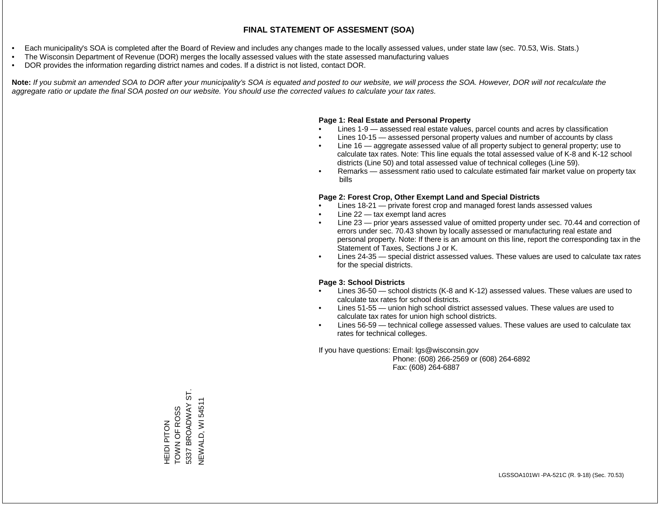- Each municipality's SOA is completed after the Board of Review and includes any changes made to the locally assessed values, under state law (sec. 70.53, Wis. Stats.)
- The Wisconsin Department of Revenue (DOR) merges the locally assessed values with the state assessed manufacturing values
- DOR provides the information regarding district names and codes. If a district is not listed, contact DOR.

Note: If you submit an amended SOA to DOR after your municipality's SOA is equated and posted to our website, we will process the SOA. However, DOR will not recalculate the *aggregate ratio or update the final SOA posted on our website. You should use the corrected values to calculate your tax rates.*

### **Page 1: Real Estate and Personal Property**

- Lines 1-9 assessed real estate values, parcel counts and acres by classification
- Lines 10-15 assessed personal property values and number of accounts by class
- Line 16 aggregate assessed value of all property subject to general property; use to calculate tax rates. Note: This line equals the total assessed value of K-8 and K-12 school districts (Line 50) and total assessed value of technical colleges (Line 59).
- Remarks assessment ratio used to calculate estimated fair market value on property tax bills

### **Page 2: Forest Crop, Other Exempt Land and Special Districts**

- Lines 18-21 private forest crop and managed forest lands assessed values
- Line  $22 -$  tax exempt land acres
- Line 23 prior years assessed value of omitted property under sec. 70.44 and correction of errors under sec. 70.43 shown by locally assessed or manufacturing real estate and personal property. Note: If there is an amount on this line, report the corresponding tax in the Statement of Taxes, Sections J or K.
- Lines 24-35 special district assessed values. These values are used to calculate tax rates for the special districts.

### **Page 3: School Districts**

- Lines 36-50 school districts (K-8 and K-12) assessed values. These values are used to calculate tax rates for school districts.
- Lines 51-55 union high school district assessed values. These values are used to calculate tax rates for union high school districts.
- Lines 56-59 technical college assessed values. These values are used to calculate tax rates for technical colleges.

If you have questions: Email: lgs@wisconsin.gov

 Phone: (608) 266-2569 or (608) 264-6892 Fax: (608) 264-6887

BROADWAY ST. 5337 BROADWAY ST. **NEWALD, WI54511** NEWALD, WI 54511HEIDI PITON<br>TOWN OF ROSS TOWN OF ROSS 5337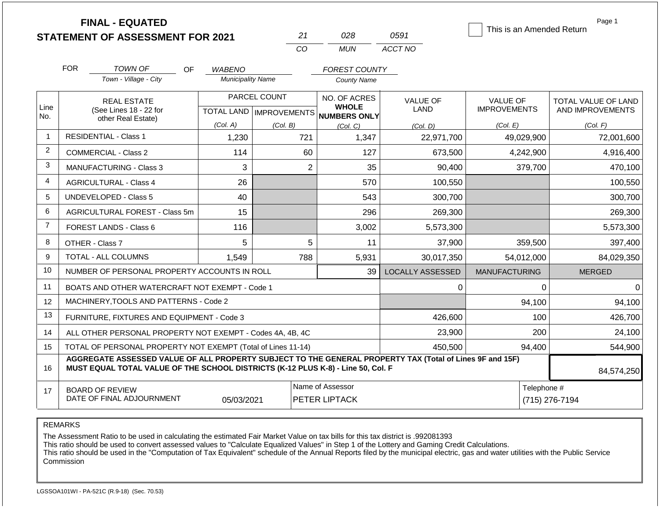|                |            | <b>FINAL - EQUATED</b><br><b>STATEMENT OF ASSESSMENT FOR 2021</b>                                                                                                                            |                          | 21                                               | 028                                          | 0591                    | This is an Amended Return              | Page 1                                  |  |
|----------------|------------|----------------------------------------------------------------------------------------------------------------------------------------------------------------------------------------------|--------------------------|--------------------------------------------------|----------------------------------------------|-------------------------|----------------------------------------|-----------------------------------------|--|
|                |            |                                                                                                                                                                                              |                          | CO                                               | <b>MUN</b>                                   | ACCT NO                 |                                        |                                         |  |
|                | <b>FOR</b> | <b>TOWN OF</b><br>OF.                                                                                                                                                                        | <b>WABENO</b>            |                                                  | <b>FOREST COUNTY</b>                         |                         |                                        |                                         |  |
|                |            | Town - Village - City                                                                                                                                                                        | <b>Municipality Name</b> |                                                  | <b>County Name</b>                           |                         |                                        |                                         |  |
| Line           |            | <b>REAL ESTATE</b><br>(See Lines 18 - 22 for                                                                                                                                                 |                          | PARCEL COUNT<br><b>TOTAL LAND   IMPROVEMENTS</b> | NO. OF ACRES<br><b>WHOLE</b><br>NUMBERS ONLY | <b>VALUE OF</b><br>LAND | <b>VALUE OF</b><br><b>IMPROVEMENTS</b> | TOTAL VALUE OF LAND<br>AND IMPROVEMENTS |  |
| No.            |            | other Real Estate)                                                                                                                                                                           | (Col. A)                 | (Col. B)                                         | (Col. C)                                     | (Col. D)                | (Col. E)                               | (Col. F)                                |  |
| $\mathbf{1}$   |            | <b>RESIDENTIAL - Class 1</b>                                                                                                                                                                 | 1,230                    | 721                                              | 1,347                                        | 22,971,700              | 49,029,900                             | 72,001,600                              |  |
| $\overline{c}$ |            | <b>COMMERCIAL - Class 2</b>                                                                                                                                                                  | 114                      | 60                                               | 127                                          | 673,500                 | 4,242,900                              | 4,916,400                               |  |
| 3              |            | <b>MANUFACTURING - Class 3</b>                                                                                                                                                               | 3                        |                                                  | $\overline{2}$<br>35                         | 90,400                  | 379,700                                | 470,100                                 |  |
| 4              |            | <b>AGRICULTURAL - Class 4</b>                                                                                                                                                                | 26                       |                                                  | 570                                          | 100,550                 |                                        | 100,550                                 |  |
| 5              |            | UNDEVELOPED - Class 5                                                                                                                                                                        | 40                       |                                                  | 543                                          | 300,700                 |                                        | 300,700                                 |  |
| 6              |            | AGRICULTURAL FOREST - Class 5m                                                                                                                                                               | 15                       |                                                  | 296                                          | 269,300                 |                                        | 269,300                                 |  |
| $\overline{7}$ |            | <b>FOREST LANDS - Class 6</b>                                                                                                                                                                | 116                      |                                                  | 3,002                                        | 5,573,300               |                                        | 5,573,300                               |  |
| 8              |            | OTHER - Class 7                                                                                                                                                                              | 5                        |                                                  | 5<br>11                                      | 37,900                  | 359,500                                | 397,400                                 |  |
| 9              |            | TOTAL - ALL COLUMNS                                                                                                                                                                          | 1,549                    | 788                                              | 5,931                                        | 30,017,350              | 54,012,000                             | 84,029,350                              |  |
| 10             |            | NUMBER OF PERSONAL PROPERTY ACCOUNTS IN ROLL                                                                                                                                                 |                          |                                                  | 39                                           | <b>LOCALLY ASSESSED</b> | <b>MANUFACTURING</b>                   | <b>MERGED</b>                           |  |
| 11             |            | BOATS AND OTHER WATERCRAFT NOT EXEMPT - Code 1                                                                                                                                               |                          |                                                  |                                              | 0                       | $\Omega$                               | $\Omega$                                |  |
| 12             |            | MACHINERY, TOOLS AND PATTERNS - Code 2                                                                                                                                                       |                          |                                                  |                                              |                         | 94,100                                 | 94,100                                  |  |
| 13             |            | FURNITURE, FIXTURES AND EQUIPMENT - Code 3                                                                                                                                                   |                          |                                                  |                                              | 426,600                 | 100                                    | 426,700                                 |  |
| 14             |            | ALL OTHER PERSONAL PROPERTY NOT EXEMPT - Codes 4A, 4B, 4C                                                                                                                                    |                          |                                                  |                                              | 23,900                  | 200                                    | 24,100                                  |  |
| 15             |            | TOTAL OF PERSONAL PROPERTY NOT EXEMPT (Total of Lines 11-14)                                                                                                                                 |                          |                                                  |                                              | 450,500                 | 94,400                                 | 544,900                                 |  |
| 16             |            | AGGREGATE ASSESSED VALUE OF ALL PROPERTY SUBJECT TO THE GENERAL PROPERTY TAX (Total of Lines 9F and 15F)<br>MUST EQUAL TOTAL VALUE OF THE SCHOOL DISTRICTS (K-12 PLUS K-8) - Line 50, Col. F |                          |                                                  |                                              |                         |                                        | 84,574,250                              |  |
| 17             |            | <b>BOARD OF REVIEW</b><br>DATE OF FINAL ADJOURNMENT                                                                                                                                          | 05/03/2021               |                                                  | Name of Assessor<br>PETER LIPTACK            |                         | Telephone #<br>(715) 276-7194          |                                         |  |

The Assessment Ratio to be used in calculating the estimated Fair Market Value on tax bills for this tax district is .992081393

This ratio should be used to convert assessed values to "Calculate Equalized Values" in Step 1 of the Lottery and Gaming Credit Calculations.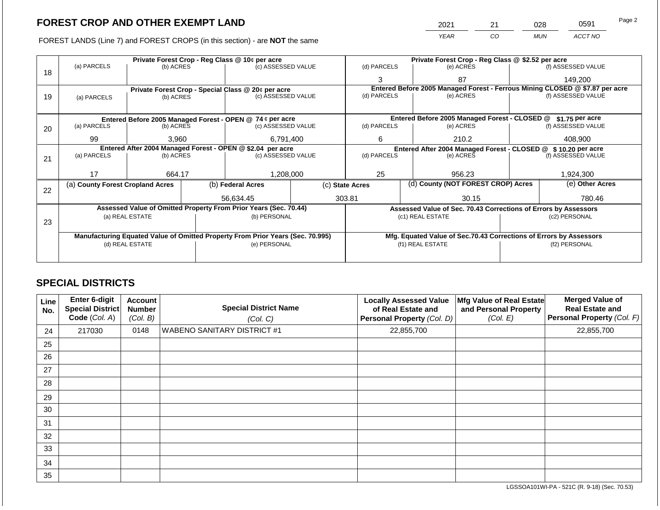FOREST LANDS (Line 7) and FOREST CROPS (in this section)

|             | <b>CROP AND OTHER EXEMPT LAND</b>                                          |                    |                                                                              | 2021                                              | 21 | 028        | 0591               | i ay∈ ∠ |  |  |
|-------------|----------------------------------------------------------------------------|--------------------|------------------------------------------------------------------------------|---------------------------------------------------|----|------------|--------------------|---------|--|--|
|             | ANDS (Line 7) and FOREST CROPS (in this section) - are <b>NOT</b> the same |                    |                                                                              | <b>YEAR</b>                                       | CO | <b>MUN</b> | ACCT NO            |         |  |  |
|             | Private Forest Crop - Reg Class @ 10¢ per acre                             |                    |                                                                              | Private Forest Crop - Reg Class @ \$2.52 per acre |    |            |                    |         |  |  |
| (a) PARCELS | (b) ACRES                                                                  | (c) ASSESSED VALUE | (d) PARCELS                                                                  | (e) ACRES                                         |    |            | (f) ASSESSED VALUE |         |  |  |
|             |                                                                            |                    | ຈ                                                                            | 87                                                |    |            | 149.200            |         |  |  |
|             | Private Forest Crop - Special Class @ 20¢ per acre                         |                    | Entered Before 2005 Managed Forest - Ferrous Mining CLOSED @ \$7.87 per acre |                                                   |    |            |                    |         |  |  |
| (a) PARCELS | (b) ACRES                                                                  | (c) ASSESSED VALUE | (d) PARCELS                                                                  | (e) ACRES                                         |    |            | (f) ASSESSED VALUE |         |  |  |
|             |                                                                            |                    |                                                                              |                                                   |    |            |                    |         |  |  |

| 18 | (a) PARCELS                                                                    | (b) ACRES                                                       |             | (c) ASSESSED VALUE                                               |       | (d) PARCELS                                                                               | (e) ACRES                                                          |                    | (f) ASSESSED VALUE |  |
|----|--------------------------------------------------------------------------------|-----------------------------------------------------------------|-------------|------------------------------------------------------------------|-------|-------------------------------------------------------------------------------------------|--------------------------------------------------------------------|--------------------|--------------------|--|
|    |                                                                                |                                                                 |             |                                                                  |       |                                                                                           | 87                                                                 |                    | 149.200            |  |
| 19 | (a) PARCELS                                                                    | Private Forest Crop - Special Class @ 20¢ per acre<br>(b) ACRES |             | (d) PARCELS<br>(c) ASSESSED VALUE                                |       | Entered Before 2005 Managed Forest - Ferrous Mining CLOSED @ \$7.87 per acre<br>(e) ACRES |                                                                    | (f) ASSESSED VALUE |                    |  |
|    | Entered Before 2005 Managed Forest - OPEN @ 74 ¢ per acre                      |                                                                 |             |                                                                  |       |                                                                                           | Entered Before 2005 Managed Forest - CLOSED @                      |                    | \$1.75 per acre    |  |
| 20 | (a) PARCELS<br>(c) ASSESSED VALUE<br>(b) ACRES                                 |                                                                 | (d) PARCELS | (e) ACRES                                                        |       | (f) ASSESSED VALUE                                                                        |                                                                    |                    |                    |  |
|    | 99                                                                             | 6,791,400<br>3.960                                              |             | 6                                                                | 210.2 |                                                                                           | 408.900                                                            |                    |                    |  |
|    | Entered After 2004 Managed Forest - OPEN @ \$2.04 per acre                     |                                                                 |             |                                                                  |       | Entered After 2004 Managed Forest - CLOSED @ \$10.20 per acre                             |                                                                    |                    |                    |  |
| 21 | (a) PARCELS<br>(b) ACRES                                                       |                                                                 |             | (c) ASSESSED VALUE                                               |       | (d) PARCELS                                                                               | (e) ACRES                                                          |                    | (f) ASSESSED VALUE |  |
|    |                                                                                |                                                                 |             |                                                                  |       |                                                                                           |                                                                    |                    |                    |  |
|    | 17                                                                             | 664.17                                                          |             | 1,208,000                                                        |       | 25                                                                                        | 956.23                                                             |                    | 1,924,300          |  |
| 22 | (a) County Forest Cropland Acres                                               |                                                                 |             | (b) Federal Acres                                                |       | (d) County (NOT FOREST CROP) Acres<br>(c) State Acres                                     |                                                                    |                    | (e) Other Acres    |  |
|    |                                                                                |                                                                 |             | 56,634.45                                                        |       | 303.81<br>30.15                                                                           |                                                                    |                    | 780.46             |  |
|    |                                                                                |                                                                 |             | Assessed Value of Omitted Property From Prior Years (Sec. 70.44) |       | Assessed Value of Sec. 70.43 Corrections of Errors by Assessors                           |                                                                    |                    |                    |  |
|    |                                                                                | (a) REAL ESTATE                                                 |             | (b) PERSONAL                                                     |       |                                                                                           | (c1) REAL ESTATE                                                   |                    | (c2) PERSONAL      |  |
| 23 |                                                                                |                                                                 |             |                                                                  |       |                                                                                           |                                                                    |                    |                    |  |
|    | Manufacturing Equated Value of Omitted Property From Prior Years (Sec. 70.995) |                                                                 |             |                                                                  |       |                                                                                           | Mfg. Equated Value of Sec.70.43 Corrections of Errors by Assessors |                    |                    |  |
|    |                                                                                | (d) REAL ESTATE                                                 |             | (e) PERSONAL                                                     |       | (f1) REAL ESTATE                                                                          |                                                                    | (f2) PERSONAL      |                    |  |
|    |                                                                                |                                                                 |             |                                                                  |       |                                                                                           |                                                                    |                    |                    |  |
|    |                                                                                |                                                                 |             |                                                                  |       |                                                                                           |                                                                    |                    |                    |  |

# **SPECIAL DISTRICTS**

| Line<br>No. | Enter 6-digit<br>Special District<br>Code (Col. A) | <b>Account</b><br><b>Number</b><br>(Col. B) | <b>Special District Name</b><br>(Col. C) | <b>Locally Assessed Value</b><br>of Real Estate and<br>Personal Property (Col. D) | Mfg Value of Real Estate<br>and Personal Property<br>(Col. E) | <b>Merged Value of</b><br><b>Real Estate and</b><br>Personal Property (Col. F) |
|-------------|----------------------------------------------------|---------------------------------------------|------------------------------------------|-----------------------------------------------------------------------------------|---------------------------------------------------------------|--------------------------------------------------------------------------------|
| 24          | 217030                                             | 0148                                        | <b>WABENO SANITARY DISTRICT #1</b>       | 22,855,700                                                                        |                                                               | 22,855,700                                                                     |
| 25          |                                                    |                                             |                                          |                                                                                   |                                                               |                                                                                |
| 26          |                                                    |                                             |                                          |                                                                                   |                                                               |                                                                                |
| 27          |                                                    |                                             |                                          |                                                                                   |                                                               |                                                                                |
| 28          |                                                    |                                             |                                          |                                                                                   |                                                               |                                                                                |
| 29          |                                                    |                                             |                                          |                                                                                   |                                                               |                                                                                |
| 30          |                                                    |                                             |                                          |                                                                                   |                                                               |                                                                                |
| 31          |                                                    |                                             |                                          |                                                                                   |                                                               |                                                                                |
| 32          |                                                    |                                             |                                          |                                                                                   |                                                               |                                                                                |
| 33          |                                                    |                                             |                                          |                                                                                   |                                                               |                                                                                |
| 34          |                                                    |                                             |                                          |                                                                                   |                                                               |                                                                                |
| 35          |                                                    |                                             |                                          |                                                                                   |                                                               |                                                                                |

LGSSOA101WI-PA - 521C (R. 9-18) (Sec. 70.53)

Page 2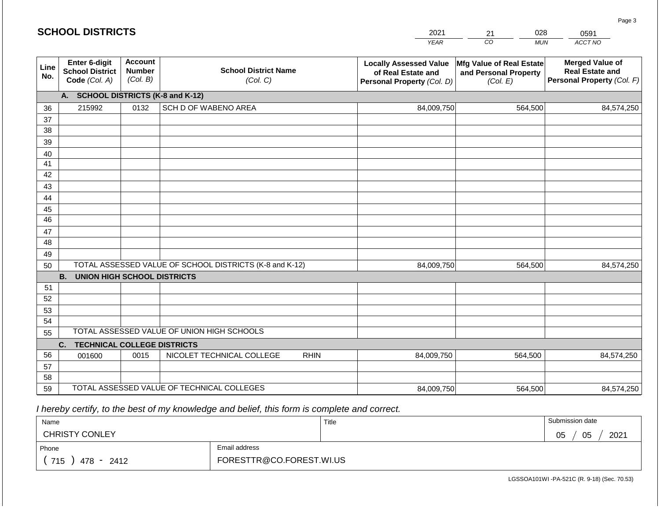|             | <b>SCHOOL DISTRICTS</b>                                                                                                                            |      |                                                         | 2021                                                                              | 028<br>21<br>0591                                             |                                                                                |
|-------------|----------------------------------------------------------------------------------------------------------------------------------------------------|------|---------------------------------------------------------|-----------------------------------------------------------------------------------|---------------------------------------------------------------|--------------------------------------------------------------------------------|
|             |                                                                                                                                                    |      |                                                         | <b>YEAR</b>                                                                       | CO<br><b>MUN</b>                                              | ACCT NO                                                                        |
| Line<br>No. | <b>Account</b><br>Enter 6-digit<br><b>School District Name</b><br><b>Number</b><br><b>School District</b><br>(Col. B)<br>Code (Col. A)<br>(Col. C) |      |                                                         | <b>Locally Assessed Value</b><br>of Real Estate and<br>Personal Property (Col. D) | Mfg Value of Real Estate<br>and Personal Property<br>(Col. E) | <b>Merged Value of</b><br><b>Real Estate and</b><br>Personal Property (Col. F) |
|             | A. SCHOOL DISTRICTS (K-8 and K-12)                                                                                                                 |      |                                                         |                                                                                   |                                                               |                                                                                |
| 36          | 215992                                                                                                                                             | 0132 | SCH D OF WABENO AREA                                    | 84,009,750                                                                        | 564,500                                                       | 84,574,250                                                                     |
| 37          |                                                                                                                                                    |      |                                                         |                                                                                   |                                                               |                                                                                |
| 38          |                                                                                                                                                    |      |                                                         |                                                                                   |                                                               |                                                                                |
| 39          |                                                                                                                                                    |      |                                                         |                                                                                   |                                                               |                                                                                |
| 40          |                                                                                                                                                    |      |                                                         |                                                                                   |                                                               |                                                                                |
| 41          |                                                                                                                                                    |      |                                                         |                                                                                   |                                                               |                                                                                |
| 42          |                                                                                                                                                    |      |                                                         |                                                                                   |                                                               |                                                                                |
| 43          |                                                                                                                                                    |      |                                                         |                                                                                   |                                                               |                                                                                |
| 44<br>45    |                                                                                                                                                    |      |                                                         |                                                                                   |                                                               |                                                                                |
| 46          |                                                                                                                                                    |      |                                                         |                                                                                   |                                                               |                                                                                |
| 47          |                                                                                                                                                    |      |                                                         |                                                                                   |                                                               |                                                                                |
| 48          |                                                                                                                                                    |      |                                                         |                                                                                   |                                                               |                                                                                |
| 49          |                                                                                                                                                    |      |                                                         |                                                                                   |                                                               |                                                                                |
| 50          |                                                                                                                                                    |      | TOTAL ASSESSED VALUE OF SCHOOL DISTRICTS (K-8 and K-12) | 84,009,750                                                                        | 564,500                                                       | 84,574,250                                                                     |
|             | <b>B.</b><br><b>UNION HIGH SCHOOL DISTRICTS</b>                                                                                                    |      |                                                         |                                                                                   |                                                               |                                                                                |
| 51          |                                                                                                                                                    |      |                                                         |                                                                                   |                                                               |                                                                                |
| 52          |                                                                                                                                                    |      |                                                         |                                                                                   |                                                               |                                                                                |
| 53          |                                                                                                                                                    |      |                                                         |                                                                                   |                                                               |                                                                                |
| 54          |                                                                                                                                                    |      | TOTAL ASSESSED VALUE OF UNION HIGH SCHOOLS              |                                                                                   |                                                               |                                                                                |
| 55          |                                                                                                                                                    |      |                                                         |                                                                                   |                                                               |                                                                                |
|             | <b>TECHNICAL COLLEGE DISTRICTS</b><br>C.                                                                                                           |      |                                                         |                                                                                   |                                                               |                                                                                |
| 56<br>57    | 001600                                                                                                                                             | 0015 | NICOLET TECHNICAL COLLEGE<br><b>RHIN</b>                | 84,009,750                                                                        | 564,500                                                       | 84,574,250                                                                     |
| 58          |                                                                                                                                                    |      |                                                         |                                                                                   |                                                               |                                                                                |
| 59          |                                                                                                                                                    |      | TOTAL ASSESSED VALUE OF TECHNICAL COLLEGES              | 84,009,750                                                                        | 564,500                                                       | 84,574,250                                                                     |

 *I hereby certify, to the best of my knowledge and belief, this form is complete and correct.*

| Name                  |                          | Title | Submission date       |  |  |
|-----------------------|--------------------------|-------|-----------------------|--|--|
| <b>CHRISTY CONLEY</b> |                          |       | 2021<br>05<br>∩ҕ<br>◡ |  |  |
| Phone                 | Email address            |       |                       |  |  |
| 715<br>478 -<br>2412  | FORESTTR@CO.FOREST.WI.US |       |                       |  |  |

Page 3

|  |  |  | <b>SCHOOL DISTRICTS</b> |
|--|--|--|-------------------------|
|  |  |  |                         |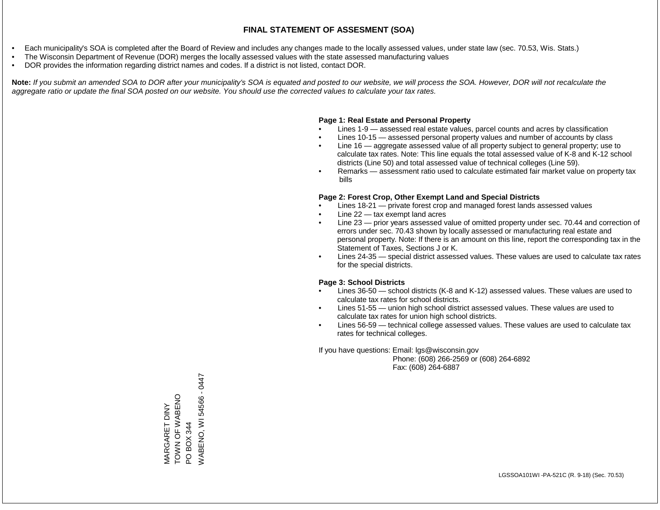- Each municipality's SOA is completed after the Board of Review and includes any changes made to the locally assessed values, under state law (sec. 70.53, Wis. Stats.)
- The Wisconsin Department of Revenue (DOR) merges the locally assessed values with the state assessed manufacturing values
- DOR provides the information regarding district names and codes. If a district is not listed, contact DOR.

Note: If you submit an amended SOA to DOR after your municipality's SOA is equated and posted to our website, we will process the SOA. However, DOR will not recalculate the *aggregate ratio or update the final SOA posted on our website. You should use the corrected values to calculate your tax rates.*

#### **Page 1: Real Estate and Personal Property**

- Lines 1-9 assessed real estate values, parcel counts and acres by classification
- Lines 10-15 assessed personal property values and number of accounts by class
- Line 16 aggregate assessed value of all property subject to general property; use to calculate tax rates. Note: This line equals the total assessed value of K-8 and K-12 school districts (Line 50) and total assessed value of technical colleges (Line 59).
- Remarks assessment ratio used to calculate estimated fair market value on property tax bills

#### **Page 2: Forest Crop, Other Exempt Land and Special Districts**

- Lines 18-21 private forest crop and managed forest lands assessed values
- Line  $22 -$  tax exempt land acres
- Line 23 prior years assessed value of omitted property under sec. 70.44 and correction of errors under sec. 70.43 shown by locally assessed or manufacturing real estate and personal property. Note: If there is an amount on this line, report the corresponding tax in the Statement of Taxes, Sections J or K.
- Lines 24-35 special district assessed values. These values are used to calculate tax rates for the special districts.

#### **Page 3: School Districts**

- Lines 36-50 school districts (K-8 and K-12) assessed values. These values are used to calculate tax rates for school districts.
- Lines 51-55 union high school district assessed values. These values are used to calculate tax rates for union high school districts.
- Lines 56-59 technical college assessed values. These values are used to calculate tax rates for technical colleges.

If you have questions: Email: lgs@wisconsin.gov

 Phone: (608) 266-2569 or (608) 264-6892 Fax: (608) 264-6887

PO BOX 344<br>WABENO, WI 54566 - 0447 WABENO, WI 54566 - 0447TOWN OF WABENO MARGARET DINY<br>TOWN OF WABENO MARGARET DINY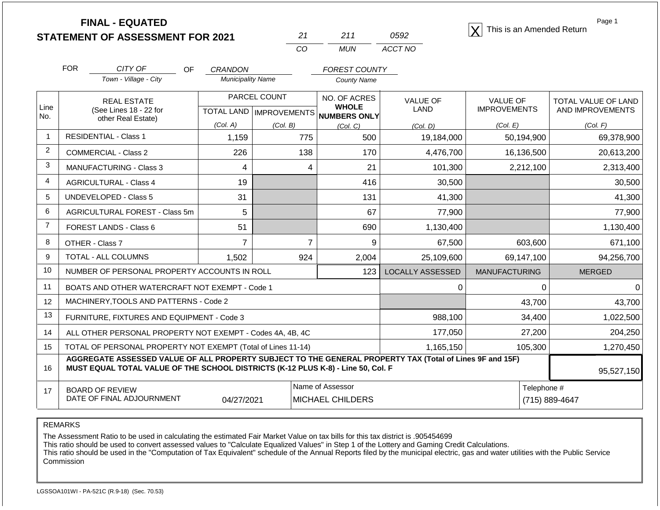**STATEMENT OF ASSESSMENT FOR 2021**

| 21  | 211   | 0592    |
|-----|-------|---------|
| CO. | MI IN | ACCT NO |

**FINAL - EQUATED**<br>  $\overline{X}$  This is an Amended Return

Page 1

|                | <b>FOR</b><br>CITY OF<br><b>OF</b><br>Town - Village - City                                                                                                                                  | <b>CRANDON</b><br><b>Municipality Name</b> |                                           | <b>FOREST COUNTY</b><br><b>County Name</b>          |                                |                                        |                                         |
|----------------|----------------------------------------------------------------------------------------------------------------------------------------------------------------------------------------------|--------------------------------------------|-------------------------------------------|-----------------------------------------------------|--------------------------------|----------------------------------------|-----------------------------------------|
| Line<br>No.    | <b>REAL ESTATE</b><br>(See Lines 18 - 22 for                                                                                                                                                 |                                            | PARCEL COUNT<br>TOTAL LAND   IMPROVEMENTS | NO. OF ACRES<br><b>WHOLE</b><br><b>NUMBERS ONLY</b> | <b>VALUE OF</b><br><b>LAND</b> | <b>VALUE OF</b><br><b>IMPROVEMENTS</b> | TOTAL VALUE OF LAND<br>AND IMPROVEMENTS |
|                | other Real Estate)                                                                                                                                                                           | (Col. A)                                   | (Col. B)                                  | (Col, C)                                            | (Col, D)                       | (Col. E)                               | (Col. F)                                |
| $\overline{1}$ | <b>RESIDENTIAL - Class 1</b>                                                                                                                                                                 | 1,159                                      | 775                                       | 500                                                 | 19,184,000                     | 50,194,900                             | 69,378,900                              |
| 2              | <b>COMMERCIAL - Class 2</b>                                                                                                                                                                  | 226                                        | 138                                       | 170                                                 | 4,476,700                      | 16,136,500                             | 20,613,200                              |
| 3              | MANUFACTURING - Class 3                                                                                                                                                                      | 4                                          | 4                                         | 21                                                  | 101,300                        | 2,212,100                              | 2,313,400                               |
| $\overline{4}$ | <b>AGRICULTURAL - Class 4</b>                                                                                                                                                                | 19                                         |                                           | 416                                                 | 30,500                         |                                        | 30,500                                  |
| 5              | UNDEVELOPED - Class 5                                                                                                                                                                        | 31                                         |                                           | 131                                                 | 41,300                         |                                        | 41,300                                  |
| 6              | AGRICULTURAL FOREST - Class 5m                                                                                                                                                               | 5                                          |                                           | 67                                                  | 77,900                         |                                        | 77,900                                  |
| $\overline{7}$ | FOREST LANDS - Class 6                                                                                                                                                                       | 51                                         |                                           | 690                                                 | 1,130,400                      |                                        | 1,130,400                               |
| 8              | OTHER - Class 7                                                                                                                                                                              | $\overline{7}$                             | $\overline{7}$                            | 9                                                   | 67,500                         | 603,600                                | 671,100                                 |
| 9              | TOTAL - ALL COLUMNS                                                                                                                                                                          | 1,502                                      | 924                                       | 2,004                                               | 25,109,600                     | 69,147,100                             | 94,256,700                              |
| 10             | NUMBER OF PERSONAL PROPERTY ACCOUNTS IN ROLL                                                                                                                                                 |                                            |                                           | 123                                                 | LOCALLY ASSESSED               | <b>MANUFACTURING</b>                   | <b>MERGED</b>                           |
| 11             | BOATS AND OTHER WATERCRAFT NOT EXEMPT - Code 1                                                                                                                                               |                                            |                                           |                                                     | 0                              | 0                                      | $\Omega$                                |
| 12             | MACHINERY, TOOLS AND PATTERNS - Code 2                                                                                                                                                       |                                            |                                           |                                                     |                                | 43,700                                 | 43,700                                  |
| 13             | FURNITURE, FIXTURES AND EQUIPMENT - Code 3                                                                                                                                                   |                                            |                                           |                                                     | 988,100                        | 34,400                                 | 1,022,500                               |
| 14             | ALL OTHER PERSONAL PROPERTY NOT EXEMPT - Codes 4A, 4B, 4C                                                                                                                                    |                                            |                                           |                                                     | 177,050                        | 27,200                                 | 204,250                                 |
| 15             | TOTAL OF PERSONAL PROPERTY NOT EXEMPT (Total of Lines 11-14)                                                                                                                                 |                                            |                                           |                                                     | 1,165,150                      | 105,300                                | 1,270,450                               |
| 16             | AGGREGATE ASSESSED VALUE OF ALL PROPERTY SUBJECT TO THE GENERAL PROPERTY TAX (Total of Lines 9F and 15F)<br>MUST EQUAL TOTAL VALUE OF THE SCHOOL DISTRICTS (K-12 PLUS K-8) - Line 50, Col. F |                                            |                                           |                                                     |                                |                                        | 95,527,150                              |
| 17             | <b>BOARD OF REVIEW</b><br>DATE OF FINAL ADJOURNMENT                                                                                                                                          | Telephone #<br>(715) 889-4647              |                                           |                                                     |                                |                                        |                                         |

REMARKS

The Assessment Ratio to be used in calculating the estimated Fair Market Value on tax bills for this tax district is .905454699

This ratio should be used to convert assessed values to "Calculate Equalized Values" in Step 1 of the Lottery and Gaming Credit Calculations.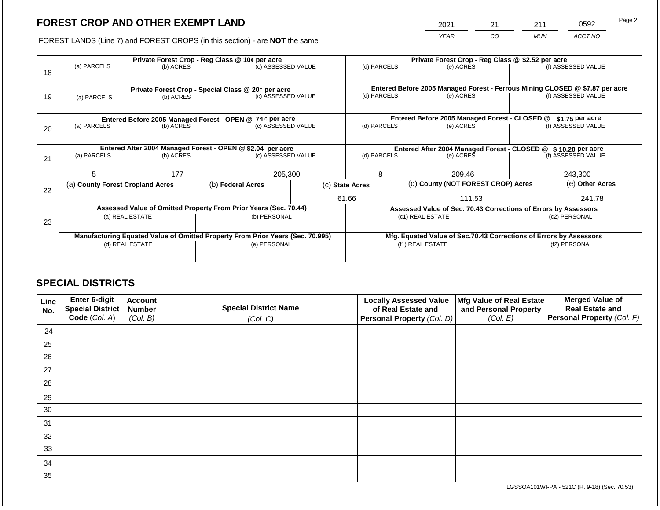2021 21 211 0592

FOREST LANDS (Line 7) and FOREST CROPS (in this section) - are **NOT** the same *YEAR CO MUN ACCT NO*

|    |                                                                                | Private Forest Crop - Reg Class @ 10¢ per acre            |  |                                                                          |                                                                    |                                               |                                                                              | Private Forest Crop - Reg Class @ \$2.52 per acre               |                    |                    |  |
|----|--------------------------------------------------------------------------------|-----------------------------------------------------------|--|--------------------------------------------------------------------------|--------------------------------------------------------------------|-----------------------------------------------|------------------------------------------------------------------------------|-----------------------------------------------------------------|--------------------|--------------------|--|
| 18 | (a) PARCELS                                                                    | (b) ACRES                                                 |  | (c) ASSESSED VALUE                                                       |                                                                    | (d) PARCELS                                   |                                                                              | (e) ACRES                                                       |                    | (f) ASSESSED VALUE |  |
|    |                                                                                |                                                           |  |                                                                          |                                                                    |                                               | Entered Before 2005 Managed Forest - Ferrous Mining CLOSED @ \$7.87 per acre |                                                                 |                    |                    |  |
| 19 | (a) PARCELS                                                                    | (b) ACRES                                                 |  | Private Forest Crop - Special Class @ 20¢ per acre<br>(c) ASSESSED VALUE |                                                                    | (d) PARCELS                                   |                                                                              | (e) ACRES                                                       | (f) ASSESSED VALUE |                    |  |
|    |                                                                                |                                                           |  |                                                                          |                                                                    |                                               |                                                                              |                                                                 |                    |                    |  |
|    |                                                                                |                                                           |  |                                                                          |                                                                    |                                               |                                                                              |                                                                 |                    |                    |  |
|    |                                                                                | Entered Before 2005 Managed Forest - OPEN @ 74 ¢ per acre |  |                                                                          |                                                                    | Entered Before 2005 Managed Forest - CLOSED @ |                                                                              | $$1.75$ per acre                                                |                    |                    |  |
| 20 | (a) PARCELS                                                                    | (b) ACRES                                                 |  | (c) ASSESSED VALUE                                                       |                                                                    | (d) PARCELS                                   |                                                                              | (e) ACRES                                                       |                    | (f) ASSESSED VALUE |  |
|    |                                                                                |                                                           |  |                                                                          |                                                                    |                                               |                                                                              |                                                                 |                    |                    |  |
|    | Entered After 2004 Managed Forest - OPEN @ \$2.04 per acre                     |                                                           |  |                                                                          |                                                                    |                                               |                                                                              | Entered After 2004 Managed Forest - CLOSED @ \$10.20 per acre   |                    |                    |  |
| 21 | (a) PARCELS                                                                    | (b) ACRES                                                 |  | (c) ASSESSED VALUE                                                       |                                                                    | (d) PARCELS                                   |                                                                              | (e) ACRES                                                       |                    | (f) ASSESSED VALUE |  |
|    |                                                                                |                                                           |  |                                                                          |                                                                    |                                               |                                                                              |                                                                 |                    |                    |  |
|    | 5.                                                                             | 177                                                       |  | 205,300                                                                  |                                                                    | 8                                             |                                                                              | 209.46                                                          |                    | 243,300            |  |
|    | (a) County Forest Cropland Acres                                               |                                                           |  | (b) Federal Acres                                                        | (c) State Acres                                                    |                                               |                                                                              | (d) County (NOT FOREST CROP) Acres                              |                    | (e) Other Acres    |  |
| 22 |                                                                                |                                                           |  |                                                                          |                                                                    |                                               |                                                                              |                                                                 |                    |                    |  |
|    |                                                                                |                                                           |  |                                                                          |                                                                    | 61.66                                         |                                                                              | 111.53                                                          |                    | 241.78             |  |
|    |                                                                                |                                                           |  | Assessed Value of Omitted Property From Prior Years (Sec. 70.44)         |                                                                    |                                               |                                                                              | Assessed Value of Sec. 70.43 Corrections of Errors by Assessors |                    |                    |  |
| 23 |                                                                                | (a) REAL ESTATE                                           |  | (b) PERSONAL                                                             |                                                                    |                                               |                                                                              | (c1) REAL ESTATE                                                |                    | (c2) PERSONAL      |  |
|    |                                                                                |                                                           |  |                                                                          |                                                                    |                                               |                                                                              |                                                                 |                    |                    |  |
|    | Manufacturing Equated Value of Omitted Property From Prior Years (Sec. 70.995) |                                                           |  |                                                                          | Mfg. Equated Value of Sec.70.43 Corrections of Errors by Assessors |                                               |                                                                              |                                                                 |                    |                    |  |
|    | (d) REAL ESTATE                                                                |                                                           |  | (e) PERSONAL                                                             |                                                                    | (f1) REAL ESTATE                              |                                                                              |                                                                 | (f2) PERSONAL      |                    |  |
|    |                                                                                |                                                           |  |                                                                          |                                                                    |                                               |                                                                              |                                                                 |                    |                    |  |
|    |                                                                                |                                                           |  |                                                                          |                                                                    |                                               |                                                                              |                                                                 |                    |                    |  |

# **SPECIAL DISTRICTS**

| Line<br>No. | Enter 6-digit<br>Special District<br>Code (Col. A) | <b>Account</b><br><b>Number</b><br>(Col. B) | <b>Special District Name</b><br>(Col. C) | <b>Locally Assessed Value</b><br>of Real Estate and<br><b>Personal Property (Col. D)</b> | Mfg Value of Real Estate<br>and Personal Property<br>(Col. E) | <b>Merged Value of</b><br><b>Real Estate and</b><br>Personal Property (Col. F) |
|-------------|----------------------------------------------------|---------------------------------------------|------------------------------------------|------------------------------------------------------------------------------------------|---------------------------------------------------------------|--------------------------------------------------------------------------------|
| 24          |                                                    |                                             |                                          |                                                                                          |                                                               |                                                                                |
| 25          |                                                    |                                             |                                          |                                                                                          |                                                               |                                                                                |
| 26          |                                                    |                                             |                                          |                                                                                          |                                                               |                                                                                |
| 27          |                                                    |                                             |                                          |                                                                                          |                                                               |                                                                                |
| 28          |                                                    |                                             |                                          |                                                                                          |                                                               |                                                                                |
| 29          |                                                    |                                             |                                          |                                                                                          |                                                               |                                                                                |
| 30          |                                                    |                                             |                                          |                                                                                          |                                                               |                                                                                |
| 31          |                                                    |                                             |                                          |                                                                                          |                                                               |                                                                                |
| 32          |                                                    |                                             |                                          |                                                                                          |                                                               |                                                                                |
| 33          |                                                    |                                             |                                          |                                                                                          |                                                               |                                                                                |
| 34          |                                                    |                                             |                                          |                                                                                          |                                                               |                                                                                |
| 35          |                                                    |                                             |                                          |                                                                                          |                                                               |                                                                                |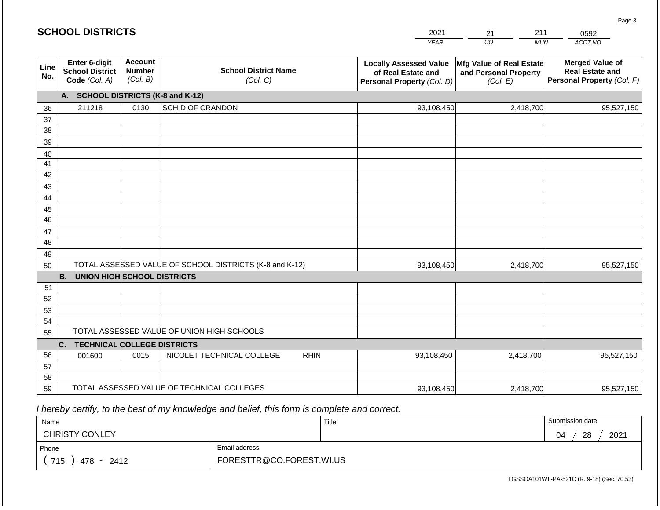|             | <b>SCHOOL DISTRICTS</b>                                  | 2021<br>211<br>0592<br>21                   |                                                         |             |                                                                                   |                                                               |                                                                                |
|-------------|----------------------------------------------------------|---------------------------------------------|---------------------------------------------------------|-------------|-----------------------------------------------------------------------------------|---------------------------------------------------------------|--------------------------------------------------------------------------------|
|             |                                                          |                                             |                                                         |             | <b>YEAR</b>                                                                       | CO<br><b>MUN</b>                                              | ACCT NO                                                                        |
| Line<br>No. | Enter 6-digit<br><b>School District</b><br>Code (Col. A) | <b>Account</b><br><b>Number</b><br>(Col. B) | <b>School District Name</b><br>(Col. C)                 |             | <b>Locally Assessed Value</b><br>of Real Estate and<br>Personal Property (Col. D) | Mfg Value of Real Estate<br>and Personal Property<br>(Col. E) | <b>Merged Value of</b><br><b>Real Estate and</b><br>Personal Property (Col. F) |
|             | A.                                                       |                                             | <b>SCHOOL DISTRICTS (K-8 and K-12)</b>                  |             |                                                                                   |                                                               |                                                                                |
| 36          | 211218                                                   | 0130                                        | SCH D OF CRANDON                                        |             | 93,108,450                                                                        | 2,418,700                                                     | 95,527,150                                                                     |
| 37          |                                                          |                                             |                                                         |             |                                                                                   |                                                               |                                                                                |
| 38          |                                                          |                                             |                                                         |             |                                                                                   |                                                               |                                                                                |
| 39          |                                                          |                                             |                                                         |             |                                                                                   |                                                               |                                                                                |
| 40          |                                                          |                                             |                                                         |             |                                                                                   |                                                               |                                                                                |
| 41          |                                                          |                                             |                                                         |             |                                                                                   |                                                               |                                                                                |
| 42          |                                                          |                                             |                                                         |             |                                                                                   |                                                               |                                                                                |
| 43          |                                                          |                                             |                                                         |             |                                                                                   |                                                               |                                                                                |
| 44<br>45    |                                                          |                                             |                                                         |             |                                                                                   |                                                               |                                                                                |
| 46          |                                                          |                                             |                                                         |             |                                                                                   |                                                               |                                                                                |
| 47          |                                                          |                                             |                                                         |             |                                                                                   |                                                               |                                                                                |
| 48          |                                                          |                                             |                                                         |             |                                                                                   |                                                               |                                                                                |
| 49          |                                                          |                                             |                                                         |             |                                                                                   |                                                               |                                                                                |
| 50          |                                                          |                                             | TOTAL ASSESSED VALUE OF SCHOOL DISTRICTS (K-8 and K-12) |             | 93,108,450                                                                        | 2,418,700                                                     | 95,527,150                                                                     |
|             | <b>B.</b><br><b>UNION HIGH SCHOOL DISTRICTS</b>          |                                             |                                                         |             |                                                                                   |                                                               |                                                                                |
| 51          |                                                          |                                             |                                                         |             |                                                                                   |                                                               |                                                                                |
| 52          |                                                          |                                             |                                                         |             |                                                                                   |                                                               |                                                                                |
| 53          |                                                          |                                             |                                                         |             |                                                                                   |                                                               |                                                                                |
| 54          |                                                          |                                             |                                                         |             |                                                                                   |                                                               |                                                                                |
| 55          |                                                          |                                             | TOTAL ASSESSED VALUE OF UNION HIGH SCHOOLS              |             |                                                                                   |                                                               |                                                                                |
|             | <b>TECHNICAL COLLEGE DISTRICTS</b><br>C.                 |                                             |                                                         |             |                                                                                   |                                                               |                                                                                |
| 56          | 001600                                                   | 0015                                        | NICOLET TECHNICAL COLLEGE                               | <b>RHIN</b> | 93,108,450                                                                        | 2,418,700                                                     | 95,527,150                                                                     |
| 57          |                                                          |                                             |                                                         |             |                                                                                   |                                                               |                                                                                |
| 58<br>59    |                                                          |                                             | TOTAL ASSESSED VALUE OF TECHNICAL COLLEGES              |             |                                                                                   |                                                               |                                                                                |
|             |                                                          |                                             |                                                         |             | 93,108,450                                                                        | 2,418,700                                                     | 95,527,150                                                                     |

 *I hereby certify, to the best of my knowledge and belief, this form is complete and correct.*

| Name                  |                          | Title | Submission date  |  |  |
|-----------------------|--------------------------|-------|------------------|--|--|
| <b>CHRISTY CONLEY</b> |                          |       | 2021<br>28<br>04 |  |  |
| Phone                 | Email address            |       |                  |  |  |
| 715<br>478 -<br>2412  | FORESTTR@CO.FOREST.WI.US |       |                  |  |  |

Page 3